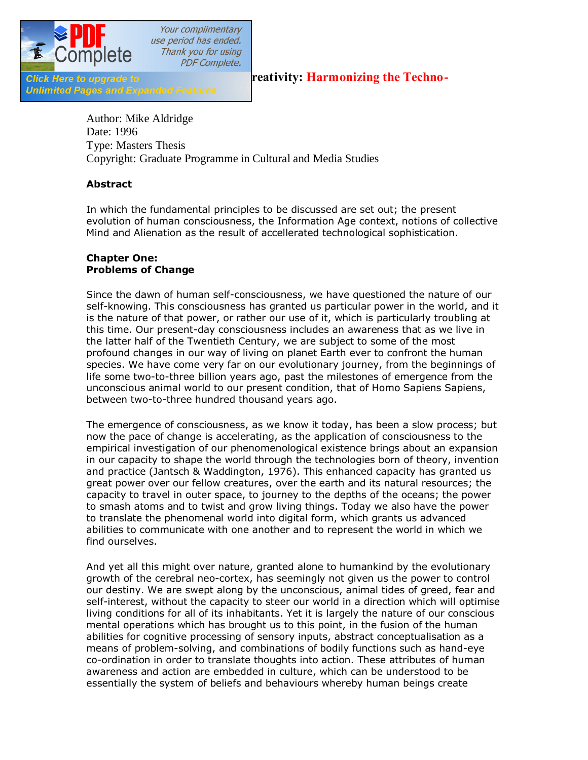

**Unlimited Pages and Expanded Features** 

**Click Here to upgrade to Constitution Constitution Click Harmonizing the Techno-**

Author: Mike Aldridge Date: 1996 Type: Masters Thesis Copyright: Graduate Programme in Cultural and Media Studies

## **Abstract**

In which the fundamental principles to be discussed are set out; the present evolution of human consciousness, the Information Age context, notions of collective Mind and Alienation as the result of accellerated technological sophistication.

### **Chapter One: Problems of Change**

Since the dawn of human self-consciousness, we have questioned the nature of our self-knowing. This consciousness has granted us particular power in the world, and it is the nature of that power, or rather our use of it, which is particularly troubling at this time. Our present-day consciousness includes an awareness that as we live in the latter half of the Twentieth Century, we are subject to some of the most profound changes in our way of living on planet Earth ever to confront the human species. We have come very far on our evolutionary journey, from the beginnings of life some two-to-three billion years ago, past the milestones of emergence from the unconscious animal world to our present condition, that of Homo Sapiens Sapiens, between two-to-three hundred thousand years ago.

The emergence of consciousness, as we know it today, has been a slow process; but now the pace of change is accelerating, as the application of consciousness to the empirical investigation of our phenomenological existence brings about an expansion in our capacity to shape the world through the technologies born of theory, invention and practice (Jantsch & Waddington, 1976). This enhanced capacity has granted us great power over our fellow creatures, over the earth and its natural resources; the capacity to travel in outer space, to journey to the depths of the oceans; the power to smash atoms and to twist and grow living things. Today we also have the power to translate the phenomenal world into digital form, which grants us advanced abilities to communicate with one another and to represent the world in which we find ourselves.

And yet all this might over nature, granted alone to humankind by the evolutionary growth of the cerebral neo-cortex, has seemingly not given us the power to control our destiny. We are swept along by the unconscious, animal tides of greed, fear and self-interest, without the capacity to steer our world in a direction which will optimise living conditions for all of its inhabitants. Yet it is largely the nature of our conscious mental operations which has brought us to this point, in the fusion of the human abilities for cognitive processing of sensory inputs, abstract conceptualisation as a means of problem-solving, and combinations of bodily functions such as hand-eye co-ordination in order to translate thoughts into action. These attributes of human awareness and action are embedded in culture, which can be understood to be essentially the system of beliefs and behaviours whereby human beings create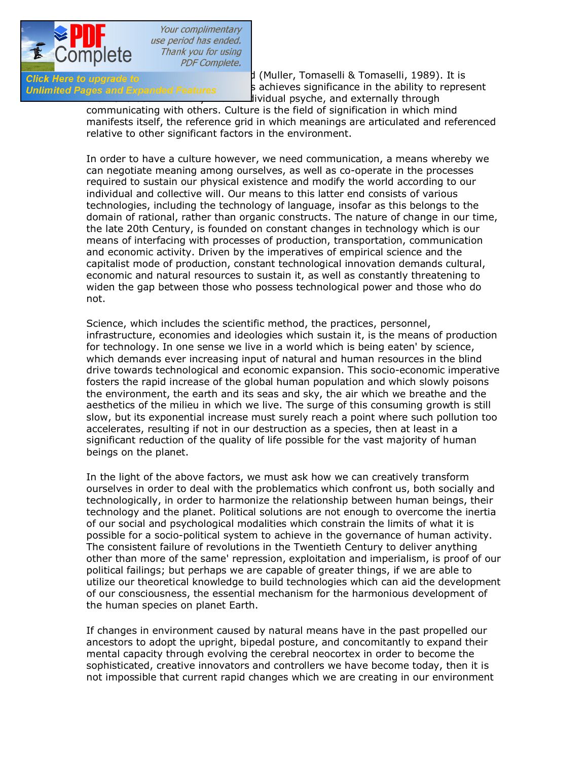

**Click Here to upgrade to mean in the interval world (Muller, Tomaselli & Tomaselli, 1989). It is** Unlimited Pages and Expanded Features stachieves significance in the ability to represent dividual psyche, and externally through

communicating with others. Culture is the field of signification in which mind manifests itself, the reference grid in which meanings are articulated and referenced relative to other significant factors in the environment.

In order to have a culture however, we need communication, a means whereby we can negotiate meaning among ourselves, as well as co-operate in the processes required to sustain our physical existence and modify the world according to our individual and collective will. Our means to this latter end consists of various technologies, including the technology of language, insofar as this belongs to the domain of rational, rather than organic constructs. The nature of change in our time, the late 20th Century, is founded on constant changes in technology which is our means of interfacing with processes of production, transportation, communication and economic activity. Driven by the imperatives of empirical science and the capitalist mode of production, constant technological innovation demands cultural, economic and natural resources to sustain it, as well as constantly threatening to widen the gap between those who possess technological power and those who do not.

Science, which includes the scientific method, the practices, personnel, infrastructure, economies and ideologies which sustain it, is the means of production for technology. In one sense we live in a world which is being eaten' by science, which demands ever increasing input of natural and human resources in the blind drive towards technological and economic expansion. This socio-economic imperative fosters the rapid increase of the global human population and which slowly poisons the environment, the earth and its seas and sky, the air which we breathe and the aesthetics of the milieu in which we live. The surge of this consuming growth is still slow, but its exponential increase must surely reach a point where such pollution too accelerates, resulting if not in our destruction as a species, then at least in a significant reduction of the quality of life possible for the vast majority of human beings on the planet.

In the light of the above factors, we must ask how we can creatively transform ourselves in order to deal with the problematics which confront us, both socially and technologically, in order to harmonize the relationship between human beings, their technology and the planet. Political solutions are not enough to overcome the inertia of our social and psychological modalities which constrain the limits of what it is possible for a socio-political system to achieve in the governance of human activity. The consistent failure of revolutions in the Twentieth Century to deliver anything other than more of the same' repression, exploitation and imperialism, is proof of our political failings; but perhaps we are capable of greater things, if we are able to utilize our theoretical knowledge to build technologies which can aid the development of our consciousness, the essential mechanism for the harmonious development of the human species on planet Earth.

If changes in environment caused by natural means have in the past propelled our ancestors to adopt the upright, bipedal posture, and concomitantly to expand their mental capacity through evolving the cerebral neocortex in order to become the sophisticated, creative innovators and controllers we have become today, then it is not impossible that current rapid changes which we are creating in our environment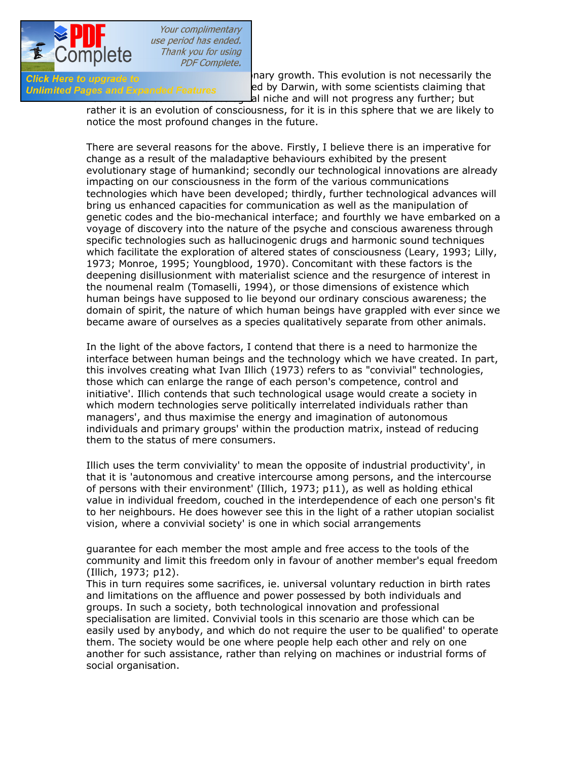

**Click Here to upgrade to new spurt of evolution** is not necessarily the **Unlimited Pages and Expanded Features** ed by Darwin, with some scientists claiming that al niche and will not progress any further; but

rather it is an evolution of consciousness, for it is in this sphere that we are likely to notice the most profound changes in the future.

There are several reasons for the above. Firstly, I believe there is an imperative for change as a result of the maladaptive behaviours exhibited by the present evolutionary stage of humankind; secondly our technological innovations are already impacting on our consciousness in the form of the various communications technologies which have been developed; thirdly, further technological advances will bring us enhanced capacities for communication as well as the manipulation of genetic codes and the bio-mechanical interface; and fourthly we have embarked on a voyage of discovery into the nature of the psyche and conscious awareness through specific technologies such as hallucinogenic drugs and harmonic sound techniques which facilitate the exploration of altered states of consciousness (Leary, 1993; Lilly, 1973; Monroe, 1995; Youngblood, 1970). Concomitant with these factors is the deepening disillusionment with materialist science and the resurgence of interest in the noumenal realm (Tomaselli, 1994), or those dimensions of existence which human beings have supposed to lie beyond our ordinary conscious awareness; the domain of spirit, the nature of which human beings have grappled with ever since we became aware of ourselves as a species qualitatively separate from other animals.

In the light of the above factors, I contend that there is a need to harmonize the interface between human beings and the technology which we have created. In part, this involves creating what Ivan Illich (1973) refers to as "convivial" technologies, those which can enlarge the range of each person's competence, control and initiative'. Illich contends that such technological usage would create a society in which modern technologies serve politically interrelated individuals rather than managers', and thus maximise the energy and imagination of autonomous individuals and primary groups' within the production matrix, instead of reducing them to the status of mere consumers.

Illich uses the term conviviality' to mean the opposite of industrial productivity', in that it is 'autonomous and creative intercourse among persons, and the intercourse of persons with their environment' (Illich, 1973; p11), as well as holding ethical value in individual freedom, couched in the interdependence of each one person's fit to her neighbours. He does however see this in the light of a rather utopian socialist vision, where a convivial society' is one in which social arrangements

guarantee for each member the most ample and free access to the tools of the community and limit this freedom only in favour of another member's equal freedom (Illich, 1973; p12).

This in turn requires some sacrifices, ie. universal voluntary reduction in birth rates and limitations on the affluence and power possessed by both individuals and groups. In such a society, both technological innovation and professional specialisation are limited. Convivial tools in this scenario are those which can be easily used by anybody, and which do not require the user to be qualified' to operate them. The society would be one where people help each other and rely on one another for such assistance, rather than relying on machines or industrial forms of social organisation.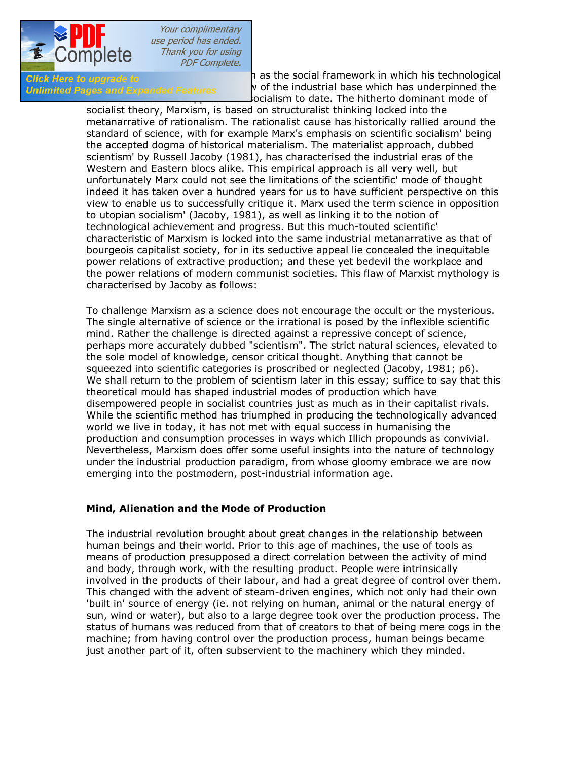

Click Here to upgrade to **Illich sees a social framework in which his technological Unlimited Pages and Expanded Features**  $\overline{N}$  of the industrial base which has underpinned the historical materialist approach of socialism to date. The hitherto dominant mode of

> socialist theory, Marxism, is based on structuralist thinking locked into the metanarrative of rationalism. The rationalist cause has historically rallied around the standard of science, with for example Marx's emphasis on scientific socialism' being the accepted dogma of historical materialism. The materialist approach, dubbed scientism' by Russell Jacoby (1981), has characterised the industrial eras of the Western and Eastern blocs alike. This empirical approach is all very well, but unfortunately Marx could not see the limitations of the scientific' mode of thought indeed it has taken over a hundred years for us to have sufficient perspective on this view to enable us to successfully critique it. Marx used the term science in opposition to utopian socialism' (Jacoby, 1981), as well as linking it to the notion of technological achievement and progress. But this much-touted scientific' characteristic of Marxism is locked into the same industrial metanarrative as that of bourgeois capitalist society, for in its seductive appeal lie concealed the inequitable power relations of extractive production; and these yet bedevil the workplace and the power relations of modern communist societies. This flaw of Marxist mythology is characterised by Jacoby as follows:

> To challenge Marxism as a science does not encourage the occult or the mysterious. The single alternative of science or the irrational is posed by the inflexible scientific mind. Rather the challenge is directed against a repressive concept of science, perhaps more accurately dubbed "scientism". The strict natural sciences, elevated to the sole model of knowledge, censor critical thought. Anything that cannot be squeezed into scientific categories is proscribed or neglected (Jacoby, 1981; p6). We shall return to the problem of scientism later in this essay; suffice to say that this theoretical mould has shaped industrial modes of production which have disempowered people in socialist countries just as much as in their capitalist rivals. While the scientific method has triumphed in producing the technologically advanced world we live in today, it has not met with equal success in humanising the production and consumption processes in ways which Illich propounds as convivial. Nevertheless, Marxism does offer some useful insights into the nature of technology under the industrial production paradigm, from whose gloomy embrace we are now emerging into the postmodern, post-industrial information age.

## **Mind, Alienation and the Mode of Production**

The industrial revolution brought about great changes in the relationship between human beings and their world. Prior to this age of machines, the use of tools as means of production presupposed a direct correlation between the activity of mind and body, through work, with the resulting product. People were intrinsically involved in the products of their labour, and had a great degree of control over them. This changed with the advent of steam-driven engines, which not only had their own 'built in' source of energy (ie. not relying on human, animal or the natural energy of sun, wind or water), but also to a large degree took over the production process. The status of humans was reduced from that of creators to that of being mere cogs in the machine; from having control over the production process, human beings became just another part of it, often subservient to the machinery which they minded.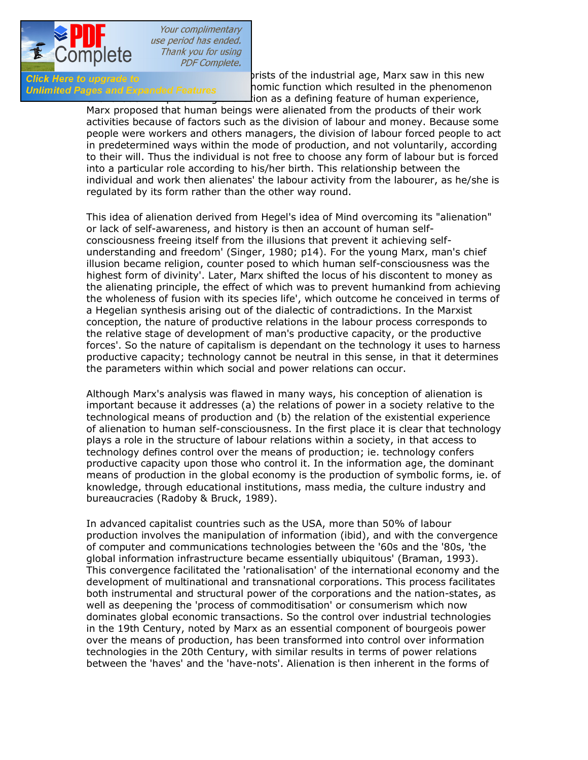

**Click Here to upgrade to Assume the most significant theorists of the industrial age, Marx saw in this new** Unlimited Pages and Expanded Features homic function which resulted in the phenomenon  $\Box$ ion as a defining feature of human experience,

Marx proposed that human beings were alienated from the products of their work activities because of factors such as the division of labour and money. Because some people were workers and others managers, the division of labour forced people to act in predetermined ways within the mode of production, and not voluntarily, according to their will. Thus the individual is not free to choose any form of labour but is forced into a particular role according to his/her birth. This relationship between the individual and work then alienates' the labour activity from the labourer, as he/she is regulated by its form rather than the other way round.

This idea of alienation derived from Hegel's idea of Mind overcoming its "alienation" or lack of self-awareness, and history is then an account of human selfconsciousness freeing itself from the illusions that prevent it achieving selfunderstanding and freedom' (Singer, 1980; p14). For the young Marx, man's chief illusion became religion, counter posed to which human self-consciousness was the highest form of divinity'. Later, Marx shifted the locus of his discontent to money as the alienating principle, the effect of which was to prevent humankind from achieving the wholeness of fusion with its species life', which outcome he conceived in terms of a Hegelian synthesis arising out of the dialectic of contradictions. In the Marxist conception, the nature of productive relations in the labour process corresponds to the relative stage of development of man's productive capacity, or the productive forces'. So the nature of capitalism is dependant on the technology it uses to harness productive capacity; technology cannot be neutral in this sense, in that it determines the parameters within which social and power relations can occur.

Although Marx's analysis was flawed in many ways, his conception of alienation is important because it addresses (a) the relations of power in a society relative to the technological means of production and (b) the relation of the existential experience of alienation to human self-consciousness. In the first place it is clear that technology plays a role in the structure of labour relations within a society, in that access to technology defines control over the means of production; ie. technology confers productive capacity upon those who control it. In the information age, the dominant means of production in the global economy is the production of symbolic forms, ie. of knowledge, through educational institutions, mass media, the culture industry and bureaucracies (Radoby & Bruck, 1989).

In advanced capitalist countries such as the USA, more than 50% of labour production involves the manipulation of information (ibid), and with the convergence of computer and communications technologies between the '60s and the '80s, 'the global information infrastructure became essentially ubiquitous' (Braman, 1993). This convergence facilitated the 'rationalisation' of the international economy and the development of multinational and transnational corporations. This process facilitates both instrumental and structural power of the corporations and the nation-states, as well as deepening the 'process of commoditisation' or consumerism which now dominates global economic transactions. So the control over industrial technologies in the 19th Century, noted by Marx as an essential component of bourgeois power over the means of production, has been transformed into control over information technologies in the 20th Century, with similar results in terms of power relations between the 'haves' and the 'have-nots'. Alienation is then inherent in the forms of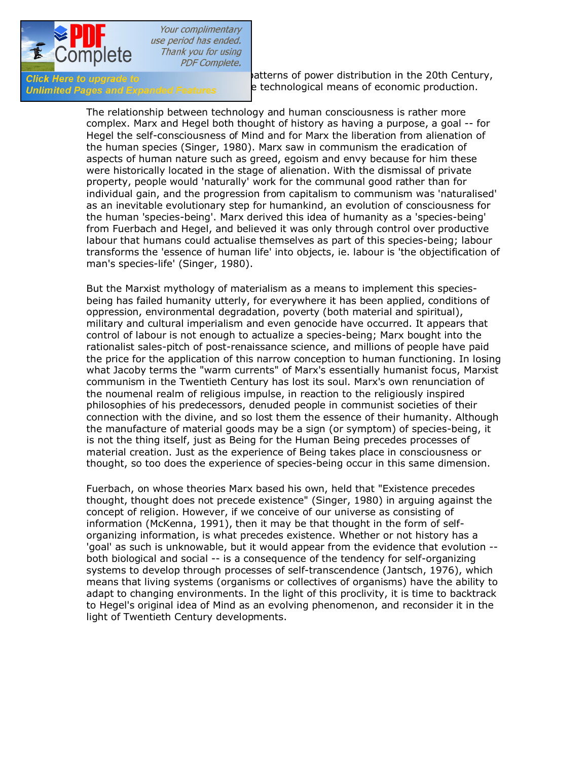

Click Here to upgrade to patterns of power distribution in the 20th Century, Unlimited Pages and Expanded Features enterthological means of economic production.

> The relationship between technology and human consciousness is rather more complex. Marx and Hegel both thought of history as having a purpose, a goal -- for Hegel the self-consciousness of Mind and for Marx the liberation from alienation of the human species (Singer, 1980). Marx saw in communism the eradication of aspects of human nature such as greed, egoism and envy because for him these were historically located in the stage of alienation. With the dismissal of private property, people would 'naturally' work for the communal good rather than for individual gain, and the progression from capitalism to communism was 'naturalised' as an inevitable evolutionary step for humankind, an evolution of consciousness for the human 'species-being'. Marx derived this idea of humanity as a 'species-being' from Fuerbach and Hegel, and believed it was only through control over productive labour that humans could actualise themselves as part of this species-being; labour transforms the 'essence of human life' into objects, ie. labour is 'the objectification of man's species-life' (Singer, 1980).

> But the Marxist mythology of materialism as a means to implement this speciesbeing has failed humanity utterly, for everywhere it has been applied, conditions of oppression, environmental degradation, poverty (both material and spiritual), military and cultural imperialism and even genocide have occurred. It appears that control of labour is not enough to actualize a species-being; Marx bought into the rationalist sales-pitch of post-renaissance science, and millions of people have paid the price for the application of this narrow conception to human functioning. In losing what Jacoby terms the "warm currents" of Marx's essentially humanist focus, Marxist communism in the Twentieth Century has lost its soul. Marx's own renunciation of the noumenal realm of religious impulse, in reaction to the religiously inspired philosophies of his predecessors, denuded people in communist societies of their connection with the divine, and so lost them the essence of their humanity. Although the manufacture of material goods may be a sign (or symptom) of species-being, it is not the thing itself, just as Being for the Human Being precedes processes of material creation. Just as the experience of Being takes place in consciousness or thought, so too does the experience of species-being occur in this same dimension.

> Fuerbach, on whose theories Marx based his own, held that "Existence precedes thought, thought does not precede existence" (Singer, 1980) in arguing against the concept of religion. However, if we conceive of our universe as consisting of information (McKenna, 1991), then it may be that thought in the form of selforganizing information, is what precedes existence. Whether or not history has a 'goal' as such is unknowable, but it would appear from the evidence that evolution  $\cdot$ both biological and social -- is a consequence of the tendency for self-organizing systems to develop through processes of self-transcendence (Jantsch, 1976), which means that living systems (organisms or collectives of organisms) have the ability to adapt to changing environments. In the light of this proclivity, it is time to backtrack to Hegel's original idea of Mind as an evolving phenomenon, and reconsider it in the light of Twentieth Century developments.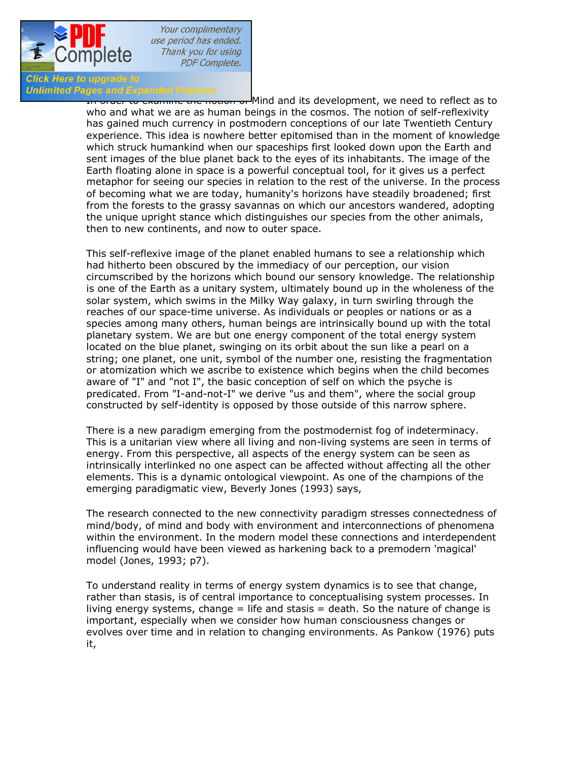

#### **Click Here to upgrade to Unlimited Pages and Expanded Features**

Aumme the notion of Mind and its development, we need to reflect as to who and what we are as human beings in the cosmos. The notion of self-reflexivity has gained much currency in postmodern conceptions of our late Twentieth Century experience. This idea is nowhere better epitomised than in the moment of knowledge which struck humankind when our spaceships first looked down upon the Earth and sent images of the blue planet back to the eyes of its inhabitants. The image of the Earth floating alone in space is a powerful conceptual tool, for it gives us a perfect metaphor for seeing our species in relation to the rest of the universe. In the process of becoming what we are today, humanity's horizons have steadily broadened; first from the forests to the grassy savannas on which our ancestors wandered, adopting the unique upright stance which distinguishes our species from the other animals, then to new continents, and now to outer space.

This self-reflexive image of the planet enabled humans to see a relationship which had hitherto been obscured by the immediacy of our perception, our vision circumscribed by the horizons which bound our sensory knowledge. The relationship is one of the Earth as a unitary system, ultimately bound up in the wholeness of the solar system, which swims in the Milky Way galaxy, in turn swirling through the reaches of our space-time universe. As individuals or peoples or nations or as a species among many others, human beings are intrinsically bound up with the total planetary system. We are but one energy component of the total energy system located on the blue planet, swinging on its orbit about the sun like a pearl on a string; one planet, one unit, symbol of the number one, resisting the fragmentation or atomization which we ascribe to existence which begins when the child becomes aware of "I" and "not I", the basic conception of self on which the psyche is predicated. From "I-and-not-I" we derive "us and them", where the social group constructed by self-identity is opposed by those outside of this narrow sphere.

There is a new paradigm emerging from the postmodernist fog of indeterminacy. This is a unitarian view where all living and non-living systems are seen in terms of energy. From this perspective, all aspects of the energy system can be seen as intrinsically interlinked no one aspect can be affected without affecting all the other elements. This is a dynamic ontological viewpoint. As one of the champions of the emerging paradigmatic view, Beverly Jones (1993) says,

The research connected to the new connectivity paradigm stresses connectedness of mind/body, of mind and body with environment and interconnections of phenomena within the environment. In the modern model these connections and interdependent influencing would have been viewed as harkening back to a premodern 'magical' model (Jones, 1993; p7).

To understand reality in terms of energy system dynamics is to see that change, rather than stasis, is of central importance to conceptualising system processes. In living energy systems, change  $=$  life and stasis  $=$  death. So the nature of change is important, especially when we consider how human consciousness changes or evolves over time and in relation to changing environments. As Pankow (1976) puts it,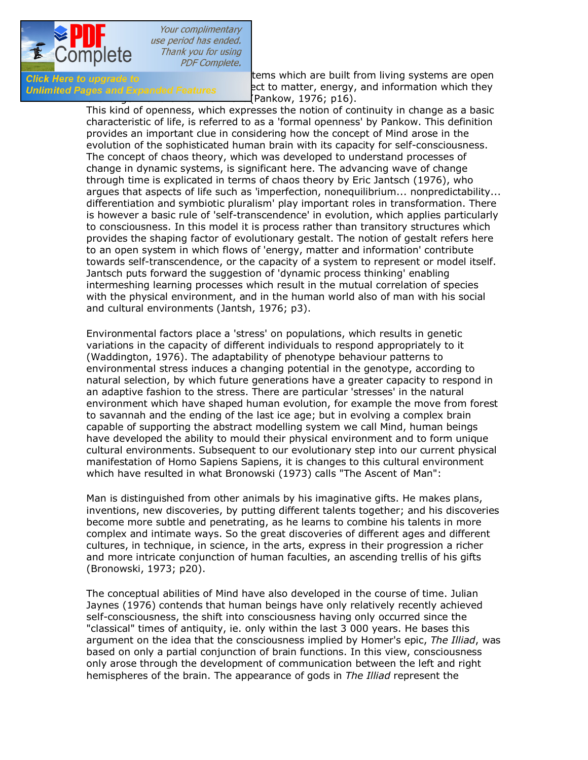

Click Here to upgrade to **All supersystems** which are built from living systems are open Unlimited Pages and Expanded Features ect to matter, energy, and information which they (Pankow, 1976; p16).

> This kind of openness, which expresses the notion of continuity in change as a basic characteristic of life, is referred to as a 'formal openness' by Pankow. This definition provides an important clue in considering how the concept of Mind arose in the evolution of the sophisticated human brain with its capacity for self-consciousness. The concept of chaos theory, which was developed to understand processes of change in dynamic systems, is significant here. The advancing wave of change through time is explicated in terms of chaos theory by Eric Jantsch (1976), who argues that aspects of life such as 'imperfection, nonequilibrium... nonpredictability... differentiation and symbiotic pluralism' play important roles in transformation. There is however a basic rule of 'self-transcendence' in evolution, which applies particularly to consciousness. In this model it is process rather than transitory structures which provides the shaping factor of evolutionary gestalt. The notion of gestalt refers here to an open system in which flows of 'energy, matter and information' contribute towards self-transcendence, or the capacity of a system to represent or model itself. Jantsch puts forward the suggestion of 'dynamic process thinking' enabling intermeshing learning processes which result in the mutual correlation of species with the physical environment, and in the human world also of man with his social and cultural environments (Jantsh, 1976; p3).

> Environmental factors place a 'stress' on populations, which results in genetic variations in the capacity of different individuals to respond appropriately to it (Waddington, 1976). The adaptability of phenotype behaviour patterns to environmental stress induces a changing potential in the genotype, according to natural selection, by which future generations have a greater capacity to respond in an adaptive fashion to the stress. There are particular 'stresses' in the natural environment which have shaped human evolution, for example the move from forest to savannah and the ending of the last ice age; but in evolving a complex brain capable of supporting the abstract modelling system we call Mind, human beings have developed the ability to mould their physical environment and to form unique cultural environments. Subsequent to our evolutionary step into our current physical manifestation of Homo Sapiens Sapiens, it is changes to this cultural environment which have resulted in what Bronowski (1973) calls "The Ascent of Man":

> Man is distinguished from other animals by his imaginative gifts. He makes plans, inventions, new discoveries, by putting different talents together; and his discoveries become more subtle and penetrating, as he learns to combine his talents in more complex and intimate ways. So the great discoveries of different ages and different cultures, in technique, in science, in the arts, express in their progression a richer and more intricate conjunction of human faculties, an ascending trellis of his gifts (Bronowski, 1973; p20).

> The conceptual abilities of Mind have also developed in the course of time. Julian Jaynes (1976) contends that human beings have only relatively recently achieved self-consciousness, the shift into consciousness having only occurred since the "classical" times of antiquity, ie. only within the last 3 000 years. He bases this argument on the idea that the consciousness implied by Homer's epic, *The Illiad*, was based on only a partial conjunction of brain functions. In this view, consciousness only arose through the development of communication between the left and right hemispheres of the brain. The appearance of gods in *The Illiad* represent the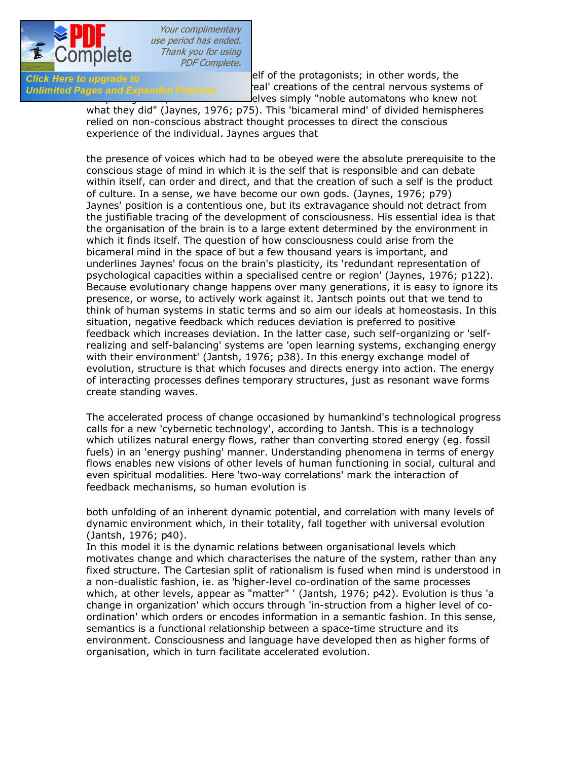

**Click Here to upgrade to example with the self of the protagonists; in other words, the** Unlimited Pages and Expanded Features eal' creations of the central nervous systems of elves simply "noble automatons who knew not

what they did" (Jaynes, 1976; p75). This 'bicameral mind' of divided hemispheres relied on non-conscious abstract thought processes to direct the conscious experience of the individual. Jaynes argues that

the presence of voices which had to be obeyed were the absolute prerequisite to the conscious stage of mind in which it is the self that is responsible and can debate within itself, can order and direct, and that the creation of such a self is the product of culture. In a sense, we have become our own gods. (Jaynes, 1976; p79) Jaynes' position is a contentious one, but its extravagance should not detract from the justifiable tracing of the development of consciousness. His essential idea is that the organisation of the brain is to a large extent determined by the environment in which it finds itself. The question of how consciousness could arise from the bicameral mind in the space of but a few thousand years is important, and underlines Jaynes' focus on the brain's plasticity, its 'redundant representation of psychological capacities within a specialised centre or region' (Jaynes, 1976; p122). Because evolutionary change happens over many generations, it is easy to ignore its presence, or worse, to actively work against it. Jantsch points out that we tend to think of human systems in static terms and so aim our ideals at homeostasis. In this situation, negative feedback which reduces deviation is preferred to positive feedback which increases deviation. In the latter case, such self-organizing or 'selfrealizing and self-balancing' systems are 'open learning systems, exchanging energy with their environment' (Jantsh, 1976; p38). In this energy exchange model of evolution, structure is that which focuses and directs energy into action. The energy of interacting processes defines temporary structures, just as resonant wave forms create standing waves.

The accelerated process of change occasioned by humankind's technological progress calls for a new 'cybernetic technology', according to Jantsh. This is a technology which utilizes natural energy flows, rather than converting stored energy (eg. fossil fuels) in an 'energy pushing' manner. Understanding phenomena in terms of energy flows enables new visions of other levels of human functioning in social, cultural and even spiritual modalities. Here 'two-way correlations' mark the interaction of feedback mechanisms, so human evolution is

both unfolding of an inherent dynamic potential, and correlation with many levels of dynamic environment which, in their totality, fall together with universal evolution (Jantsh, 1976; p40).

In this model it is the dynamic relations between organisational levels which motivates change and which characterises the nature of the system, rather than any fixed structure. The Cartesian split of rationalism is fused when mind is understood in a non-dualistic fashion, ie. as 'higher-level co-ordination of the same processes which, at other levels, appear as "matter" ' (Jantsh, 1976; p42). Evolution is thus 'a change in organization' which occurs through 'in-struction from a higher level of coordination' which orders or encodes information in a semantic fashion. In this sense, semantics is a functional relationship between a space-time structure and its environment. Consciousness and language have developed then as higher forms of organisation, which in turn facilitate accelerated evolution.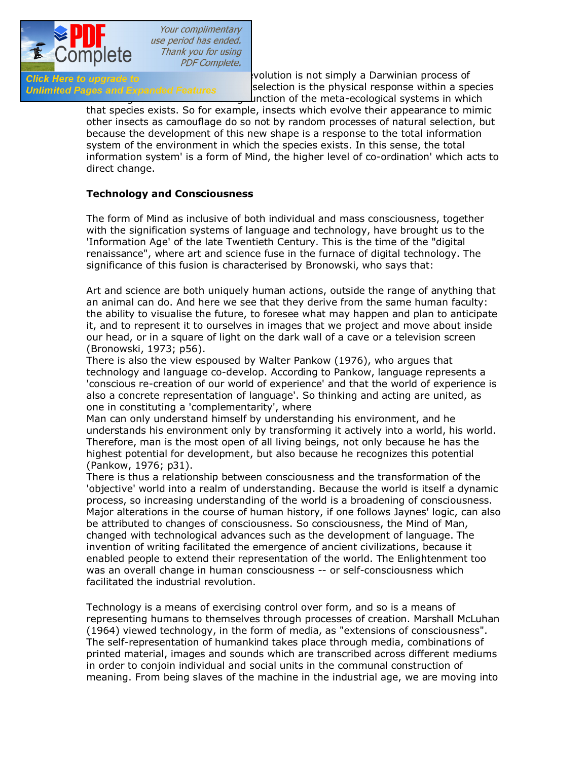

Click Here to upgrade to **above arguments** in process of simply a Darwinian process of Unlimited Pages and Expanded Features selection is the physical response within a species unction of the meta-ecological systems in which

that species exists. So for example, insects which evolve their appearance to mimic other insects as camouflage do so not by random processes of natural selection, but because the development of this new shape is a response to the total information system of the environment in which the species exists. In this sense, the total information system' is a form of Mind, the higher level of co-ordination' which acts to direct change.

## **Technology and Consciousness**

The form of Mind as inclusive of both individual and mass consciousness, together with the signification systems of language and technology, have brought us to the 'Information Age' of the late Twentieth Century. This is the time of the "digital renaissance", where art and science fuse in the furnace of digital technology. The significance of this fusion is characterised by Bronowski, who says that:

Art and science are both uniquely human actions, outside the range of anything that an animal can do. And here we see that they derive from the same human faculty: the ability to visualise the future, to foresee what may happen and plan to anticipate it, and to represent it to ourselves in images that we project and move about inside our head, or in a square of light on the dark wall of a cave or a television screen (Bronowski, 1973; p56).

There is also the view espoused by Walter Pankow (1976), who argues that technology and language co-develop. According to Pankow, language represents a 'conscious re-creation of our world of experience' and that the world of experience is also a concrete representation of language'. So thinking and acting are united, as one in constituting a 'complementarity', where

Man can only understand himself by understanding his environment, and he understands his environment only by transforming it actively into a world, his world. Therefore, man is the most open of all living beings, not only because he has the highest potential for development, but also because he recognizes this potential (Pankow, 1976; p31).

There is thus a relationship between consciousness and the transformation of the 'objective' world into a realm of understanding. Because the world is itself a dynamic process, so increasing understanding of the world is a broadening of consciousness. Major alterations in the course of human history, if one follows Jaynes' logic, can also be attributed to changes of consciousness. So consciousness, the Mind of Man, changed with technological advances such as the development of language. The invention of writing facilitated the emergence of ancient civilizations, because it enabled people to extend their representation of the world. The Enlightenment too was an overall change in human consciousness -- or self-consciousness which facilitated the industrial revolution.

Technology is a means of exercising control over form, and so is a means of representing humans to themselves through processes of creation. Marshall McLuhan (1964) viewed technology, in the form of media, as "extensions of consciousness". The self-representation of humankind takes place through media, combinations of printed material, images and sounds which are transcribed across different mediums in order to conjoin individual and social units in the communal construction of meaning. From being slaves of the machine in the industrial age, we are moving into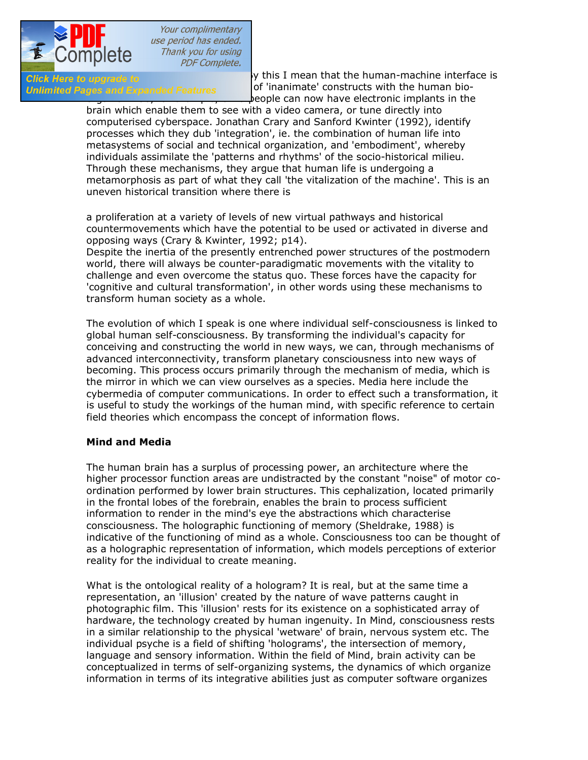

**Click Here to upgrade to example 19 Synthesis With SI mean that the human-machine interface is Unlimited Pages and Expanded Features** of 'inanimate' constructs with the human biopeople can now have electronic implants in the

brain which enable them to see with a video camera, or tune directly into computerised cyberspace. Jonathan Crary and Sanford Kwinter (1992), identify processes which they dub 'integration', ie. the combination of human life into metasystems of social and technical organization, and 'embodiment', whereby individuals assimilate the 'patterns and rhythms' of the socio-historical milieu. Through these mechanisms, they argue that human life is undergoing a metamorphosis as part of what they call 'the vitalization of the machine'. This is an uneven historical transition where there is

a proliferation at a variety of levels of new virtual pathways and historical countermovements which have the potential to be used or activated in diverse and opposing ways (Crary & Kwinter, 1992; p14).

Despite the inertia of the presently entrenched power structures of the postmodern world, there will always be counter-paradigmatic movements with the vitality to challenge and even overcome the status quo. These forces have the capacity for 'cognitive and cultural transformation', in other words using these mechanisms to transform human society as a whole.

The evolution of which I speak is one where individual self-consciousness is linked to global human self-consciousness. By transforming the individual's capacity for conceiving and constructing the world in new ways, we can, through mechanisms of advanced interconnectivity, transform planetary consciousness into new ways of becoming. This process occurs primarily through the mechanism of media, which is the mirror in which we can view ourselves as a species. Media here include the cybermedia of computer communications. In order to effect such a transformation, it is useful to study the workings of the human mind, with specific reference to certain field theories which encompass the concept of information flows.

## **Mind and Media**

The human brain has a surplus of processing power, an architecture where the higher processor function areas are undistracted by the constant "noise" of motor coordination performed by lower brain structures. This cephalization, located primarily in the frontal lobes of the forebrain, enables the brain to process sufficient information to render in the mind's eye the abstractions which characterise consciousness. The holographic functioning of memory (Sheldrake, 1988) is indicative of the functioning of mind as a whole. Consciousness too can be thought of as a holographic representation of information, which models perceptions of exterior reality for the individual to create meaning.

What is the ontological reality of a hologram? It is real, but at the same time a representation, an 'illusion' created by the nature of wave patterns caught in photographic film. This 'illusion' rests for its existence on a sophisticated array of hardware, the technology created by human ingenuity. In Mind, consciousness rests in a similar relationship to the physical 'wetware' of brain, nervous system etc. The individual psyche is a field of shifting 'holograms', the intersection of memory, language and sensory information. Within the field of Mind, brain activity can be conceptualized in terms of self-organizing systems, the dynamics of which organize information in terms of its integrative abilities just as computer software organizes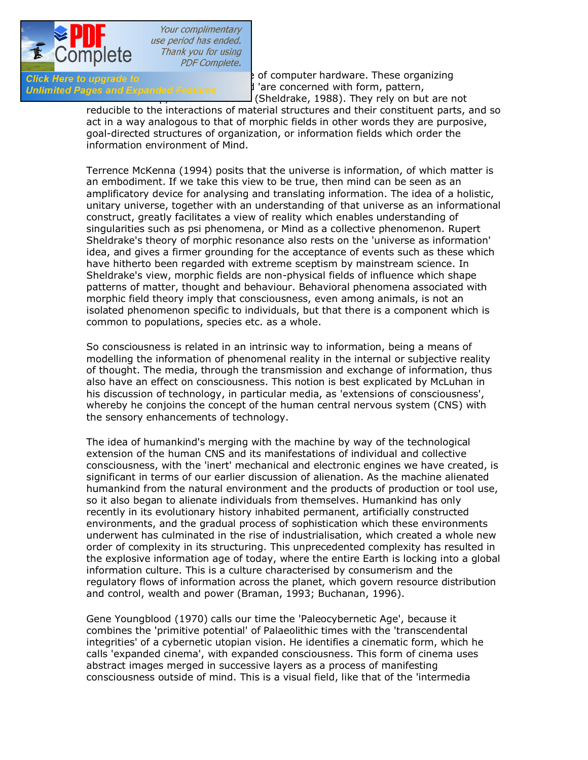

**Unlimited Pages and Expanded Features** 1 are concerned with form, pattern,

**Click Here to upgrade to information with the architecture of computer hardware. These organizing**  $I$  (Sheldrake, 1988). They rely on but are not

reducible to the interactions of material structures and their constituent parts, and so act in a way analogous to that of morphic fields in other words they are purposive, goal-directed structures of organization, or information fields which order the information environment of Mind.

Terrence McKenna (1994) posits that the universe is information, of which matter is an embodiment. If we take this view to be true, then mind can be seen as an amplificatory device for analysing and translating information. The idea of a holistic, unitary universe, together with an understanding of that universe as an informational construct, greatly facilitates a view of reality which enables understanding of singularities such as psi phenomena, or Mind as a collective phenomenon. Rupert Sheldrake's theory of morphic resonance also rests on the 'universe as information' idea, and gives a firmer grounding for the acceptance of events such as these which have hitherto been regarded with extreme sceptism by mainstream science. In Sheldrake's view, morphic fields are non-physical fields of influence which shape patterns of matter, thought and behaviour. Behavioral phenomena associated with morphic field theory imply that consciousness, even among animals, is not an isolated phenomenon specific to individuals, but that there is a component which is common to populations, species etc. as a whole.

So consciousness is related in an intrinsic way to information, being a means of modelling the information of phenomenal reality in the internal or subjective reality of thought. The media, through the transmission and exchange of information, thus also have an effect on consciousness. This notion is best explicated by McLuhan in his discussion of technology, in particular media, as 'extensions of consciousness', whereby he conjoins the concept of the human central nervous system (CNS) with the sensory enhancements of technology.

The idea of humankind's merging with the machine by way of the technological extension of the human CNS and its manifestations of individual and collective consciousness, with the 'inert' mechanical and electronic engines we have created, is significant in terms of our earlier discussion of alienation. As the machine alienated humankind from the natural environment and the products of production or tool use, so it also began to alienate individuals from themselves. Humankind has only recently in its evolutionary history inhabited permanent, artificially constructed environments, and the gradual process of sophistication which these environments underwent has culminated in the rise of industrialisation, which created a whole new order of complexity in its structuring. This unprecedented complexity has resulted in the explosive information age of today, where the entire Earth is locking into a global information culture. This is a culture characterised by consumerism and the regulatory flows of information across the planet, which govern resource distribution and control, wealth and power (Braman, 1993; Buchanan, 1996).

Gene Youngblood (1970) calls our time the 'Paleocybernetic Age', because it combines the 'primitive potential' of Palaeolithic times with the 'transcendental integrities' of a cybernetic utopian vision. He identifies a cinematic form, which he calls 'expanded cinema', with expanded consciousness. This form of cinema uses abstract images merged in successive layers as a process of manifesting consciousness outside of mind. This is a visual field, like that of the 'intermedia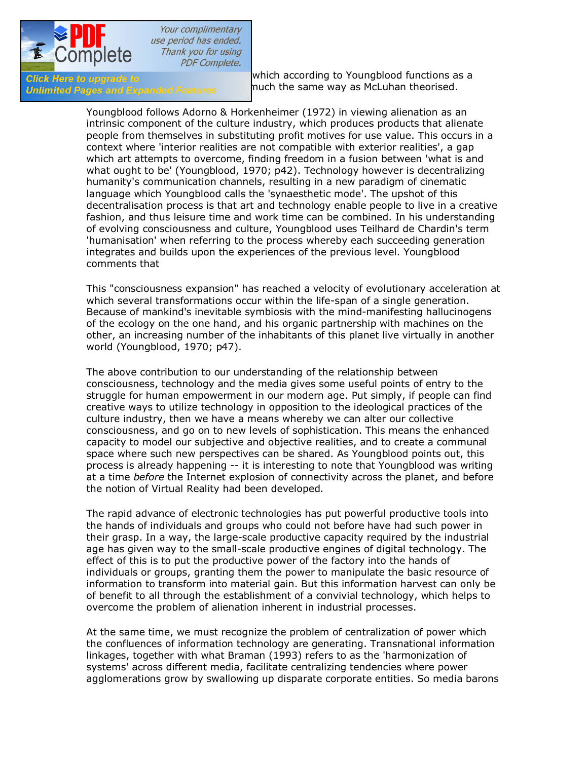

Unlimited Pages and Expanded Features huch the same way as McLuhan theorised.

**Click Here to upgrade to controll the controller which according to Youngblood functions as a** 

Youngblood follows Adorno & Horkenheimer (1972) in viewing alienation as an intrinsic component of the culture industry, which produces products that alienate people from themselves in substituting profit motives for use value. This occurs in a context where 'interior realities are not compatible with exterior realities', a gap which art attempts to overcome, finding freedom in a fusion between 'what is and what ought to be' (Youngblood, 1970; p42). Technology however is decentralizing humanity's communication channels, resulting in a new paradigm of cinematic language which Youngblood calls the 'synaesthetic mode'. The upshot of this decentralisation process is that art and technology enable people to live in a creative fashion, and thus leisure time and work time can be combined. In his understanding of evolving consciousness and culture, Youngblood uses Teilhard de Chardin's term 'humanisation' when referring to the process whereby each succeeding generation integrates and builds upon the experiences of the previous level. Youngblood comments that

This "consciousness expansion" has reached a velocity of evolutionary acceleration at which several transformations occur within the life-span of a single generation. Because of mankind's inevitable symbiosis with the mind-manifesting hallucinogens of the ecology on the one hand, and his organic partnership with machines on the other, an increasing number of the inhabitants of this planet live virtually in another world (Youngblood, 1970; p47).

The above contribution to our understanding of the relationship between consciousness, technology and the media gives some useful points of entry to the struggle for human empowerment in our modern age. Put simply, if people can find creative ways to utilize technology in opposition to the ideological practices of the culture industry, then we have a means whereby we can alter our collective consciousness, and go on to new levels of sophistication. This means the enhanced capacity to model our subjective and objective realities, and to create a communal space where such new perspectives can be shared. As Youngblood points out, this process is already happening -- it is interesting to note that Youngblood was writing at a time *before* the Internet explosion of connectivity across the planet, and before the notion of Virtual Reality had been developed.

The rapid advance of electronic technologies has put powerful productive tools into the hands of individuals and groups who could not before have had such power in their grasp. In a way, the large-scale productive capacity required by the industrial age has given way to the small-scale productive engines of digital technology. The effect of this is to put the productive power of the factory into the hands of individuals or groups, granting them the power to manipulate the basic resource of information to transform into material gain. But this information harvest can only be of benefit to all through the establishment of a convivial technology, which helps to overcome the problem of alienation inherent in industrial processes.

At the same time, we must recognize the problem of centralization of power which the confluences of information technology are generating. Transnational information linkages, together with what Braman (1993) refers to as the 'harmonization of systems' across different media, facilitate centralizing tendencies where power agglomerations grow by swallowing up disparate corporate entities. So media barons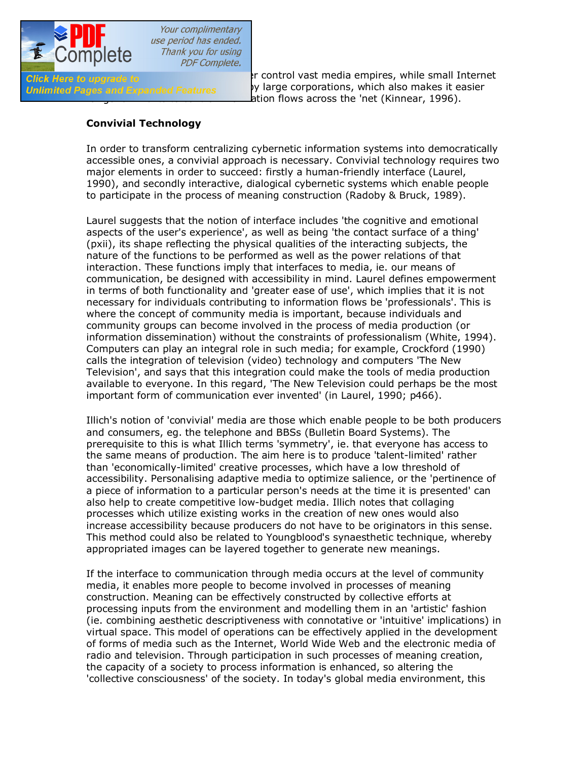

**Click Here to upgrade to Turner Click Alexander Click Alexander Click Alexander Click Alexander Click Alexander** Unlimited Pages and Expanded Features by large corporations, which also makes it easier ation flows across the 'net (Kinnear, 1996).

## **Convivial Technology**

In order to transform centralizing cybernetic information systems into democratically accessible ones, a convivial approach is necessary. Convivial technology requires two major elements in order to succeed: firstly a human-friendly interface (Laurel, 1990), and secondly interactive, dialogical cybernetic systems which enable people to participate in the process of meaning construction (Radoby & Bruck, 1989).

Laurel suggests that the notion of interface includes 'the cognitive and emotional aspects of the user's experience', as well as being 'the contact surface of a thing' (pxii), its shape reflecting the physical qualities of the interacting subjects, the nature of the functions to be performed as well as the power relations of that interaction. These functions imply that interfaces to media, ie. our means of communication, be designed with accessibility in mind. Laurel defines empowerment in terms of both functionality and 'greater ease of use', which implies that it is not necessary for individuals contributing to information flows be 'professionals'. This is where the concept of community media is important, because individuals and community groups can become involved in the process of media production (or information dissemination) without the constraints of professionalism (White, 1994). Computers can play an integral role in such media; for example, Crockford (1990) calls the integration of television (video) technology and computers 'The New Television', and says that this integration could make the tools of media production available to everyone. In this regard, 'The New Television could perhaps be the most important form of communication ever invented' (in Laurel, 1990; p466).

Illich's notion of 'convivial' media are those which enable people to be both producers and consumers, eg. the telephone and BBSs (Bulletin Board Systems). The prerequisite to this is what Illich terms 'symmetry', ie. that everyone has access to the same means of production. The aim here is to produce 'talent-limited' rather than 'economically-limited' creative processes, which have a low threshold of accessibility. Personalising adaptive media to optimize salience, or the 'pertinence of a piece of information to a particular person's needs at the time it is presented' can also help to create competitive low-budget media. Illich notes that collaging processes which utilize existing works in the creation of new ones would also increase accessibility because producers do not have to be originators in this sense. This method could also be related to Youngblood's synaesthetic technique, whereby appropriated images can be layered together to generate new meanings.

If the interface to communication through media occurs at the level of community media, it enables more people to become involved in processes of meaning construction. Meaning can be effectively constructed by collective efforts at processing inputs from the environment and modelling them in an 'artistic' fashion (ie. combining aesthetic descriptiveness with connotative or 'intuitive' implications) in virtual space. This model of operations can be effectively applied in the development of forms of media such as the Internet, World Wide Web and the electronic media of radio and television. Through participation in such processes of meaning creation, the capacity of a society to process information is enhanced, so altering the 'collective consciousness' of the society. In today's global media environment, this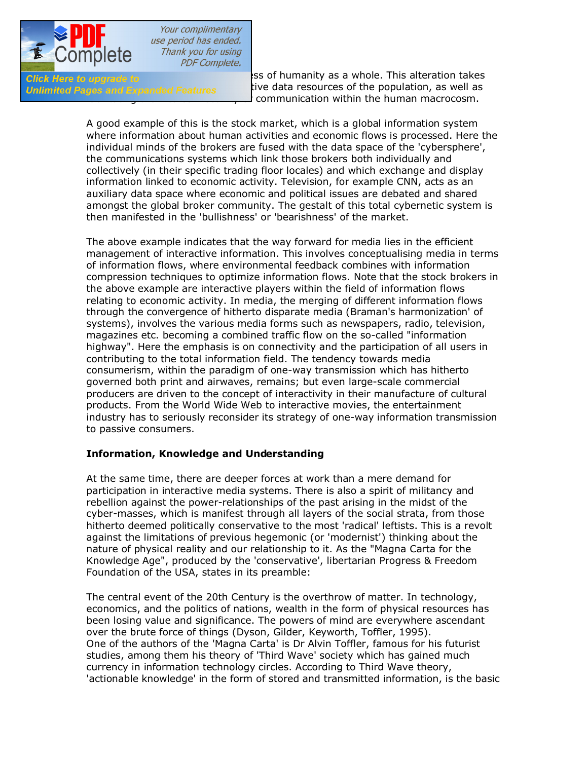

Click Here to upgrade to **interval in the consciousness** iss of humanity as a whole. This alteration takes **Unlimited Pages and Expanded Features** Live data resources of the population, as well as  $\epsilon$  communication within the human macrocosm.

> A good example of this is the stock market, which is a global information system where information about human activities and economic flows is processed. Here the individual minds of the brokers are fused with the data space of the 'cybersphere', the communications systems which link those brokers both individually and collectively (in their specific trading floor locales) and which exchange and display information linked to economic activity. Television, for example CNN, acts as an auxiliary data space where economic and political issues are debated and shared amongst the global broker community. The gestalt of this total cybernetic system is then manifested in the 'bullishness' or 'bearishness' of the market.

> The above example indicates that the way forward for media lies in the efficient management of interactive information. This involves conceptualising media in terms of information flows, where environmental feedback combines with information compression techniques to optimize information flows. Note that the stock brokers in the above example are interactive players within the field of information flows relating to economic activity. In media, the merging of different information flows through the convergence of hitherto disparate media (Braman's harmonization' of systems), involves the various media forms such as newspapers, radio, television, magazines etc. becoming a combined traffic flow on the so-called "information highway". Here the emphasis is on connectivity and the participation of all users in contributing to the total information field. The tendency towards media consumerism, within the paradigm of one-way transmission which has hitherto governed both print and airwaves, remains; but even large-scale commercial producers are driven to the concept of interactivity in their manufacture of cultural products. From the World Wide Web to interactive movies, the entertainment industry has to seriously reconsider its strategy of one-way information transmission to passive consumers.

## **Information, Knowledge and Understanding**

At the same time, there are deeper forces at work than a mere demand for participation in interactive media systems. There is also a spirit of militancy and rebellion against the power-relationships of the past arising in the midst of the cyber-masses, which is manifest through all layers of the social strata, from those hitherto deemed politically conservative to the most 'radical' leftists. This is a revolt against the limitations of previous hegemonic (or 'modernist') thinking about the nature of physical reality and our relationship to it. As the "Magna Carta for the Knowledge Age", produced by the 'conservative', libertarian Progress & Freedom Foundation of the USA, states in its preamble:

The central event of the 20th Century is the overthrow of matter. In technology, economics, and the politics of nations, wealth in the form of physical resources has been losing value and significance. The powers of mind are everywhere ascendant over the brute force of things (Dyson, Gilder, Keyworth, Toffler, 1995). One of the authors of the 'Magna Carta' is Dr Alvin Toffler, famous for his futurist studies, among them his theory of 'Third Wave' society which has gained much currency in information technology circles. According to Third Wave theory, 'actionable knowledge' in the form of stored and transmitted information, is the basic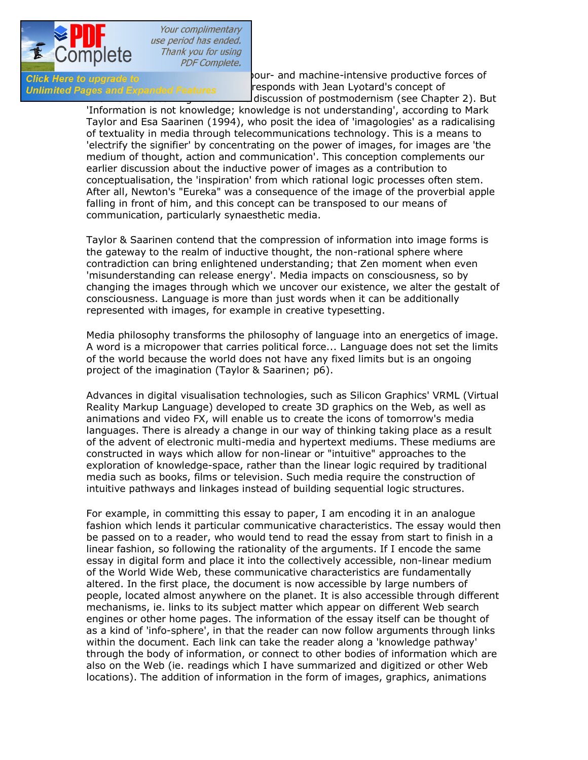

**Unlimited Pages and Expanded Features** responds with Jean Lyotard's concept of

**Click Here to upgrade to Exercise 2018 Click is replacing to labour-** and machine-intensive productive forces of discussion of postmodernism (see Chapter 2). But

> 'Information is not knowledge; knowledge is not understanding', according to Mark Taylor and Esa Saarinen (1994), who posit the idea of 'imagologies' as a radicalising of textuality in media through telecommunications technology. This is a means to 'electrify the signifier' by concentrating on the power of images, for images are 'the medium of thought, action and communication'. This conception complements our earlier discussion about the inductive power of images as a contribution to conceptualisation, the 'inspiration' from which rational logic processes often stem. After all, Newton's "Eureka" was a consequence of the image of the proverbial apple falling in front of him, and this concept can be transposed to our means of communication, particularly synaesthetic media.

Taylor & Saarinen contend that the compression of information into image forms is the gateway to the realm of inductive thought, the non-rational sphere where contradiction can bring enlightened understanding; that Zen moment when even 'misunderstanding can release energy'. Media impacts on consciousness, so by changing the images through which we uncover our existence, we alter the gestalt of consciousness. Language is more than just words when it can be additionally represented with images, for example in creative typesetting.

Media philosophy transforms the philosophy of language into an energetics of image. A word is a micropower that carries political force... Language does not set the limits of the world because the world does not have any fixed limits but is an ongoing project of the imagination (Taylor & Saarinen; p6).

Advances in digital visualisation technologies, such as Silicon Graphics' VRML (Virtual Reality Markup Language) developed to create 3D graphics on the Web, as well as animations and video FX, will enable us to create the icons of tomorrow's media languages. There is already a change in our way of thinking taking place as a result of the advent of electronic multi-media and hypertext mediums. These mediums are constructed in ways which allow for non-linear or "intuitive" approaches to the exploration of knowledge-space, rather than the linear logic required by traditional media such as books, films or television. Such media require the construction of intuitive pathways and linkages instead of building sequential logic structures.

For example, in committing this essay to paper, I am encoding it in an analogue fashion which lends it particular communicative characteristics. The essay would then be passed on to a reader, who would tend to read the essay from start to finish in a linear fashion, so following the rationality of the arguments. If I encode the same essay in digital form and place it into the collectively accessible, non-linear medium of the World Wide Web, these communicative characteristics are fundamentally altered. In the first place, the document is now accessible by large numbers of people, located almost anywhere on the planet. It is also accessible through different mechanisms, ie. links to its subject matter which appear on different Web search engines or other home pages. The information of the essay itself can be thought of as a kind of 'info-sphere', in that the reader can now follow arguments through links within the document. Each link can take the reader along a 'knowledge pathway' through the body of information, or connect to other bodies of information which are also on the Web (ie. readings which I have summarized and digitized or other Web locations). The addition of information in the form of images, graphics, animations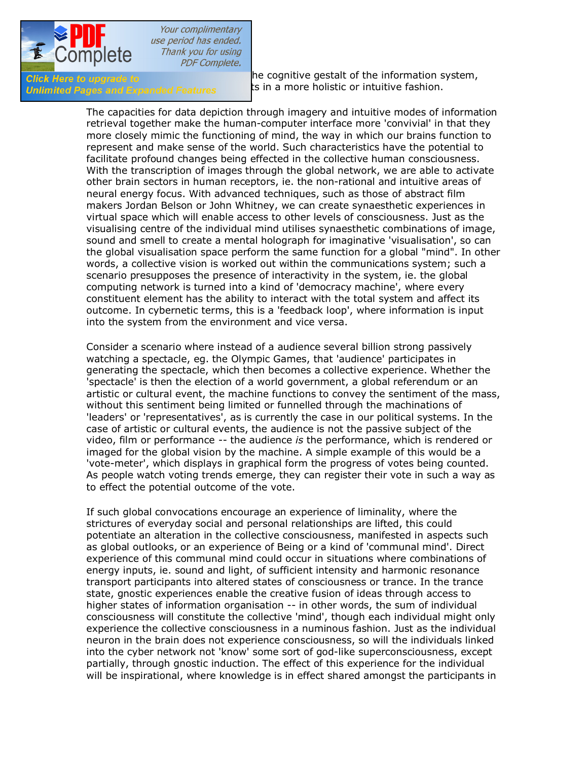

**Unlimited Pages and Expanded Features** ts in a more holistic or intuitive fashion.

**Click Here to upgrade to** client community the cognitive gestalt of the information system,

The capacities for data depiction through imagery and intuitive modes of information retrieval together make the human-computer interface more 'convivial' in that they more closely mimic the functioning of mind, the way in which our brains function to represent and make sense of the world. Such characteristics have the potential to facilitate profound changes being effected in the collective human consciousness. With the transcription of images through the global network, we are able to activate other brain sectors in human receptors, ie. the non-rational and intuitive areas of neural energy focus. With advanced techniques, such as those of abstract film makers Jordan Belson or John Whitney, we can create synaesthetic experiences in virtual space which will enable access to other levels of consciousness. Just as the visualising centre of the individual mind utilises synaesthetic combinations of image, sound and smell to create a mental holograph for imaginative 'visualisation', so can the global visualisation space perform the same function for a global "mind". In other words, a collective vision is worked out within the communications system; such a scenario presupposes the presence of interactivity in the system, ie. the global computing network is turned into a kind of 'democracy machine', where every constituent element has the ability to interact with the total system and affect its outcome. In cybernetic terms, this is a 'feedback loop', where information is input into the system from the environment and vice versa.

Consider a scenario where instead of a audience several billion strong passively watching a spectacle, eg. the Olympic Games, that 'audience' participates in generating the spectacle, which then becomes a collective experience. Whether the 'spectacle' is then the election of a world government, a global referendum or an artistic or cultural event, the machine functions to convey the sentiment of the mass, without this sentiment being limited or funnelled through the machinations of 'leaders' or 'representatives', as is currently the case in our political systems. In the case of artistic or cultural events, the audience is not the passive subject of the video, film or performance -- the audience *is* the performance, which is rendered or imaged for the global vision by the machine. A simple example of this would be a 'vote-meter', which displays in graphical form the progress of votes being counted. As people watch voting trends emerge, they can register their vote in such a way as to effect the potential outcome of the vote.

If such global convocations encourage an experience of liminality, where the strictures of everyday social and personal relationships are lifted, this could potentiate an alteration in the collective consciousness, manifested in aspects such as global outlooks, or an experience of Being or a kind of 'communal mind'. Direct experience of this communal mind could occur in situations where combinations of energy inputs, ie. sound and light, of sufficient intensity and harmonic resonance transport participants into altered states of consciousness or trance. In the trance state, gnostic experiences enable the creative fusion of ideas through access to higher states of information organisation -- in other words, the sum of individual consciousness will constitute the collective 'mind', though each individual might only experience the collective consciousness in a numinous fashion. Just as the individual neuron in the brain does not experience consciousness, so will the individuals linked into the cyber network not 'know' some sort of god-like superconsciousness, except partially, through gnostic induction. The effect of this experience for the individual will be inspirational, where knowledge is in effect shared amongst the participants in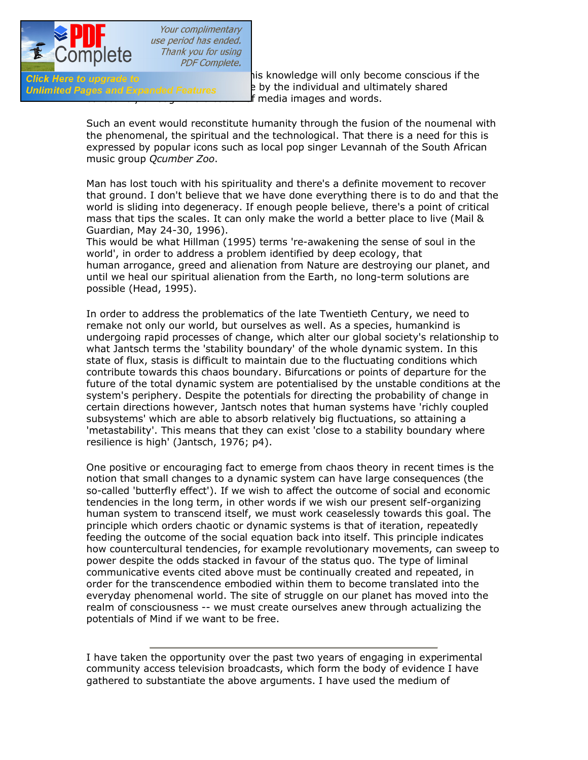

**Click Here to upgrade to click fashion. This knowledge will only become conscious if the** Unlimited Pages and Expanded Features 2 by the individual and ultimately shared f media images and words.

> Such an event would reconstitute humanity through the fusion of the noumenal with the phenomenal, the spiritual and the technological. That there is a need for this is expressed by popular icons such as local pop singer Levannah of the South African music group *Qcumber Zoo*.

> Man has lost touch with his spirituality and there's a definite movement to recover that ground. I don't believe that we have done everything there is to do and that the world is sliding into degeneracy. If enough people believe, there's a point of critical mass that tips the scales. It can only make the world a better place to live (Mail & Guardian, May 24-30, 1996).

This would be what Hillman (1995) terms 're-awakening the sense of soul in the world', in order to address a problem identified by deep ecology, that human arrogance, greed and alienation from Nature are destroying our planet, and until we heal our spiritual alienation from the Earth, no long-term solutions are possible (Head, 1995).

In order to address the problematics of the late Twentieth Century, we need to remake not only our world, but ourselves as well. As a species, humankind is undergoing rapid processes of change, which alter our global society's relationship to what Jantsch terms the 'stability boundary' of the whole dynamic system. In this state of flux, stasis is difficult to maintain due to the fluctuating conditions which contribute towards this chaos boundary. Bifurcations or points of departure for the future of the total dynamic system are potentialised by the unstable conditions at the system's periphery. Despite the potentials for directing the probability of change in certain directions however, Jantsch notes that human systems have 'richly coupled subsystems' which are able to absorb relatively big fluctuations, so attaining a 'metastability'. This means that they can exist 'close to a stability boundary where resilience is high' (Jantsch, 1976; p4).

One positive or encouraging fact to emerge from chaos theory in recent times is the notion that small changes to a dynamic system can have large consequences (the so-called 'butterfly effect'). If we wish to affect the outcome of social and economic tendencies in the long term, in other words if we wish our present self-organizing human system to transcend itself, we must work ceaselessly towards this goal. The principle which orders chaotic or dynamic systems is that of iteration, repeatedly feeding the outcome of the social equation back into itself. This principle indicates how countercultural tendencies, for example revolutionary movements, can sweep to power despite the odds stacked in favour of the status quo. The type of liminal communicative events cited above must be continually created and repeated, in order for the transcendence embodied within them to become translated into the everyday phenomenal world. The site of struggle on our planet has moved into the realm of consciousness -- we must create ourselves anew through actualizing the potentials of Mind if we want to be free.

I have taken the opportunity over the past two years of engaging in experimental community access television broadcasts, which form the body of evidence I have gathered to substantiate the above arguments. I have used the medium of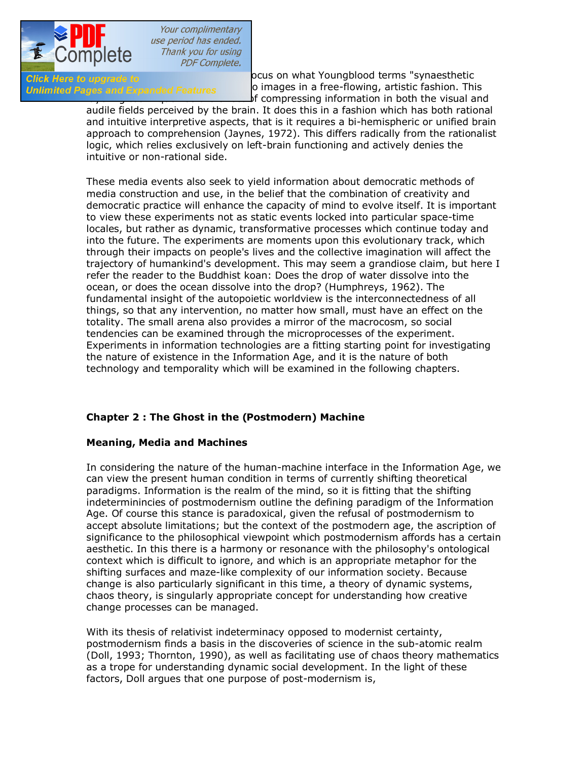

Click Here to upgrade to **video a particular focus** ocus on what Youngblood terms "synaesthetic **Unlimited Pages and Expanded Features b** images in a free-flowing, artistic fashion. This If compressing information in both the visual and

audile fields perceived by the brain. It does this in a fashion which has both rational and intuitive interpretive aspects, that is it requires a bi-hemispheric or unified brain approach to comprehension (Jaynes, 1972). This differs radically from the rationalist logic, which relies exclusively on left-brain functioning and actively denies the intuitive or non-rational side.

These media events also seek to yield information about democratic methods of media construction and use, in the belief that the combination of creativity and democratic practice will enhance the capacity of mind to evolve itself. It is important to view these experiments not as static events locked into particular space-time locales, but rather as dynamic, transformative processes which continue today and into the future. The experiments are moments upon this evolutionary track, which through their impacts on people's lives and the collective imagination will affect the trajectory of humankind's development. This may seem a grandiose claim, but here I refer the reader to the Buddhist koan: Does the drop of water dissolve into the ocean, or does the ocean dissolve into the drop? (Humphreys, 1962). The fundamental insight of the autopoietic worldview is the interconnectedness of all things, so that any intervention, no matter how small, must have an effect on the totality. The small arena also provides a mirror of the macrocosm, so social tendencies can be examined through the microprocesses of the experiment. Experiments in information technologies are a fitting starting point for investigating the nature of existence in the Information Age, and it is the nature of both technology and temporality which will be examined in the following chapters.

## **Chapter 2 : The Ghost in the (Postmodern) Machine**

## **Meaning, Media and Machines**

In considering the nature of the human-machine interface in the Information Age, we can view the present human condition in terms of currently shifting theoretical paradigms. Information is the realm of the mind, so it is fitting that the shifting indeterminincies of postmodernism outline the defining paradigm of the Information Age. Of course this stance is paradoxical, given the refusal of postmodernism to accept absolute limitations; but the context of the postmodern age, the ascription of significance to the philosophical viewpoint which postmodernism affords has a certain aesthetic. In this there is a harmony or resonance with the philosophy's ontological context which is difficult to ignore, and which is an appropriate metaphor for the shifting surfaces and maze-like complexity of our information society. Because change is also particularly significant in this time, a theory of dynamic systems, chaos theory, is singularly appropriate concept for understanding how creative change processes can be managed.

With its thesis of relativist indeterminacy opposed to modernist certainty, postmodernism finds a basis in the discoveries of science in the sub-atomic realm (Doll, 1993; Thornton, 1990), as well as facilitating use of chaos theory mathematics as a trope for understanding dynamic social development. In the light of these factors, Doll argues that one purpose of post-modernism is,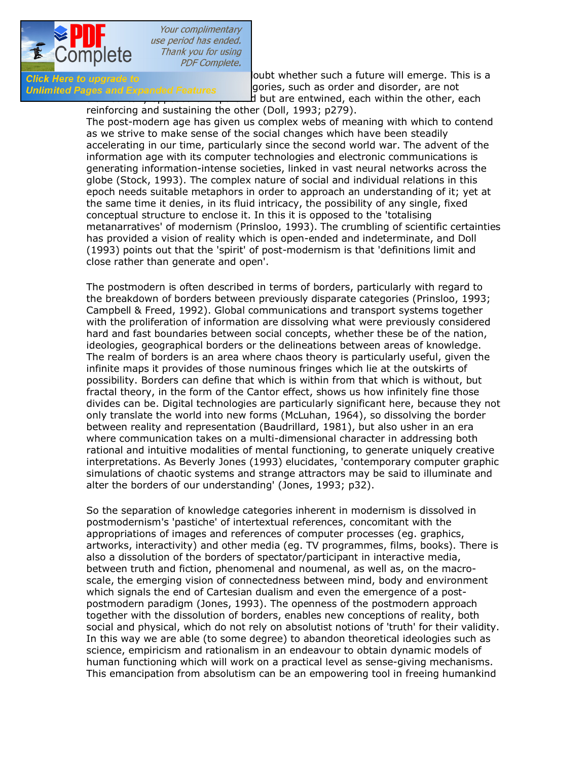

Click Here to upgrade to **the function of the future and yet to doubt** whether such a future will emerge. This is a Unlimited Pages and Expanded Features gories, such as order and disorder, are not d but are entwined, each within the other, each reinforcing and sustaining the other (Doll, 1993; p279).

The post-modern age has given us complex webs of meaning with which to contend as we strive to make sense of the social changes which have been steadily accelerating in our time, particularly since the second world war. The advent of the information age with its computer technologies and electronic communications is generating information-intense societies, linked in vast neural networks across the globe (Stock, 1993). The complex nature of social and individual relations in this epoch needs suitable metaphors in order to approach an understanding of it; yet at the same time it denies, in its fluid intricacy, the possibility of any single, fixed conceptual structure to enclose it. In this it is opposed to the 'totalising metanarratives' of modernism (Prinsloo, 1993). The crumbling of scientific certainties has provided a vision of reality which is open-ended and indeterminate, and Doll (1993) points out that the 'spirit' of post-modernism is that 'definitions limit and close rather than generate and open'.

The postmodern is often described in terms of borders, particularly with regard to the breakdown of borders between previously disparate categories (Prinsloo, 1993; Campbell & Freed, 1992). Global communications and transport systems together with the proliferation of information are dissolving what were previously considered hard and fast boundaries between social concepts, whether these be of the nation, ideologies, geographical borders or the delineations between areas of knowledge. The realm of borders is an area where chaos theory is particularly useful, given the infinite maps it provides of those numinous fringes which lie at the outskirts of possibility. Borders can define that which is within from that which is without, but fractal theory, in the form of the Cantor effect, shows us how infinitely fine those divides can be. Digital technologies are particularly significant here, because they not only translate the world into new forms (McLuhan, 1964), so dissolving the border between reality and representation (Baudrillard, 1981), but also usher in an era where communication takes on a multi-dimensional character in addressing both rational and intuitive modalities of mental functioning, to generate uniquely creative interpretations. As Beverly Jones (1993) elucidates, 'contemporary computer graphic simulations of chaotic systems and strange attractors may be said to illuminate and alter the borders of our understanding' (Jones, 1993; p32).

So the separation of knowledge categories inherent in modernism is dissolved in postmodernism's 'pastiche' of intertextual references, concomitant with the appropriations of images and references of computer processes (eg. graphics, artworks, interactivity) and other media (eg. TV programmes, films, books). There is also a dissolution of the borders of spectator/participant in interactive media, between truth and fiction, phenomenal and noumenal, as well as, on the macroscale, the emerging vision of connectedness between mind, body and environment which signals the end of Cartesian dualism and even the emergence of a postpostmodern paradigm (Jones, 1993). The openness of the postmodern approach together with the dissolution of borders, enables new conceptions of reality, both social and physical, which do not rely on absolutist notions of 'truth' for their validity. In this way we are able (to some degree) to abandon theoretical ideologies such as science, empiricism and rationalism in an endeavour to obtain dynamic models of human functioning which will work on a practical level as sense-giving mechanisms. This emancipation from absolutism can be an empowering tool in freeing humankind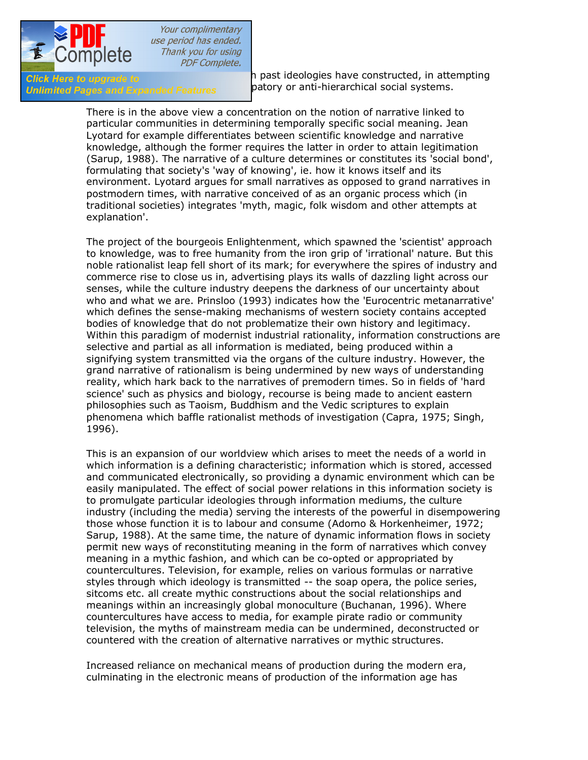

**Unlimited Pages and Expanded Features** patory or anti-hierarchical social systems.

**Click Here to upgrade to the power relationships which past ideologies have constructed, in attempting** 

There is in the above view a concentration on the notion of narrative linked to particular communities in determining temporally specific social meaning. Jean Lyotard for example differentiates between scientific knowledge and narrative knowledge, although the former requires the latter in order to attain legitimation (Sarup, 1988). The narrative of a culture determines or constitutes its 'social bond', formulating that society's 'way of knowing', ie. how it knows itself and its environment. Lyotard argues for small narratives as opposed to grand narratives in postmodern times, with narrative conceived of as an organic process which (in traditional societies) integrates 'myth, magic, folk wisdom and other attempts at explanation'.

The project of the bourgeois Enlightenment, which spawned the 'scientist' approach to knowledge, was to free humanity from the iron grip of 'irrational' nature. But this noble rationalist leap fell short of its mark; for everywhere the spires of industry and commerce rise to close us in, advertising plays its walls of dazzling light across our senses, while the culture industry deepens the darkness of our uncertainty about who and what we are. Prinsloo (1993) indicates how the 'Eurocentric metanarrative' which defines the sense-making mechanisms of western society contains accepted bodies of knowledge that do not problematize their own history and legitimacy. Within this paradigm of modernist industrial rationality, information constructions are selective and partial as all information is mediated, being produced within a signifying system transmitted via the organs of the culture industry. However, the grand narrative of rationalism is being undermined by new ways of understanding reality, which hark back to the narratives of premodern times. So in fields of 'hard science' such as physics and biology, recourse is being made to ancient eastern philosophies such as Taoism, Buddhism and the Vedic scriptures to explain phenomena which baffle rationalist methods of investigation (Capra, 1975; Singh, 1996).

This is an expansion of our worldview which arises to meet the needs of a world in which information is a defining characteristic; information which is stored, accessed and communicated electronically, so providing a dynamic environment which can be easily manipulated. The effect of social power relations in this information society is to promulgate particular ideologies through information mediums, the culture industry (including the media) serving the interests of the powerful in disempowering those whose function it is to labour and consume (Adorno & Horkenheimer, 1972; Sarup, 1988). At the same time, the nature of dynamic information flows in society permit new ways of reconstituting meaning in the form of narratives which convey meaning in a mythic fashion, and which can be co-opted or appropriated by countercultures. Television, for example, relies on various formulas or narrative styles through which ideology is transmitted -- the soap opera, the police series, sitcoms etc. all create mythic constructions about the social relationships and meanings within an increasingly global monoculture (Buchanan, 1996). Where countercultures have access to media, for example pirate radio or community television, the myths of mainstream media can be undermined, deconstructed or countered with the creation of alternative narratives or mythic structures.

Increased reliance on mechanical means of production during the modern era, culminating in the electronic means of production of the information age has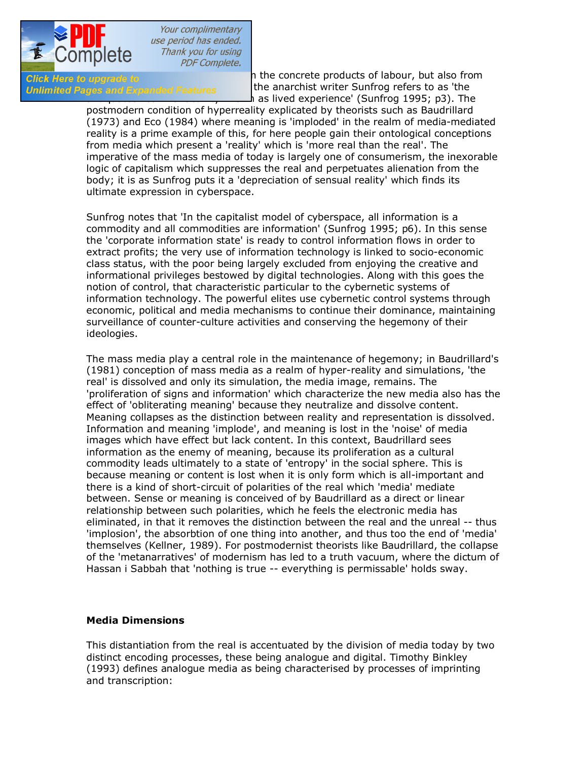

**Click Here to upgrade to human in the concrete products of labour, but also from** Unlimited Pages and Expanded Features the anarchist writer Sunfrog refers to as 'the antiquated experience' (Sunfrog 1995; p3). The

postmodern condition of hyperreality explicated by theorists such as Baudrillard (1973) and Eco (1984) where meaning is 'imploded' in the realm of media-mediated reality is a prime example of this, for here people gain their ontological conceptions from media which present a 'reality' which is 'more real than the real'. The imperative of the mass media of today is largely one of consumerism, the inexorable logic of capitalism which suppresses the real and perpetuates alienation from the body; it is as Sunfrog puts it a 'depreciation of sensual reality' which finds its ultimate expression in cyberspace.

Sunfrog notes that 'In the capitalist model of cyberspace, all information is a commodity and all commodities are information' (Sunfrog 1995; p6). In this sense the 'corporate information state' is ready to control information flows in order to extract profits; the very use of information technology is linked to socio-economic class status, with the poor being largely excluded from enjoying the creative and informational privileges bestowed by digital technologies. Along with this goes the notion of control, that characteristic particular to the cybernetic systems of information technology. The powerful elites use cybernetic control systems through economic, political and media mechanisms to continue their dominance, maintaining surveillance of counter-culture activities and conserving the hegemony of their ideologies.

The mass media play a central role in the maintenance of hegemony; in Baudrillard's (1981) conception of mass media as a realm of hyper-reality and simulations, 'the real' is dissolved and only its simulation, the media image, remains. The 'proliferation of signs and information' which characterize the new media also has the effect of 'obliterating meaning' because they neutralize and dissolve content. Meaning collapses as the distinction between reality and representation is dissolved. Information and meaning 'implode', and meaning is lost in the 'noise' of media images which have effect but lack content. In this context, Baudrillard sees information as the enemy of meaning, because its proliferation as a cultural commodity leads ultimately to a state of 'entropy' in the social sphere. This is because meaning or content is lost when it is only form which is all-important and there is a kind of short-circuit of polarities of the real which 'media' mediate between. Sense or meaning is conceived of by Baudrillard as a direct or linear relationship between such polarities, which he feels the electronic media has eliminated, in that it removes the distinction between the real and the unreal -- thus 'implosion', the absorbtion of one thing into another, and thus too the end of 'media' themselves (Kellner, 1989). For postmodernist theorists like Baudrillard, the collapse of the 'metanarratives' of modernism has led to a truth vacuum, where the dictum of Hassan i Sabbah that 'nothing is true -- everything is permissable' holds sway.

#### **Media Dimensions**

This distantiation from the real is accentuated by the division of media today by two distinct encoding processes, these being analogue and digital. Timothy Binkley (1993) defines analogue media as being characterised by processes of imprinting and transcription: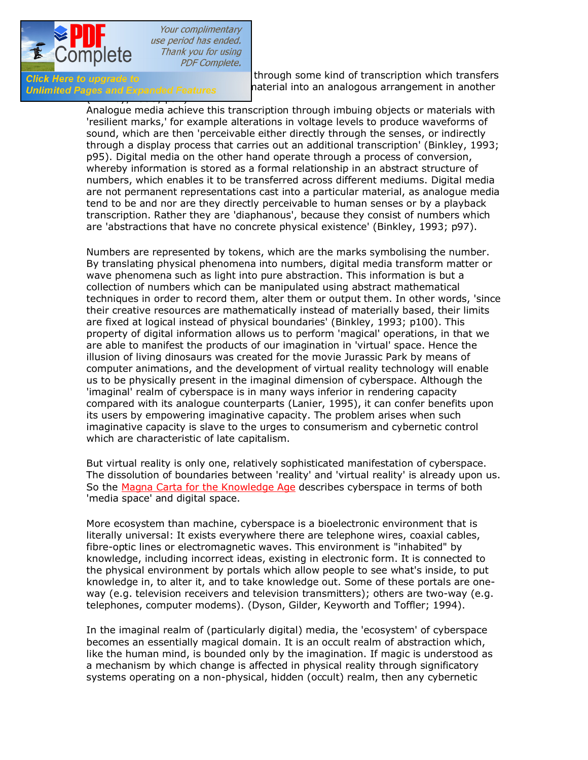

Unlimited Pages and Expanded Features

**Click Here to upgrade to controll through some kind of transcription which transfers** naterial into an analogous arrangement in another

> Analogue media achieve this transcription through imbuing objects or materials with 'resilient marks,' for example alterations in voltage levels to produce waveforms of sound, which are then 'perceivable either directly through the senses, or indirectly through a display process that carries out an additional transcription' (Binkley, 1993; p95). Digital media on the other hand operate through a process of conversion, whereby information is stored as a formal relationship in an abstract structure of numbers, which enables it to be transferred across different mediums. Digital media are not permanent representations cast into a particular material, as analogue media tend to be and nor are they directly perceivable to human senses or by a playback transcription. Rather they are 'diaphanous', because they consist of numbers which are 'abstractions that have no concrete physical existence' (Binkley, 1993; p97).

> Numbers are represented by tokens, which are the marks symbolising the number. By translating physical phenomena into numbers, digital media transform matter or wave phenomena such as light into pure abstraction. This information is but a collection of numbers which can be manipulated using abstract mathematical techniques in order to record them, alter them or output them. In other words, 'since their creative resources are mathematically instead of materially based, their limits are fixed at logical instead of physical boundaries' (Binkley, 1993; p100). This property of digital information allows us to perform 'magical' operations, in that we are able to manifest the products of our imagination in 'virtual' space. Hence the illusion of living dinosaurs was created for the movie Jurassic Park by means of computer animations, and the development of virtual reality technology will enable us to be physically present in the imaginal dimension of cyberspace. Although the 'imaginal' realm of cyberspace is in many ways inferior in rendering capacity compared with its analogue counterparts (Lanier, 1995), it can confer benefits upon its users by empowering imaginative capacity. The problem arises when such imaginative capacity is slave to the urges to consumerism and cybernetic control which are characteristic of late capitalism.

> But virtual reality is only one, relatively sophisticated manifestation of cyberspace. The dissolution of boundaries between 'reality' and 'virtual reality' is already upon us. So the Magna Carta for the Knowledge Age describes cyberspace in terms of both 'media space' and digital space.

More ecosystem than machine, cyberspace is a bioelectronic environment that is literally universal: It exists everywhere there are telephone wires, coaxial cables, fibre-optic lines or electromagnetic waves. This environment is "inhabited" by knowledge, including incorrect ideas, existing in electronic form. It is connected to the physical environment by portals which allow people to see what's inside, to put knowledge in, to alter it, and to take knowledge out. Some of these portals are oneway (e.g. television receivers and television transmitters); others are two-way (e.g. telephones, computer modems). (Dyson, Gilder, Keyworth and Toffler; 1994).

In the imaginal realm of (particularly digital) media, the 'ecosystem' of cyberspace becomes an essentially magical domain. It is an occult realm of abstraction which, like the human mind, is bounded only by the imagination. If magic is understood as a mechanism by which change is affected in physical reality through significatory systems operating on a non-physical, hidden (occult) realm, then any cybernetic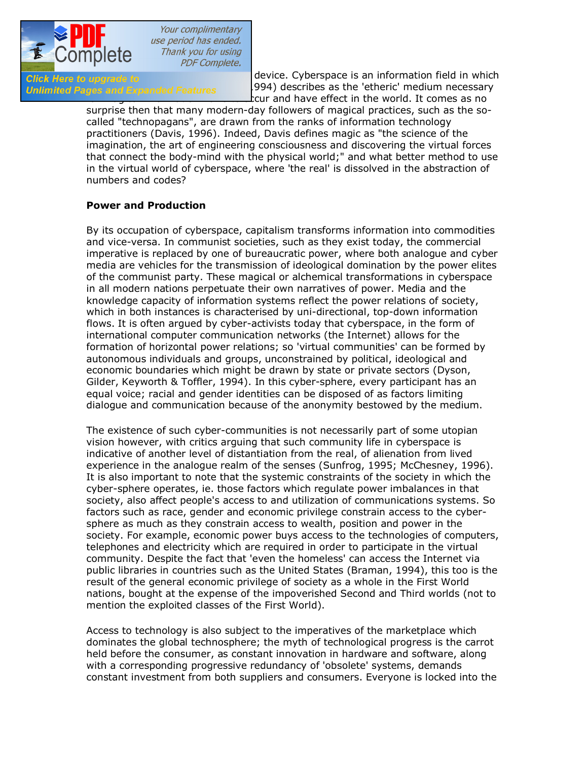

Click Here to upgrade to **under the used as a magical device.** Cyberspace is an information field in which Unlimited Pages and Expanded Features 994) describes as the 'etheric' medium necessary for magical magical in the world. It comes as no

surprise then that many modern-day followers of magical practices, such as the socalled "technopagans", are drawn from the ranks of information technology practitioners (Davis, 1996). Indeed, Davis defines magic as "the science of the imagination, the art of engineering consciousness and discovering the virtual forces that connect the body-mind with the physical world;" and what better method to use in the virtual world of cyberspace, where 'the real' is dissolved in the abstraction of numbers and codes?

## **Power and Production**

By its occupation of cyberspace, capitalism transforms information into commodities and vice-versa. In communist societies, such as they exist today, the commercial imperative is replaced by one of bureaucratic power, where both analogue and cyber media are vehicles for the transmission of ideological domination by the power elites of the communist party. These magical or alchemical transformations in cyberspace in all modern nations perpetuate their own narratives of power. Media and the knowledge capacity of information systems reflect the power relations of society, which in both instances is characterised by uni-directional, top-down information flows. It is often argued by cyber-activists today that cyberspace, in the form of international computer communication networks (the Internet) allows for the formation of horizontal power relations; so 'virtual communities' can be formed by autonomous individuals and groups, unconstrained by political, ideological and economic boundaries which might be drawn by state or private sectors (Dyson, Gilder, Keyworth & Toffler, 1994). In this cyber-sphere, every participant has an equal voice; racial and gender identities can be disposed of as factors limiting dialogue and communication because of the anonymity bestowed by the medium.

The existence of such cyber-communities is not necessarily part of some utopian vision however, with critics arguing that such community life in cyberspace is indicative of another level of distantiation from the real, of alienation from lived experience in the analogue realm of the senses (Sunfrog, 1995; McChesney, 1996). It is also important to note that the systemic constraints of the society in which the cyber-sphere operates, ie. those factors which regulate power imbalances in that society, also affect people's access to and utilization of communications systems. So factors such as race, gender and economic privilege constrain access to the cybersphere as much as they constrain access to wealth, position and power in the society. For example, economic power buys access to the technologies of computers, telephones and electricity which are required in order to participate in the virtual community. Despite the fact that 'even the homeless' can access the Internet via public libraries in countries such as the United States (Braman, 1994), this too is the result of the general economic privilege of society as a whole in the First World nations, bought at the expense of the impoverished Second and Third worlds (not to mention the exploited classes of the First World).

Access to technology is also subject to the imperatives of the marketplace which dominates the global technosphere; the myth of technological progress is the carrot held before the consumer, as constant innovation in hardware and software, along with a corresponding progressive redundancy of 'obsolete' systems, demands constant investment from both suppliers and consumers. Everyone is locked into the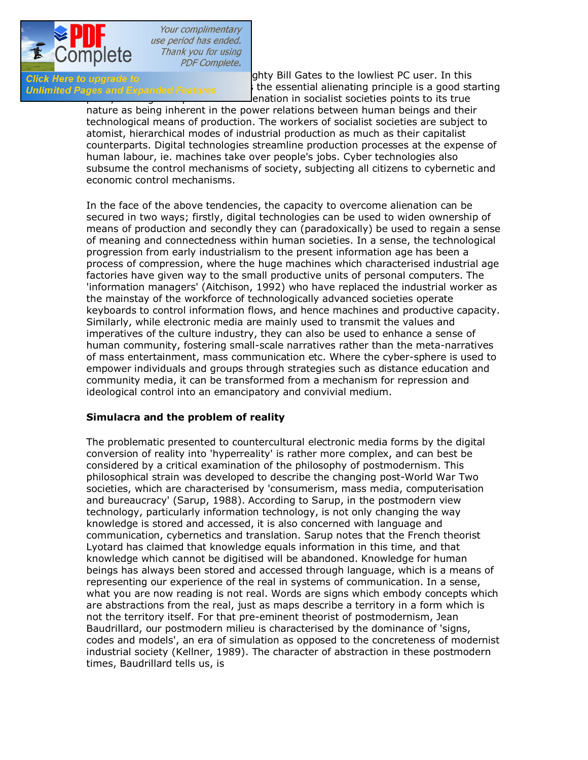

Click Here to upgrade to **consumption** of the mighty Bill Gates to the lowliest PC user. In this Unlimited Pages and Expanded Features  $\frac{1}{2}$  the essential alienating principle is a good starting enation in socialist societies points to its true

nature as being inherent in the power relations between human beings and their technological means of production. The workers of socialist societies are subject to atomist, hierarchical modes of industrial production as much as their capitalist counterparts. Digital technologies streamline production processes at the expense of human labour, ie. machines take over people's jobs. Cyber technologies also subsume the control mechanisms of society, subjecting all citizens to cybernetic and economic control mechanisms.

In the face of the above tendencies, the capacity to overcome alienation can be secured in two ways; firstly, digital technologies can be used to widen ownership of means of production and secondly they can (paradoxically) be used to regain a sense of meaning and connectedness within human societies. In a sense, the technological progression from early industrialism to the present information age has been a process of compression, where the huge machines which characterised industrial age factories have given way to the small productive units of personal computers. The 'information managers' (Aitchison, 1992) who have replaced the industrial worker as the mainstay of the workforce of technologically advanced societies operate keyboards to control information flows, and hence machines and productive capacity. Similarly, while electronic media are mainly used to transmit the values and imperatives of the culture industry, they can also be used to enhance a sense of human community, fostering small-scale narratives rather than the meta-narratives of mass entertainment, mass communication etc. Where the cyber-sphere is used to empower individuals and groups through strategies such as distance education and community media, it can be transformed from a mechanism for repression and ideological control into an emancipatory and convivial medium.

#### **Simulacra and the problem of reality**

The problematic presented to countercultural electronic media forms by the digital conversion of reality into 'hyperreality' is rather more complex, and can best be considered by a critical examination of the philosophy of postmodernism. This philosophical strain was developed to describe the changing post-World War Two societies, which are characterised by 'consumerism, mass media, computerisation and bureaucracy' (Sarup, 1988). According to Sarup, in the postmodern view technology, particularly information technology, is not only changing the way knowledge is stored and accessed, it is also concerned with language and communication, cybernetics and translation. Sarup notes that the French theorist Lyotard has claimed that knowledge equals information in this time, and that knowledge which cannot be digitised will be abandoned. Knowledge for human beings has always been stored and accessed through language, which is a means of representing our experience of the real in systems of communication. In a sense, what you are now reading is not real. Words are signs which embody concepts which are abstractions from the real, just as maps describe a territory in a form which is not the territory itself. For that pre-eminent theorist of postmodernism, Jean Baudrillard, our postmodern milieu is characterised by the dominance of 'signs, codes and models', an era of simulation as opposed to the concreteness of modernist industrial society (Kellner, 1989). The character of abstraction in these postmodern times, Baudrillard tells us, is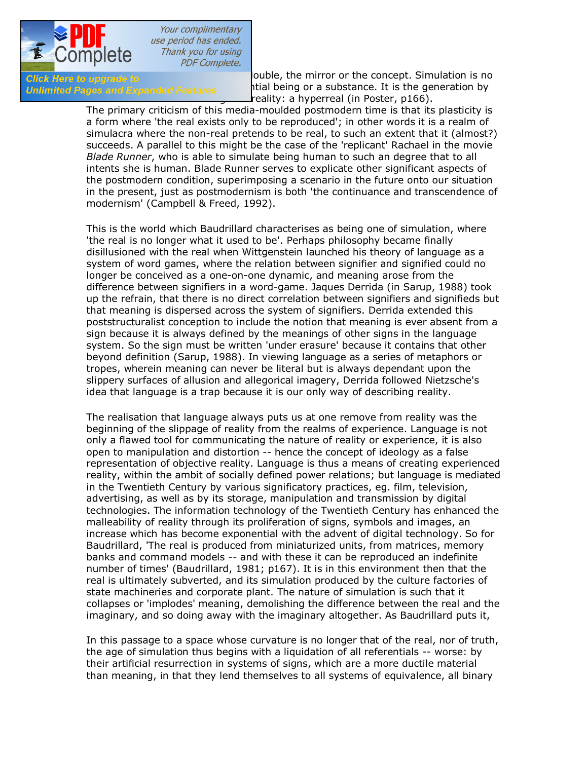

**Click Here to upgrade to longer that of the mirror or the concept. Simulation is no** Unlimited Pages and Expanded Features htial being or a substance. It is the generation by reality: a hyperreal (in Poster, p166).

The primary criticism of this media-moulded postmodern time is that its plasticity is a form where 'the real exists only to be reproduced'; in other words it is a realm of simulacra where the non-real pretends to be real, to such an extent that it (almost?) succeeds. A parallel to this might be the case of the 'replicant' Rachael in the movie *Blade Runner*, who is able to simulate being human to such an degree that to all intents she is human. Blade Runner serves to explicate other significant aspects of the postmodern condition, superimposing a scenario in the future onto our situation in the present, just as postmodernism is both 'the continuance and transcendence of modernism' (Campbell & Freed, 1992).

This is the world which Baudrillard characterises as being one of simulation, where 'the real is no longer what it used to be'. Perhaps philosophy became finally disillusioned with the real when Wittgenstein launched his theory of language as a system of word games, where the relation between signifier and signified could no longer be conceived as a one-on-one dynamic, and meaning arose from the difference between signifiers in a word-game. Jaques Derrida (in Sarup, 1988) took up the refrain, that there is no direct correlation between signifiers and signifieds but that meaning is dispersed across the system of signifiers. Derrida extended this poststructuralist conception to include the notion that meaning is ever absent from a sign because it is always defined by the meanings of other signs in the language system. So the sign must be written 'under erasure' because it contains that other beyond definition (Sarup, 1988). In viewing language as a series of metaphors or tropes, wherein meaning can never be literal but is always dependant upon the slippery surfaces of allusion and allegorical imagery, Derrida followed Nietzsche's idea that language is a trap because it is our only way of describing reality.

The realisation that language always puts us at one remove from reality was the beginning of the slippage of reality from the realms of experience. Language is not only a flawed tool for communicating the nature of reality or experience, it is also open to manipulation and distortion -- hence the concept of ideology as a false representation of objective reality. Language is thus a means of creating experienced reality, within the ambit of socially defined power relations; but language is mediated in the Twentieth Century by various significatory practices, eg. film, television, advertising, as well as by its storage, manipulation and transmission by digital technologies. The information technology of the Twentieth Century has enhanced the malleability of reality through its proliferation of signs, symbols and images, an increase which has become exponential with the advent of digital technology. So for Baudrillard, 'The real is produced from miniaturized units, from matrices, memory banks and command models -- and with these it can be reproduced an indefinite number of times' (Baudrillard, 1981; p167). It is in this environment then that the real is ultimately subverted, and its simulation produced by the culture factories of state machineries and corporate plant. The nature of simulation is such that it collapses or 'implodes' meaning, demolishing the difference between the real and the imaginary, and so doing away with the imaginary altogether. As Baudrillard puts it,

In this passage to a space whose curvature is no longer that of the real, nor of truth, the age of simulation thus begins with a liquidation of all referentials -- worse: by their artificial resurrection in systems of signs, which are a more ductile material than meaning, in that they lend themselves to all systems of equivalence, all binary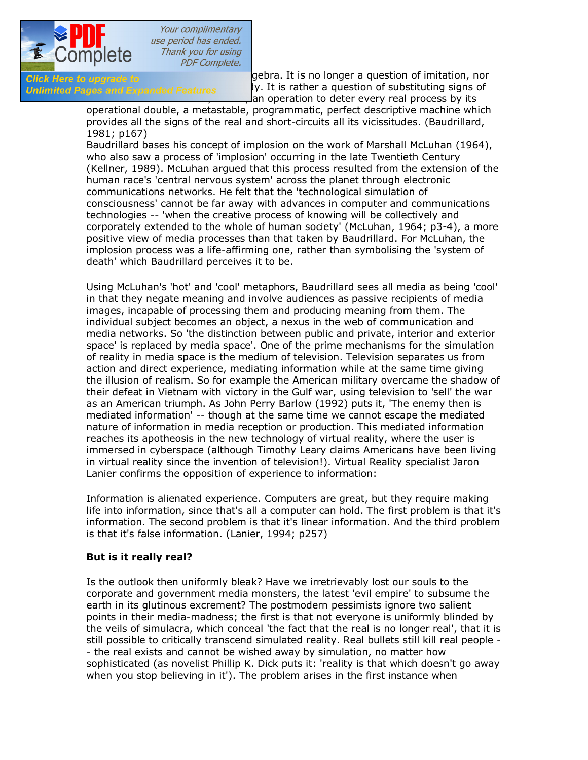

**Click Here to upgrade to all compiles and all compiles a question of imitation, nor Unlimited Pages and Expanded Features** 1y. It is rather a question of substituting signs of Lan operation to deter every real process by its

operational double, a metastable, programmatic, perfect descriptive machine which provides all the signs of the real and short-circuits all its vicissitudes. (Baudrillard, 1981; p167)

Baudrillard bases his concept of implosion on the work of Marshall McLuhan (1964), who also saw a process of 'implosion' occurring in the late Twentieth Century (Kellner, 1989). McLuhan argued that this process resulted from the extension of the human race's 'central nervous system' across the planet through electronic communications networks. He felt that the 'technological simulation of consciousness' cannot be far away with advances in computer and communications technologies -- 'when the creative process of knowing will be collectively and corporately extended to the whole of human society' (McLuhan, 1964; p3-4), a more positive view of media processes than that taken by Baudrillard. For McLuhan, the implosion process was a life-affirming one, rather than symbolising the 'system of death' which Baudrillard perceives it to be.

Using McLuhan's 'hot' and 'cool' metaphors, Baudrillard sees all media as being 'cool' in that they negate meaning and involve audiences as passive recipients of media images, incapable of processing them and producing meaning from them. The individual subject becomes an object, a nexus in the web of communication and media networks. So 'the distinction between public and private, interior and exterior space' is replaced by media space'. One of the prime mechanisms for the simulation of reality in media space is the medium of television. Television separates us from action and direct experience, mediating information while at the same time giving the illusion of realism. So for example the American military overcame the shadow of their defeat in Vietnam with victory in the Gulf war, using television to 'sell' the war as an American triumph. As John Perry Barlow (1992) puts it, 'The enemy then is mediated information' -- though at the same time we cannot escape the mediated nature of information in media reception or production. This mediated information reaches its apotheosis in the new technology of virtual reality, where the user is immersed in cyberspace (although Timothy Leary claims Americans have been living in virtual reality since the invention of television!). Virtual Reality specialist Jaron Lanier confirms the opposition of experience to information:

Information is alienated experience. Computers are great, but they require making life into information, since that's all a computer can hold. The first problem is that it's information. The second problem is that it's linear information. And the third problem is that it's false information. (Lanier, 1994; p257)

## **But is it really real?**

Is the outlook then uniformly bleak? Have we irretrievably lost our souls to the corporate and government media monsters, the latest 'evil empire' to subsume the earth in its glutinous excrement? The postmodern pessimists ignore two salient points in their media-madness; the first is that not everyone is uniformly blinded by the veils of simulacra, which conceal 'the fact that the real is no longer real', that it is still possible to critically transcend simulated reality. Real bullets still kill real people - - the real exists and cannot be wished away by simulation, no matter how sophisticated (as novelist Phillip K. Dick puts it: 'reality is that which doesn't go away when you stop believing in it'). The problem arises in the first instance when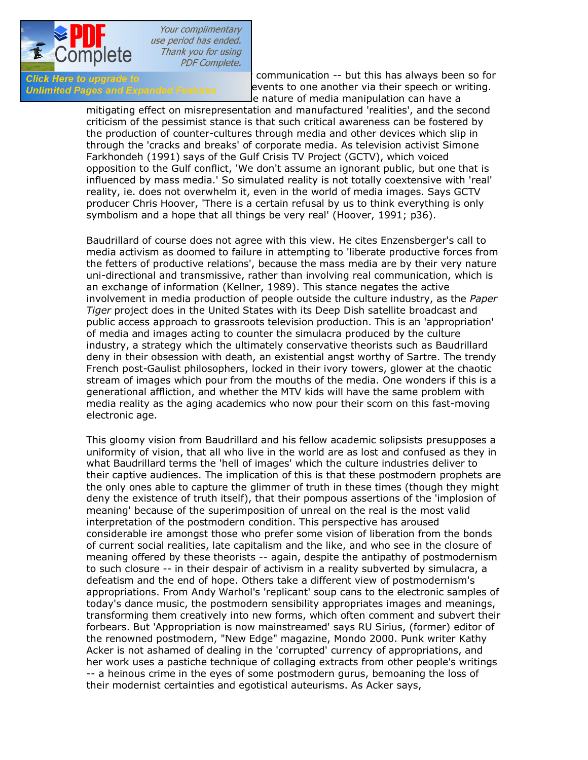

Click Here to upgrade to **reality is mediate** communication -- but this has always been so for **Unlimited Pages and Expanded Features** events to one another via their speech or writing. le nature of media manipulation can have a

> mitigating effect on misrepresentation and manufactured 'realities', and the second criticism of the pessimist stance is that such critical awareness can be fostered by the production of counter-cultures through media and other devices which slip in through the 'cracks and breaks' of corporate media. As television activist Simone Farkhondeh (1991) says of the Gulf Crisis TV Project (GCTV), which voiced opposition to the Gulf conflict, 'We don't assume an ignorant public, but one that is influenced by mass media.' So simulated reality is not totally coextensive with 'real' reality, ie. does not overwhelm it, even in the world of media images. Says GCTV producer Chris Hoover, 'There is a certain refusal by us to think everything is only symbolism and a hope that all things be very real' (Hoover, 1991; p36).

Baudrillard of course does not agree with this view. He cites Enzensberger's call to media activism as doomed to failure in attempting to 'liberate productive forces from the fetters of productive relations', because the mass media are by their very nature uni-directional and transmissive, rather than involving real communication, which is an exchange of information (Kellner, 1989). This stance negates the active involvement in media production of people outside the culture industry, as the *Paper Tiger* project does in the United States with its Deep Dish satellite broadcast and public access approach to grassroots television production. This is an 'appropriation' of media and images acting to counter the simulacra produced by the culture industry, a strategy which the ultimately conservative theorists such as Baudrillard deny in their obsession with death, an existential angst worthy of Sartre. The trendy French post-Gaulist philosophers, locked in their ivory towers, glower at the chaotic stream of images which pour from the mouths of the media. One wonders if this is a generational affliction, and whether the MTV kids will have the same problem with media reality as the aging academics who now pour their scorn on this fast-moving electronic age.

This gloomy vision from Baudrillard and his fellow academic solipsists presupposes a uniformity of vision, that all who live in the world are as lost and confused as they in what Baudrillard terms the 'hell of images' which the culture industries deliver to their captive audiences. The implication of this is that these postmodern prophets are the only ones able to capture the glimmer of truth in these times (though they might deny the existence of truth itself), that their pompous assertions of the 'implosion of meaning' because of the superimposition of unreal on the real is the most valid interpretation of the postmodern condition. This perspective has aroused considerable ire amongst those who prefer some vision of liberation from the bonds of current social realities, late capitalism and the like, and who see in the closure of meaning offered by these theorists -- again, despite the antipathy of postmodernism to such closure -- in their despair of activism in a reality subverted by simulacra, a defeatism and the end of hope. Others take a different view of postmodernism's appropriations. From Andy Warhol's 'replicant' soup cans to the electronic samples of today's dance music, the postmodern sensibility appropriates images and meanings, transforming them creatively into new forms, which often comment and subvert their forbears. But 'Appropriation is now mainstreamed' says RU Sirius, (former) editor of the renowned postmodern, "New Edge" magazine, Mondo 2000. Punk writer Kathy Acker is not ashamed of dealing in the 'corrupted' currency of appropriations, and her work uses a pastiche technique of collaging extracts from other people's writings -- a heinous crime in the eyes of some postmodern gurus, bemoaning the loss of their modernist certainties and egotistical auteurisms. As Acker says,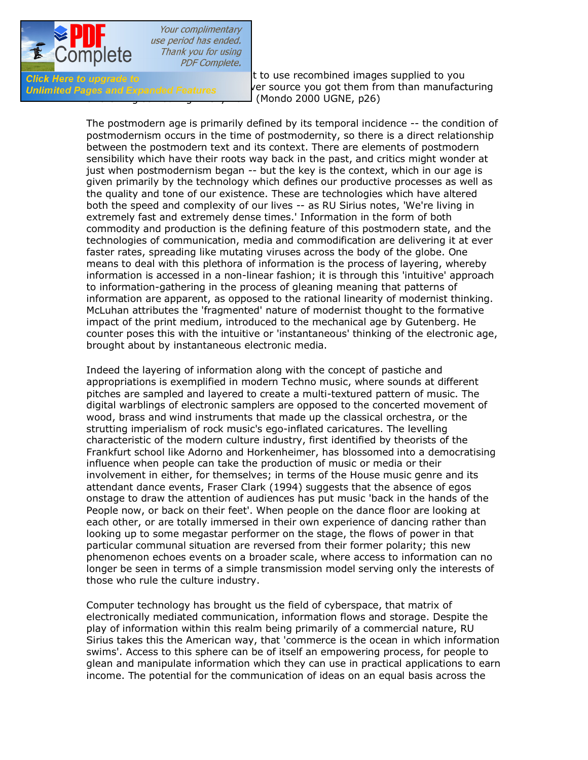

Click Here to upgrade to **Some how it seems more images** supplied to you Unlimited Pages and Expanded Features ver source you got them from than manufacturing or drawing something wholly new. (Mondo 2000 UGNE, p26)

> The postmodern age is primarily defined by its temporal incidence -- the condition of postmodernism occurs in the time of postmodernity, so there is a direct relationship between the postmodern text and its context. There are elements of postmodern sensibility which have their roots way back in the past, and critics might wonder at just when postmodernism began -- but the key is the context, which in our age is given primarily by the technology which defines our productive processes as well as the quality and tone of our existence. These are technologies which have altered both the speed and complexity of our lives -- as RU Sirius notes, 'We're living in extremely fast and extremely dense times.' Information in the form of both commodity and production is the defining feature of this postmodern state, and the technologies of communication, media and commodification are delivering it at ever faster rates, spreading like mutating viruses across the body of the globe. One means to deal with this plethora of information is the process of layering, whereby information is accessed in a non-linear fashion; it is through this 'intuitive' approach to information-gathering in the process of gleaning meaning that patterns of information are apparent, as opposed to the rational linearity of modernist thinking. McLuhan attributes the 'fragmented' nature of modernist thought to the formative impact of the print medium, introduced to the mechanical age by Gutenberg. He counter poses this with the intuitive or 'instantaneous' thinking of the electronic age, brought about by instantaneous electronic media.

> Indeed the layering of information along with the concept of pastiche and appropriations is exemplified in modern Techno music, where sounds at different pitches are sampled and layered to create a multi-textured pattern of music. The digital warblings of electronic samplers are opposed to the concerted movement of wood, brass and wind instruments that made up the classical orchestra, or the strutting imperialism of rock music's ego-inflated caricatures. The levelling characteristic of the modern culture industry, first identified by theorists of the Frankfurt school like Adorno and Horkenheimer, has blossomed into a democratising influence when people can take the production of music or media or their involvement in either, for themselves; in terms of the House music genre and its attendant dance events, Fraser Clark (1994) suggests that the absence of egos onstage to draw the attention of audiences has put music 'back in the hands of the People now, or back on their feet'. When people on the dance floor are looking at each other, or are totally immersed in their own experience of dancing rather than looking up to some megastar performer on the stage, the flows of power in that particular communal situation are reversed from their former polarity; this new phenomenon echoes events on a broader scale, where access to information can no longer be seen in terms of a simple transmission model serving only the interests of those who rule the culture industry.

Computer technology has brought us the field of cyberspace, that matrix of electronically mediated communication, information flows and storage. Despite the play of information within this realm being primarily of a commercial nature, RU Sirius takes this the American way, that 'commerce is the ocean in which information swims'. Access to this sphere can be of itself an empowering process, for people to glean and manipulate information which they can use in practical applications to earn income. The potential for the communication of ideas on an equal basis across the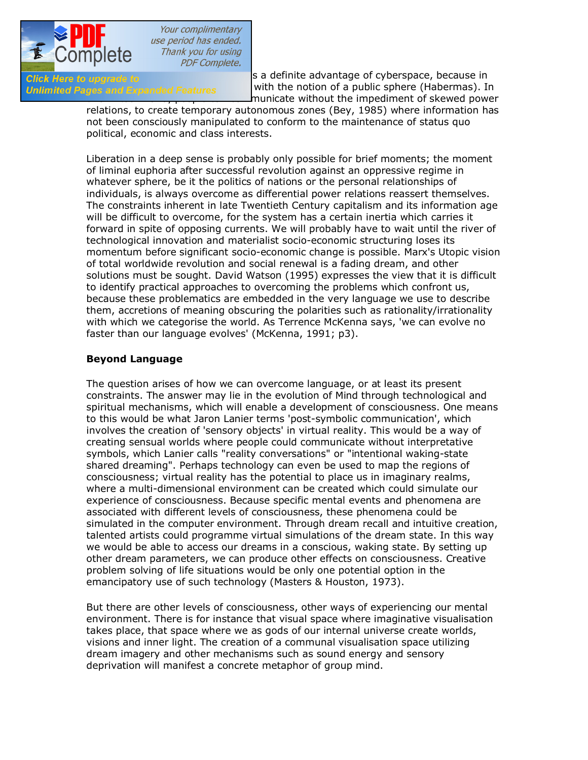

**Click Here to upgrade to bound in the set of class, rate and general set of cyberspace, because in** Unlimited Pages and Expanded Features with the notion of a public sphere (Habermas). In municate without the impediment of skewed power.

relations, to create temporary autonomous zones (Bey, 1985) where information has not been consciously manipulated to conform to the maintenance of status quo political, economic and class interests.

Liberation in a deep sense is probably only possible for brief moments; the moment of liminal euphoria after successful revolution against an oppressive regime in whatever sphere, be it the politics of nations or the personal relationships of individuals, is always overcome as differential power relations reassert themselves. The constraints inherent in late Twentieth Century capitalism and its information age will be difficult to overcome, for the system has a certain inertia which carries it forward in spite of opposing currents. We will probably have to wait until the river of technological innovation and materialist socio-economic structuring loses its momentum before significant socio-economic change is possible. Marx's Utopic vision of total worldwide revolution and social renewal is a fading dream, and other solutions must be sought. David Watson (1995) expresses the view that it is difficult to identify practical approaches to overcoming the problems which confront us, because these problematics are embedded in the very language we use to describe them, accretions of meaning obscuring the polarities such as rationality/irrationality with which we categorise the world. As Terrence McKenna says, 'we can evolve no faster than our language evolves' (McKenna, 1991; p3).

## **Beyond Language**

The question arises of how we can overcome language, or at least its present constraints. The answer may lie in the evolution of Mind through technological and spiritual mechanisms, which will enable a development of consciousness. One means to this would be what Jaron Lanier terms 'post-symbolic communication', which involves the creation of 'sensory objects' in virtual reality. This would be a way of creating sensual worlds where people could communicate without interpretative symbols, which Lanier calls "reality conversations" or "intentional waking-state shared dreaming". Perhaps technology can even be used to map the regions of consciousness; virtual reality has the potential to place us in imaginary realms, where a multi-dimensional environment can be created which could simulate our experience of consciousness. Because specific mental events and phenomena are associated with different levels of consciousness, these phenomena could be simulated in the computer environment. Through dream recall and intuitive creation, talented artists could programme virtual simulations of the dream state. In this way we would be able to access our dreams in a conscious, waking state. By setting up other dream parameters, we can produce other effects on consciousness. Creative problem solving of life situations would be only one potential option in the emancipatory use of such technology (Masters & Houston, 1973).

But there are other levels of consciousness, other ways of experiencing our mental environment. There is for instance that visual space where imaginative visualisation takes place, that space where we as gods of our internal universe create worlds, visions and inner light. The creation of a communal visualisation space utilizing dream imagery and other mechanisms such as sound energy and sensory deprivation will manifest a concrete metaphor of group mind.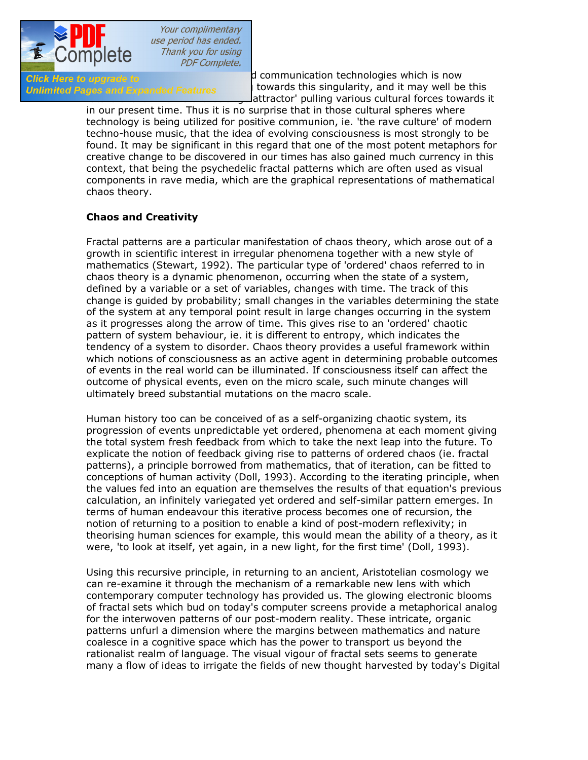

Click Here to upgrade to **information** d communication technologies which is now Unlimited Pages and Expanded Features and it may well be this **Exattractor' pulling various cultural forces towards it** 

in our present time. Thus it is no surprise that in those cultural spheres where technology is being utilized for positive communion, ie. 'the rave culture' of modern techno-house music, that the idea of evolving consciousness is most strongly to be found. It may be significant in this regard that one of the most potent metaphors for creative change to be discovered in our times has also gained much currency in this context, that being the psychedelic fractal patterns which are often used as visual components in rave media, which are the graphical representations of mathematical chaos theory.

# **Chaos and Creativity**

Fractal patterns are a particular manifestation of chaos theory, which arose out of a growth in scientific interest in irregular phenomena together with a new style of mathematics (Stewart, 1992). The particular type of 'ordered' chaos referred to in chaos theory is a dynamic phenomenon, occurring when the state of a system, defined by a variable or a set of variables, changes with time. The track of this change is guided by probability; small changes in the variables determining the state of the system at any temporal point result in large changes occurring in the system as it progresses along the arrow of time. This gives rise to an 'ordered' chaotic pattern of system behaviour, ie. it is different to entropy, which indicates the tendency of a system to disorder. Chaos theory provides a useful framework within which notions of consciousness as an active agent in determining probable outcomes of events in the real world can be illuminated. If consciousness itself can affect the outcome of physical events, even on the micro scale, such minute changes will ultimately breed substantial mutations on the macro scale.

Human history too can be conceived of as a self-organizing chaotic system, its progression of events unpredictable yet ordered, phenomena at each moment giving the total system fresh feedback from which to take the next leap into the future. To explicate the notion of feedback giving rise to patterns of ordered chaos (ie. fractal patterns), a principle borrowed from mathematics, that of iteration, can be fitted to conceptions of human activity (Doll, 1993). According to the iterating principle, when the values fed into an equation are themselves the results of that equation's previous calculation, an infinitely variegated yet ordered and self-similar pattern emerges. In terms of human endeavour this iterative process becomes one of recursion, the notion of returning to a position to enable a kind of post-modern reflexivity; in theorising human sciences for example, this would mean the ability of a theory, as it were, 'to look at itself, yet again, in a new light, for the first time' (Doll, 1993).

Using this recursive principle, in returning to an ancient, Aristotelian cosmology we can re-examine it through the mechanism of a remarkable new lens with which contemporary computer technology has provided us. The glowing electronic blooms of fractal sets which bud on today's computer screens provide a metaphorical analog for the interwoven patterns of our post-modern reality. These intricate, organic patterns unfurl a dimension where the margins between mathematics and nature coalesce in a cognitive space which has the power to transport us beyond the rationalist realm of language. The visual vigour of fractal sets seems to generate many a flow of ideas to irrigate the fields of new thought harvested by today's Digital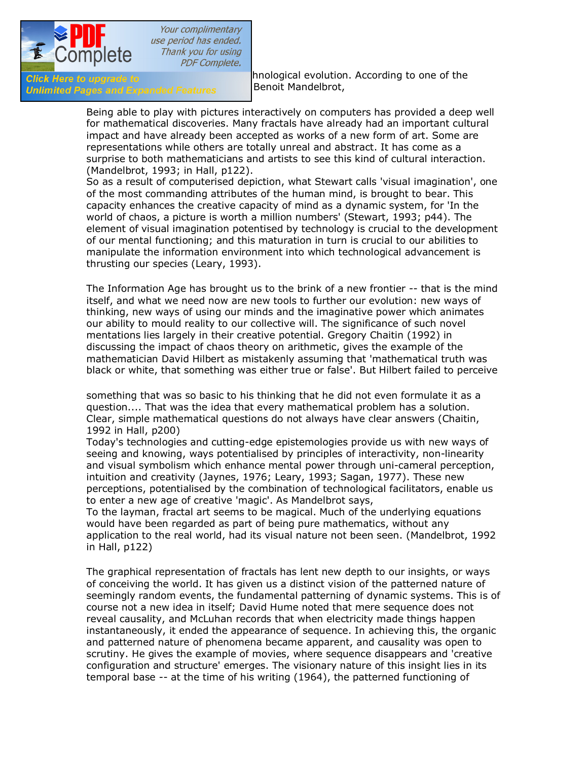

**Unlimited Pages and Expanded Features** Benoit Mandelbrot,

**Click Here to upgrade to click Here for the frontiers of the frontiers of the click Here to upgrade to** 

Being able to play with pictures interactively on computers has provided a deep well for mathematical discoveries. Many fractals have already had an important cultural impact and have already been accepted as works of a new form of art. Some are representations while others are totally unreal and abstract. It has come as a surprise to both mathematicians and artists to see this kind of cultural interaction. (Mandelbrot, 1993; in Hall, p122).

So as a result of computerised depiction, what Stewart calls 'visual imagination', one of the most commanding attributes of the human mind, is brought to bear. This capacity enhances the creative capacity of mind as a dynamic system, for 'In the world of chaos, a picture is worth a million numbers' (Stewart, 1993; p44). The element of visual imagination potentised by technology is crucial to the development of our mental functioning; and this maturation in turn is crucial to our abilities to manipulate the information environment into which technological advancement is thrusting our species (Leary, 1993).

The Information Age has brought us to the brink of a new frontier -- that is the mind itself, and what we need now are new tools to further our evolution: new ways of thinking, new ways of using our minds and the imaginative power which animates our ability to mould reality to our collective will. The significance of such novel mentations lies largely in their creative potential. Gregory Chaitin (1992) in discussing the impact of chaos theory on arithmetic, gives the example of the mathematician David Hilbert as mistakenly assuming that 'mathematical truth was black or white, that something was either true or false'. But Hilbert failed to perceive

something that was so basic to his thinking that he did not even formulate it as a question.... That was the idea that every mathematical problem has a solution. Clear, simple mathematical questions do not always have clear answers (Chaitin, 1992 in Hall, p200)

Today's technologies and cutting-edge epistemologies provide us with new ways of seeing and knowing, ways potentialised by principles of interactivity, non-linearity and visual symbolism which enhance mental power through uni-cameral perception, intuition and creativity (Jaynes, 1976; Leary, 1993; Sagan, 1977). These new perceptions, potentialised by the combination of technological facilitators, enable us to enter a new age of creative 'magic'. As Mandelbrot says,

To the layman, fractal art seems to be magical. Much of the underlying equations would have been regarded as part of being pure mathematics, without any application to the real world, had its visual nature not been seen. (Mandelbrot, 1992 in Hall, p122)

The graphical representation of fractals has lent new depth to our insights, or ways of conceiving the world. It has given us a distinct vision of the patterned nature of seemingly random events, the fundamental patterning of dynamic systems. This is of course not a new idea in itself; David Hume noted that mere sequence does not reveal causality, and McLuhan records that when electricity made things happen instantaneously, it ended the appearance of sequence. In achieving this, the organic and patterned nature of phenomena became apparent, and causality was open to scrutiny. He gives the example of movies, where sequence disappears and 'creative configuration and structure' emerges. The visionary nature of this insight lies in its temporal base -- at the time of his writing (1964), the patterned functioning of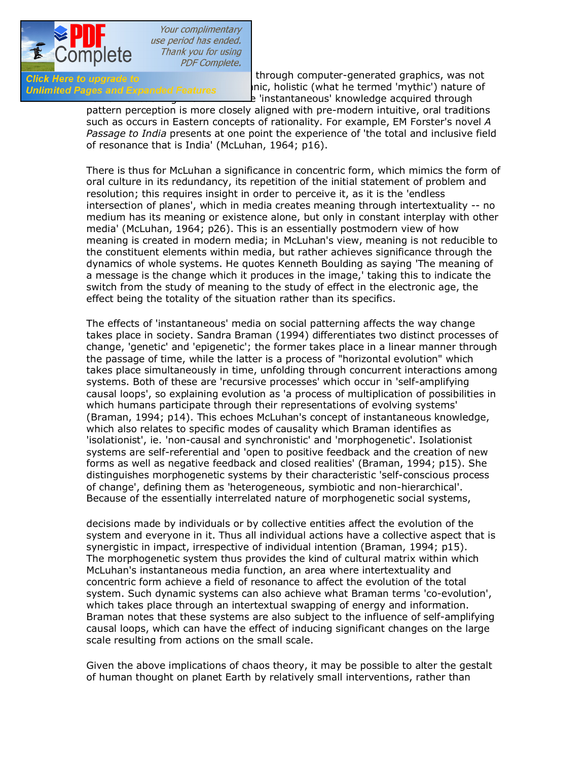

**Click Here to upgrade to explicit systems** of through computer-generated graphics, was not Unlimited Pages and Expanded Features inic, holistic (what he termed 'mythic') nature of e 'instantaneous' knowledge acquired through

pattern perception is more closely aligned with pre-modern intuitive, oral traditions such as occurs in Eastern concepts of rationality. For example, EM Forster's novel *A Passage to India* presents at one point the experience of 'the total and inclusive field of resonance that is India' (McLuhan, 1964; p16).

There is thus for McLuhan a significance in concentric form, which mimics the form of oral culture in its redundancy, its repetition of the initial statement of problem and resolution; this requires insight in order to perceive it, as it is the 'endless intersection of planes', which in media creates meaning through intertextuality -- no medium has its meaning or existence alone, but only in constant interplay with other media' (McLuhan, 1964; p26). This is an essentially postmodern view of how meaning is created in modern media; in McLuhan's view, meaning is not reducible to the constituent elements within media, but rather achieves significance through the dynamics of whole systems. He quotes Kenneth Boulding as saying 'The meaning of a message is the change which it produces in the image,' taking this to indicate the switch from the study of meaning to the study of effect in the electronic age, the effect being the totality of the situation rather than its specifics.

The effects of 'instantaneous' media on social patterning affects the way change takes place in society. Sandra Braman (1994) differentiates two distinct processes of change, 'genetic' and 'epigenetic'; the former takes place in a linear manner through the passage of time, while the latter is a process of "horizontal evolution" which takes place simultaneously in time, unfolding through concurrent interactions among systems. Both of these are 'recursive processes' which occur in 'self-amplifying causal loops', so explaining evolution as 'a process of multiplication of possibilities in which humans participate through their representations of evolving systems' (Braman, 1994; p14). This echoes McLuhan's concept of instantaneous knowledge, which also relates to specific modes of causality which Braman identifies as 'isolationist', ie. 'non-causal and synchronistic' and 'morphogenetic'. Isolationist systems are self-referential and 'open to positive feedback and the creation of new forms as well as negative feedback and closed realities' (Braman, 1994; p15). She distinguishes morphogenetic systems by their characteristic 'self-conscious process of change', defining them as 'heterogeneous, symbiotic and non-hierarchical'. Because of the essentially interrelated nature of morphogenetic social systems,

decisions made by individuals or by collective entities affect the evolution of the system and everyone in it. Thus all individual actions have a collective aspect that is synergistic in impact, irrespective of individual intention (Braman, 1994; p15). The morphogenetic system thus provides the kind of cultural matrix within which McLuhan's instantaneous media function, an area where intertextuality and concentric form achieve a field of resonance to affect the evolution of the total system. Such dynamic systems can also achieve what Braman terms 'co-evolution', which takes place through an intertextual swapping of energy and information. Braman notes that these systems are also subject to the influence of self-amplifying causal loops, which can have the effect of inducing significant changes on the large scale resulting from actions on the small scale.

Given the above implications of chaos theory, it may be possible to alter the gestalt of human thought on planet Earth by relatively small interventions, rather than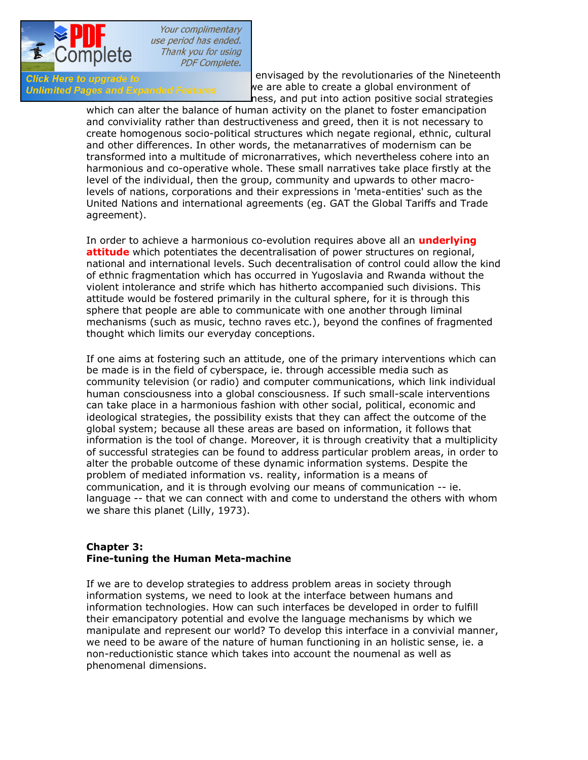

Click Here to upgrade to **Elections on the scale envisaged** by the revolutionaries of the Nineteenth Unlimited Pages and Expanded Features Me are able to create a global environment of ness, and put into action positive social strategies

which can alter the balance of human activity on the planet to foster emancipation and conviviality rather than destructiveness and greed, then it is not necessary to create homogenous socio-political structures which negate regional, ethnic, cultural and other differences. In other words, the metanarratives of modernism can be transformed into a multitude of micronarratives, which nevertheless cohere into an harmonious and co-operative whole. These small narratives take place firstly at the level of the individual, then the group, community and upwards to other macrolevels of nations, corporations and their expressions in 'meta-entities' such as the United Nations and international agreements (eg. GAT the Global Tariffs and Trade agreement).

In order to achieve a harmonious co-evolution requires above all an **underlying attitude** which potentiates the decentralisation of power structures on regional, national and international levels. Such decentralisation of control could allow the kind of ethnic fragmentation which has occurred in Yugoslavia and Rwanda without the violent intolerance and strife which has hitherto accompanied such divisions. This attitude would be fostered primarily in the cultural sphere, for it is through this sphere that people are able to communicate with one another through liminal mechanisms (such as music, techno raves etc.), beyond the confines of fragmented thought which limits our everyday conceptions.

If one aims at fostering such an attitude, one of the primary interventions which can be made is in the field of cyberspace, ie. through accessible media such as community television (or radio) and computer communications, which link individual human consciousness into a global consciousness. If such small-scale interventions can take place in a harmonious fashion with other social, political, economic and ideological strategies, the possibility exists that they can affect the outcome of the global system; because all these areas are based on information, it follows that information is the tool of change. Moreover, it is through creativity that a multiplicity of successful strategies can be found to address particular problem areas, in order to alter the probable outcome of these dynamic information systems. Despite the problem of mediated information vs. reality, information is a means of communication, and it is through evolving our means of communication -- ie. language -- that we can connect with and come to understand the others with whom we share this planet (Lilly, 1973).

### **Chapter 3: Fine-tuning the Human Meta-machine**

If we are to develop strategies to address problem areas in society through information systems, we need to look at the interface between humans and information technologies. How can such interfaces be developed in order to fulfill their emancipatory potential and evolve the language mechanisms by which we manipulate and represent our world? To develop this interface in a convivial manner, we need to be aware of the nature of human functioning in an holistic sense, ie. a non-reductionistic stance which takes into account the noumenal as well as phenomenal dimensions.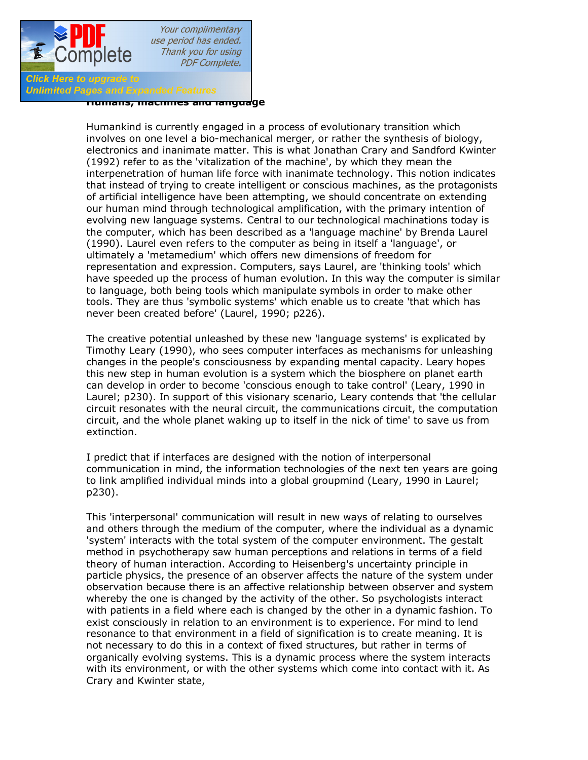

#### **Click Here to upgrade to Unlimited Pages and Expanded Features**

#### **[Humans, machines and langua](http://www.pdfcomplete.com/cms/hppl/tabid/108/Default.aspx?r=q8b3uige22)ge**

Humankind is currently engaged in a process of evolutionary transition which involves on one level a bio-mechanical merger, or rather the synthesis of biology, electronics and inanimate matter. This is what Jonathan Crary and Sandford Kwinter (1992) refer to as the 'vitalization of the machine', by which they mean the interpenetration of human life force with inanimate technology. This notion indicates that instead of trying to create intelligent or conscious machines, as the protagonists of artificial intelligence have been attempting, we should concentrate on extending our human mind through technological amplification, with the primary intention of evolving new language systems. Central to our technological machinations today is the computer, which has been described as a 'language machine' by Brenda Laurel (1990). Laurel even refers to the computer as being in itself a 'language', or ultimately a 'metamedium' which offers new dimensions of freedom for representation and expression. Computers, says Laurel, are 'thinking tools' which have speeded up the process of human evolution. In this way the computer is similar to language, both being tools which manipulate symbols in order to make other tools. They are thus 'symbolic systems' which enable us to create 'that which has never been created before' (Laurel, 1990; p226).

The creative potential unleashed by these new 'language systems' is explicated by Timothy Leary (1990), who sees computer interfaces as mechanisms for unleashing changes in the people's consciousness by expanding mental capacity. Leary hopes this new step in human evolution is a system which the biosphere on planet earth can develop in order to become 'conscious enough to take control' (Leary, 1990 in Laurel; p230). In support of this visionary scenario, Leary contends that 'the cellular circuit resonates with the neural circuit, the communications circuit, the computation circuit, and the whole planet waking up to itself in the nick of time' to save us from extinction.

I predict that if interfaces are designed with the notion of interpersonal communication in mind, the information technologies of the next ten years are going to link amplified individual minds into a global groupmind (Leary, 1990 in Laurel; p230).

This 'interpersonal' communication will result in new ways of relating to ourselves and others through the medium of the computer, where the individual as a dynamic 'system' interacts with the total system of the computer environment. The gestalt method in psychotherapy saw human perceptions and relations in terms of a field theory of human interaction. According to Heisenberg's uncertainty principle in particle physics, the presence of an observer affects the nature of the system under observation because there is an affective relationship between observer and system whereby the one is changed by the activity of the other. So psychologists interact with patients in a field where each is changed by the other in a dynamic fashion. To exist consciously in relation to an environment is to experience. For mind to lend resonance to that environment in a field of signification is to create meaning. It is not necessary to do this in a context of fixed structures, but rather in terms of organically evolving systems. This is a dynamic process where the system interacts with its environment, or with the other systems which come into contact with it. As Crary and Kwinter state,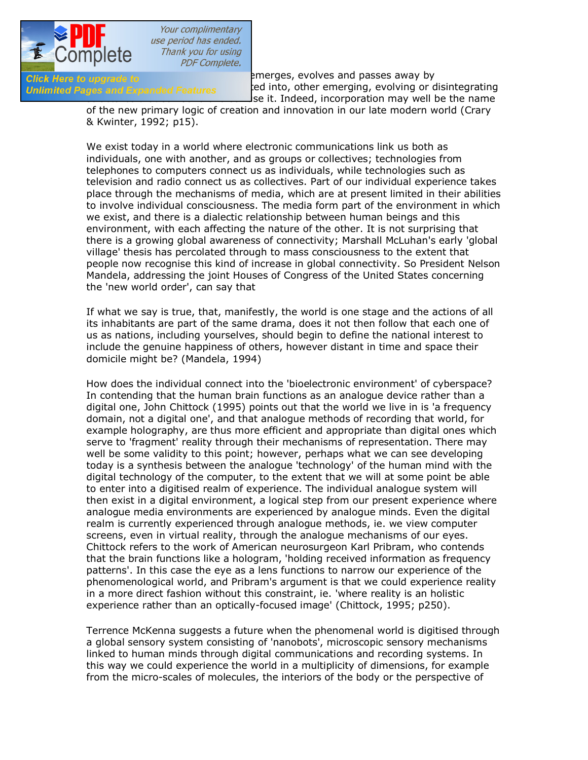

**Click Here to upgrade to consumer this emerges, evolves and passes away by** Unlimited Pages and Expanded Features ted into, other emerging, evolving or disintegrating ise it. Indeed, incorporation may well be the name

of the new primary logic of creation and innovation in our late modern world (Crary & Kwinter, 1992; p15).

We exist today in a world where electronic communications link us both as individuals, one with another, and as groups or collectives; technologies from telephones to computers connect us as individuals, while technologies such as television and radio connect us as collectives. Part of our individual experience takes place through the mechanisms of media, which are at present limited in their abilities to involve individual consciousness. The media form part of the environment in which we exist, and there is a dialectic relationship between human beings and this environment, with each affecting the nature of the other. It is not surprising that there is a growing global awareness of connectivity; Marshall McLuhan's early 'global village' thesis has percolated through to mass consciousness to the extent that people now recognise this kind of increase in global connectivity. So President Nelson Mandela, addressing the joint Houses of Congress of the United States concerning the 'new world order', can say that

If what we say is true, that, manifestly, the world is one stage and the actions of all its inhabitants are part of the same drama, does it not then follow that each one of us as nations, including yourselves, should begin to define the national interest to include the genuine happiness of others, however distant in time and space their domicile might be? (Mandela, 1994)

How does the individual connect into the 'bioelectronic environment' of cyberspace? In contending that the human brain functions as an analogue device rather than a digital one, John Chittock (1995) points out that the world we live in is 'a frequency domain, not a digital one', and that analogue methods of recording that world, for example holography, are thus more efficient and appropriate than digital ones which serve to 'fragment' reality through their mechanisms of representation. There may well be some validity to this point; however, perhaps what we can see developing today is a synthesis between the analogue 'technology' of the human mind with the digital technology of the computer, to the extent that we will at some point be able to enter into a digitised realm of experience. The individual analogue system will then exist in a digital environment, a logical step from our present experience where analogue media environments are experienced by analogue minds. Even the digital realm is currently experienced through analogue methods, ie. we view computer screens, even in virtual reality, through the analogue mechanisms of our eyes. Chittock refers to the work of American neurosurgeon Karl Pribram, who contends that the brain functions like a hologram, 'holding received information as frequency patterns'. In this case the eye as a lens functions to narrow our experience of the phenomenological world, and Pribram's argument is that we could experience reality in a more direct fashion without this constraint, ie. 'where reality is an holistic experience rather than an optically-focused image' (Chittock, 1995; p250).

Terrence McKenna suggests a future when the phenomenal world is digitised through a global sensory system consisting of 'nanobots', microscopic sensory mechanisms linked to human minds through digital communications and recording systems. In this way we could experience the world in a multiplicity of dimensions, for example from the micro-scales of molecules, the interiors of the body or the perspective of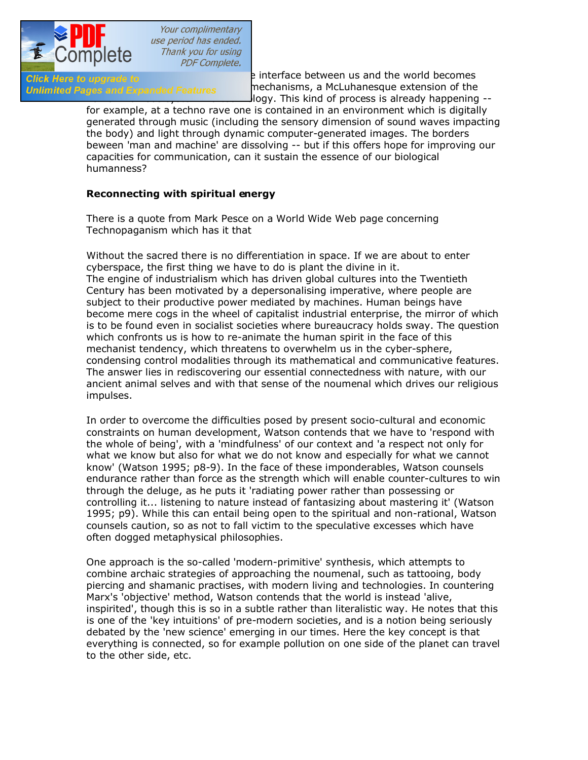

**Click Here to upgrade to interface between us and the world becomes** Unlimited Pages and Expanded Features mechanisms, a McLuhanesque extension of the logy. This kind of process is already happening --

for example, at a techno rave one is contained in an environment which is digitally generated through music (including the sensory dimension of sound waves impacting the body) and light through dynamic computer-generated images. The borders beween 'man and machine' are dissolving -- but if this offers hope for improving our capacities for communication, can it sustain the essence of our biological humanness?

# **Reconnecting with spiritual energy**

There is a quote from Mark Pesce on a World Wide Web page concerning Technopaganism which has it that

Without the sacred there is no differentiation in space. If we are about to enter cyberspace, the first thing we have to do is plant the divine in it. The engine of industrialism which has driven global cultures into the Twentieth Century has been motivated by a depersonalising imperative, where people are subject to their productive power mediated by machines. Human beings have become mere cogs in the wheel of capitalist industrial enterprise, the mirror of which is to be found even in socialist societies where bureaucracy holds sway. The question which confronts us is how to re-animate the human spirit in the face of this mechanist tendency, which threatens to overwhelm us in the cyber-sphere, condensing control modalities through its mathematical and communicative features. The answer lies in rediscovering our essential connectedness with nature, with our ancient animal selves and with that sense of the noumenal which drives our religious impulses.

In order to overcome the difficulties posed by present socio-cultural and economic constraints on human development, Watson contends that we have to 'respond with the whole of being', with a 'mindfulness' of our context and 'a respect not only for what we know but also for what we do not know and especially for what we cannot know' (Watson 1995; p8-9). In the face of these imponderables, Watson counsels endurance rather than force as the strength which will enable counter-cultures to win through the deluge, as he puts it 'radiating power rather than possessing or controlling it... listening to nature instead of fantasizing about mastering it' (Watson 1995; p9). While this can entail being open to the spiritual and non-rational, Watson counsels caution, so as not to fall victim to the speculative excesses which have often dogged metaphysical philosophies.

One approach is the so-called 'modern-primitive' synthesis, which attempts to combine archaic strategies of approaching the noumenal, such as tattooing, body piercing and shamanic practises, with modern living and technologies. In countering Marx's 'objective' method, Watson contends that the world is instead 'alive, inspirited', though this is so in a subtle rather than literalistic way. He notes that this is one of the 'key intuitions' of pre-modern societies, and is a notion being seriously debated by the 'new science' emerging in our times. Here the key concept is that everything is connected, so for example pollution on one side of the planet can travel to the other side, etc.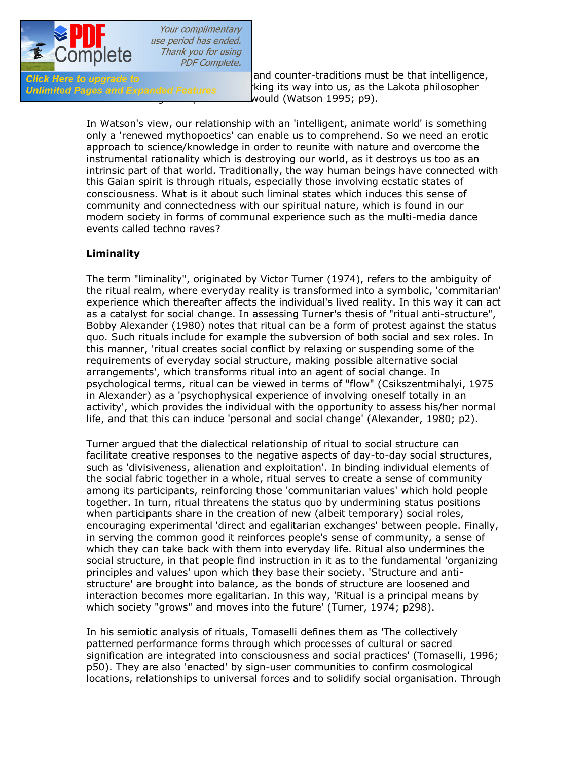

Click Here to upgrade to **reduce the rediscovery of such that intelligence**, Unlimited Pages and Expanded Features Thing its way into us, as the Lakota philosopher would (Watson 1995; p9).

> In Watson's view, our relationship with an 'intelligent, animate world' is something only a 'renewed mythopoetics' can enable us to comprehend. So we need an erotic approach to science/knowledge in order to reunite with nature and overcome the instrumental rationality which is destroying our world, as it destroys us too as an intrinsic part of that world. Traditionally, the way human beings have connected with this Gaian spirit is through rituals, especially those involving ecstatic states of consciousness. What is it about such liminal states which induces this sense of community and connectedness with our spiritual nature, which is found in our modern society in forms of communal experience such as the multi-media dance events called techno raves?

# **Liminality**

The term "liminality", originated by Victor Turner (1974), refers to the ambiguity of the ritual realm, where everyday reality is transformed into a symbolic, 'commitarian' experience which thereafter affects the individual's lived reality. In this way it can act as a catalyst for social change. In assessing Turner's thesis of "ritual anti-structure", Bobby Alexander (1980) notes that ritual can be a form of protest against the status quo. Such rituals include for example the subversion of both social and sex roles. In this manner, 'ritual creates social conflict by relaxing or suspending some of the requirements of everyday social structure, making possible alternative social arrangements', which transforms ritual into an agent of social change. In psychological terms, ritual can be viewed in terms of "flow" (Csikszentmihalyi, 1975 in Alexander) as a 'psychophysical experience of involving oneself totally in an activity', which provides the individual with the opportunity to assess his/her normal life, and that this can induce 'personal and social change' (Alexander, 1980; p2).

Turner argued that the dialectical relationship of ritual to social structure can facilitate creative responses to the negative aspects of day-to-day social structures, such as 'divisiveness, alienation and exploitation'. In binding individual elements of the social fabric together in a whole, ritual serves to create a sense of community among its participants, reinforcing those 'communitarian values' which hold people together. In turn, ritual threatens the status quo by undermining status positions when participants share in the creation of new (albeit temporary) social roles, encouraging experimental 'direct and egalitarian exchanges' between people. Finally, in serving the common good it reinforces people's sense of community, a sense of which they can take back with them into everyday life. Ritual also undermines the social structure, in that people find instruction in it as to the fundamental 'organizing principles and values' upon which they base their society. 'Structure and antistructure' are brought into balance, as the bonds of structure are loosened and interaction becomes more egalitarian. In this way, 'Ritual is a principal means by which society "grows" and moves into the future' (Turner, 1974; p298).

In his semiotic analysis of rituals, Tomaselli defines them as 'The collectively patterned performance forms through which processes of cultural or sacred signification are integrated into consciousness and social practices' (Tomaselli, 1996; p50). They are also 'enacted' by sign-user communities to confirm cosmological locations, relationships to universal forces and to solidify social organisation. Through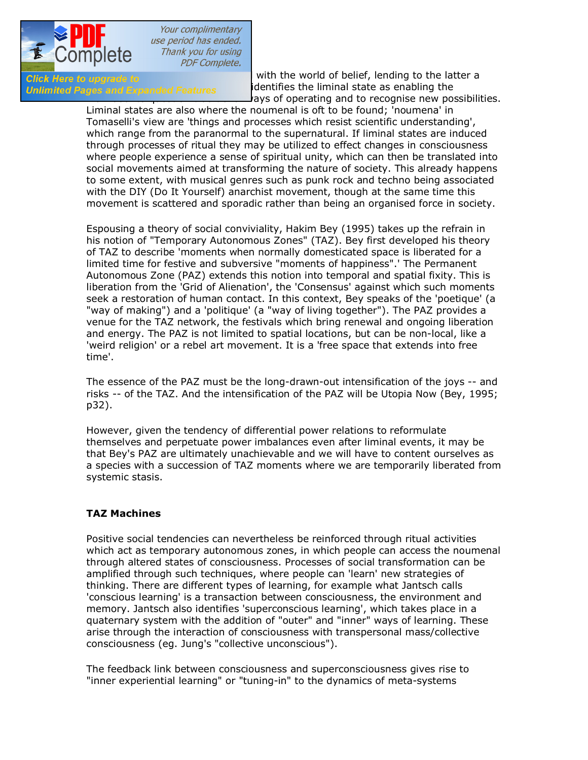

**Click Here to upgrade to click is realigned with the world of belief, lending to the latter a** Unlimited Pages and Expanded Features identifies the liminal state as enabling the javs of operating and to recognise new possibilities.

Liminal states are also where the noumenal is oft to be found; 'noumena' in Tomaselli's view are 'things and processes which resist scientific understanding', which range from the paranormal to the supernatural. If liminal states are induced through processes of ritual they may be utilized to effect changes in consciousness where people experience a sense of spiritual unity, which can then be translated into social movements aimed at transforming the nature of society. This already happens to some extent, with musical genres such as punk rock and techno being associated with the DIY (Do It Yourself) anarchist movement, though at the same time this movement is scattered and sporadic rather than being an organised force in society.

Espousing a theory of social conviviality, Hakim Bey (1995) takes up the refrain in his notion of "Temporary Autonomous Zones" (TAZ). Bey first developed his theory of TAZ to describe 'moments when normally domesticated space is liberated for a limited time for festive and subversive "moments of happiness".' The Permanent Autonomous Zone (PAZ) extends this notion into temporal and spatial fixity. This is liberation from the 'Grid of Alienation', the 'Consensus' against which such moments seek a restoration of human contact. In this context, Bey speaks of the 'poetique' (a "way of making") and a 'politique' (a "way of living together"). The PAZ provides a venue for the TAZ network, the festivals which bring renewal and ongoing liberation and energy. The PAZ is not limited to spatial locations, but can be non-local, like a 'weird religion' or a rebel art movement. It is a 'free space that extends into free time'.

The essence of the PAZ must be the long-drawn-out intensification of the joys -- and risks -- of the TAZ. And the intensification of the PAZ will be Utopia Now (Bey, 1995; p32).

However, given the tendency of differential power relations to reformulate themselves and perpetuate power imbalances even after liminal events, it may be that Bey's PAZ are ultimately unachievable and we will have to content ourselves as a species with a succession of TAZ moments where we are temporarily liberated from systemic stasis.

# **TAZ Machines**

Positive social tendencies can nevertheless be reinforced through ritual activities which act as temporary autonomous zones, in which people can access the noumenal through altered states of consciousness. Processes of social transformation can be amplified through such techniques, where people can 'learn' new strategies of thinking. There are different types of learning, for example what Jantsch calls 'conscious learning' is a transaction between consciousness, the environment and memory. Jantsch also identifies 'superconscious learning', which takes place in a quaternary system with the addition of "outer" and "inner" ways of learning. These arise through the interaction of consciousness with transpersonal mass/collective consciousness (eg. Jung's "collective unconscious").

The feedback link between consciousness and superconsciousness gives rise to "inner experiential learning" or "tuning-in" to the dynamics of meta-systems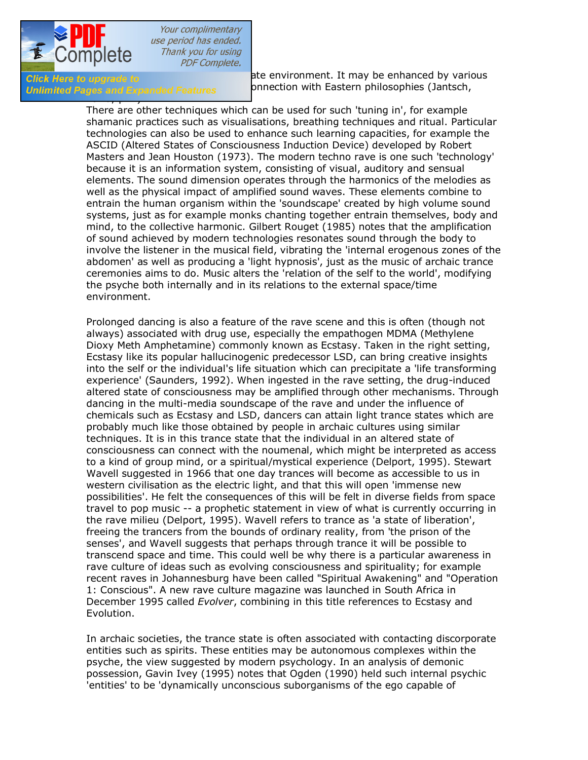

**Unlimited Pages and Expanded Features** 

Click Here to upgrade to **the contract of the history of the history of the contract of the contract of the contract of the contract of the contract of the contract of the contract of the contract of the contract of the co** onnection with Eastern philosophies (Jantsch,

> There are other techniques which can be used for such 'tuning in', for example shamanic practices such as visualisations, breathing techniques and ritual. Particular technologies can also be used to enhance such learning capacities, for example the ASCID (Altered States of Consciousness Induction Device) developed by Robert Masters and Jean Houston (1973). The modern techno rave is one such 'technology' because it is an information system, consisting of visual, auditory and sensual elements. The sound dimension operates through the harmonics of the melodies as well as the physical impact of amplified sound waves. These elements combine to entrain the human organism within the 'soundscape' created by high volume sound systems, just as for example monks chanting together entrain themselves, body and mind, to the collective harmonic. Gilbert Rouget (1985) notes that the amplification of sound achieved by modern technologies resonates sound through the body to involve the listener in the musical field, vibrating the 'internal erogenous zones of the abdomen' as well as producing a 'light hypnosis', just as the music of archaic trance ceremonies aims to do. Music alters the 'relation of the self to the world', modifying the psyche both internally and in its relations to the external space/time environment.

> Prolonged dancing is also a feature of the rave scene and this is often (though not always) associated with drug use, especially the empathogen MDMA (Methylene Dioxy Meth Amphetamine) commonly known as Ecstasy. Taken in the right setting, Ecstasy like its popular hallucinogenic predecessor LSD, can bring creative insights into the self or the individual's life situation which can precipitate a 'life transforming experience' (Saunders, 1992). When ingested in the rave setting, the drug-induced altered state of consciousness may be amplified through other mechanisms. Through dancing in the multi-media soundscape of the rave and under the influence of chemicals such as Ecstasy and LSD, dancers can attain light trance states which are probably much like those obtained by people in archaic cultures using similar techniques. It is in this trance state that the individual in an altered state of consciousness can connect with the noumenal, which might be interpreted as access to a kind of group mind, or a spiritual/mystical experience (Delport, 1995). Stewart Wavell suggested in 1966 that one day trances will become as accessible to us in western civilisation as the electric light, and that this will open 'immense new possibilities'. He felt the consequences of this will be felt in diverse fields from space travel to pop music -- a prophetic statement in view of what is currently occurring in the rave milieu (Delport, 1995). Wavell refers to trance as 'a state of liberation', freeing the trancers from the bounds of ordinary reality, from 'the prison of the senses', and Wavell suggests that perhaps through trance it will be possible to transcend space and time. This could well be why there is a particular awareness in rave culture of ideas such as evolving consciousness and spirituality; for example recent raves in Johannesburg have been called "Spiritual Awakening" and "Operation 1: Conscious". A new rave culture magazine was launched in South Africa in December 1995 called *Evolver*, combining in this title references to Ecstasy and Evolution.

> In archaic societies, the trance state is often associated with contacting discorporate entities such as spirits. These entities may be autonomous complexes within the psyche, the view suggested by modern psychology. In an analysis of demonic possession, Gavin Ivey (1995) notes that Ogden (1990) held such internal psychic 'entities' to be 'dynamically unconscious suborganisms of the ego capable of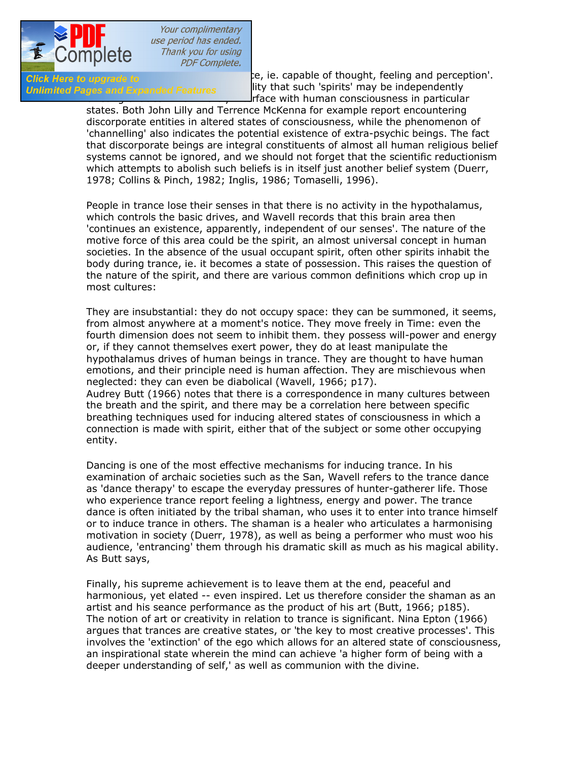

Click Here to upgrade to **Experience in the set of thought**, feeling and perception'. Unlimited Pages and Expanded Features lity that such 'spirits' may be independently Iface with human consciousness in particular

> states. Both John Lilly and Terrence McKenna for example report encountering discorporate entities in altered states of consciousness, while the phenomenon of 'channelling' also indicates the potential existence of extra-psychic beings. The fact that discorporate beings are integral constituents of almost all human religious belief systems cannot be ignored, and we should not forget that the scientific reductionism which attempts to abolish such beliefs is in itself just another belief system (Duerr, 1978; Collins & Pinch, 1982; Inglis, 1986; Tomaselli, 1996).

People in trance lose their senses in that there is no activity in the hypothalamus, which controls the basic drives, and Wavell records that this brain area then 'continues an existence, apparently, independent of our senses'. The nature of the motive force of this area could be the spirit, an almost universal concept in human societies. In the absence of the usual occupant spirit, often other spirits inhabit the body during trance, ie. it becomes a state of possession. This raises the question of the nature of the spirit, and there are various common definitions which crop up in most cultures:

They are insubstantial: they do not occupy space: they can be summoned, it seems, from almost anywhere at a moment's notice. They move freely in Time: even the fourth dimension does not seem to inhibit them. they possess will-power and energy or, if they cannot themselves exert power, they do at least manipulate the hypothalamus drives of human beings in trance. They are thought to have human emotions, and their principle need is human affection. They are mischievous when neglected: they can even be diabolical (Wavell, 1966; p17). Audrey Butt (1966) notes that there is a correspondence in many cultures between the breath and the spirit, and there may be a correlation here between specific breathing techniques used for inducing altered states of consciousness in which a connection is made with spirit, either that of the subject or some other occupying entity.

Dancing is one of the most effective mechanisms for inducing trance. In his examination of archaic societies such as the San, Wavell refers to the trance dance as 'dance therapy' to escape the everyday pressures of hunter-gatherer life. Those who experience trance report feeling a lightness, energy and power. The trance dance is often initiated by the tribal shaman, who uses it to enter into trance himself or to induce trance in others. The shaman is a healer who articulates a harmonising motivation in society (Duerr, 1978), as well as being a performer who must woo his audience, 'entrancing' them through his dramatic skill as much as his magical ability. As Butt says,

Finally, his supreme achievement is to leave them at the end, peaceful and harmonious, yet elated -- even inspired. Let us therefore consider the shaman as an artist and his seance performance as the product of his art (Butt, 1966; p185). The notion of art or creativity in relation to trance is significant. Nina Epton (1966) argues that trances are creative states, or 'the key to most creative processes'. This involves the 'extinction' of the ego which allows for an altered state of consciousness, an inspirational state wherein the mind can achieve 'a higher form of being with a deeper understanding of self,' as well as communion with the divine.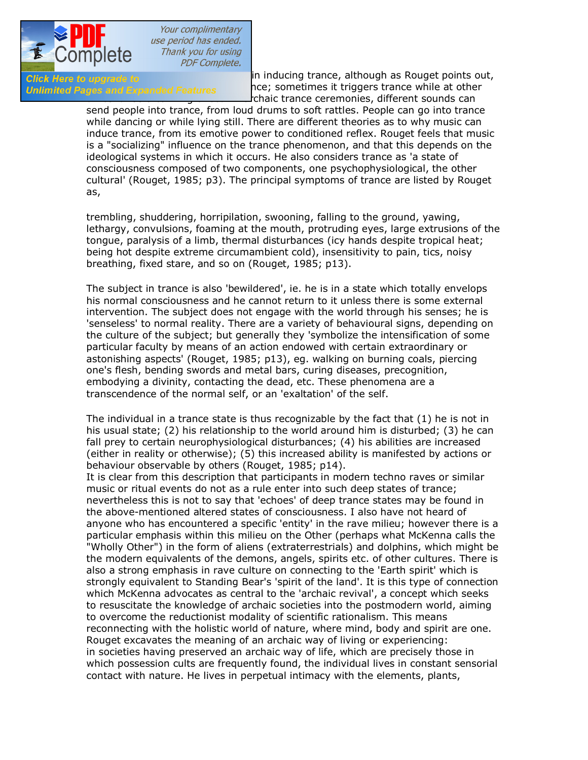

Click Here to upgrade to **Sound Click Figure 2** in inducing trance, although as Rouget points out, Unlimited Pages and Expanded Features hole; sometimes it triggers trance while at other thaic trance ceremonies, different sounds can

> send people into trance, from loud drums to soft rattles. People can go into trance while dancing or while lying still. There are different theories as to why music can induce trance, from its emotive power to conditioned reflex. Rouget feels that music is a "socializing" influence on the trance phenomenon, and that this depends on the ideological systems in which it occurs. He also considers trance as 'a state of consciousness composed of two components, one psychophysiological, the other cultural' (Rouget, 1985; p3). The principal symptoms of trance are listed by Rouget as,

trembling, shuddering, horripilation, swooning, falling to the ground, yawing, lethargy, convulsions, foaming at the mouth, protruding eyes, large extrusions of the tongue, paralysis of a limb, thermal disturbances (icy hands despite tropical heat; being hot despite extreme circumambient cold), insensitivity to pain, tics, noisy breathing, fixed stare, and so on (Rouget, 1985; p13).

The subject in trance is also 'bewildered', ie. he is in a state which totally envelops his normal consciousness and he cannot return to it unless there is some external intervention. The subject does not engage with the world through his senses; he is 'senseless' to normal reality. There are a variety of behavioural signs, depending on the culture of the subject; but generally they 'symbolize the intensification of some particular faculty by means of an action endowed with certain extraordinary or astonishing aspects' (Rouget, 1985; p13), eg. walking on burning coals, piercing one's flesh, bending swords and metal bars, curing diseases, precognition, embodying a divinity, contacting the dead, etc. These phenomena are a transcendence of the normal self, or an 'exaltation' of the self.

The individual in a trance state is thus recognizable by the fact that (1) he is not in his usual state; (2) his relationship to the world around him is disturbed; (3) he can fall prey to certain neurophysiological disturbances; (4) his abilities are increased (either in reality or otherwise); (5) this increased ability is manifested by actions or behaviour observable by others (Rouget, 1985; p14).

It is clear from this description that participants in modern techno raves or similar music or ritual events do not as a rule enter into such deep states of trance; nevertheless this is not to say that 'echoes' of deep trance states may be found in the above-mentioned altered states of consciousness. I also have not heard of anyone who has encountered a specific 'entity' in the rave milieu; however there is a particular emphasis within this milieu on the Other (perhaps what McKenna calls the "Wholly Other") in the form of aliens (extraterrestrials) and dolphins, which might be the modern equivalents of the demons, angels, spirits etc. of other cultures. There is also a strong emphasis in rave culture on connecting to the 'Earth spirit' which is strongly equivalent to Standing Bear's 'spirit of the land'. It is this type of connection which McKenna advocates as central to the 'archaic revival', a concept which seeks to resuscitate the knowledge of archaic societies into the postmodern world, aiming to overcome the reductionist modality of scientific rationalism. This means reconnecting with the holistic world of nature, where mind, body and spirit are one. Rouget excavates the meaning of an archaic way of living or experiencing: in societies having preserved an archaic way of life, which are precisely those in which possession cults are frequently found, the individual lives in constant sensorial contact with nature. He lives in perpetual intimacy with the elements, plants,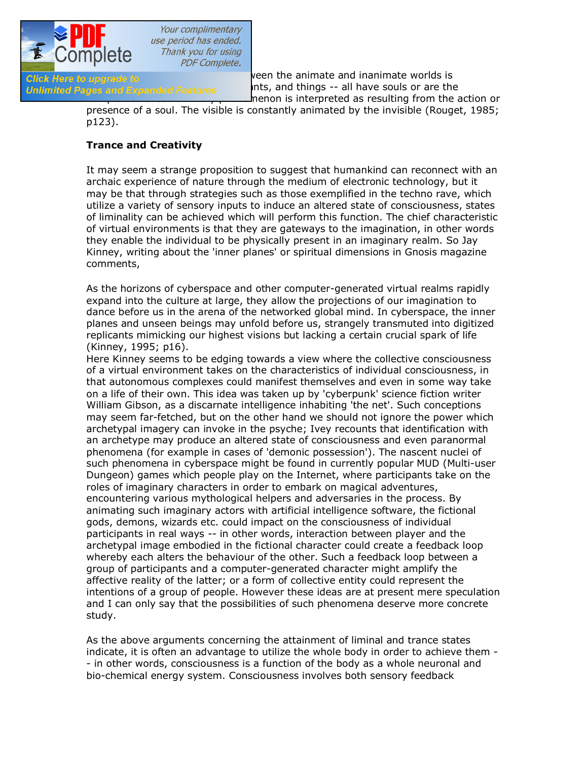

**Click Here to upgrade to EXECLE BETWEEN SCIENCE AND SCIENCE BETWEEN SCIENCE BETWEEN SCIENCE BETWEEN** Unlimited Pages and Expanded Features https, and things -- all have souls or are the nenon is interpreted as resulting from the action or.

> presence of a soul. The visible is constantly animated by the invisible (Rouget, 1985; p123).

# **Trance and Creativity**

It may seem a strange proposition to suggest that humankind can reconnect with an archaic experience of nature through the medium of electronic technology, but it may be that through strategies such as those exemplified in the techno rave, which utilize a variety of sensory inputs to induce an altered state of consciousness, states of liminality can be achieved which will perform this function. The chief characteristic of virtual environments is that they are gateways to the imagination, in other words they enable the individual to be physically present in an imaginary realm. So Jay Kinney, writing about the 'inner planes' or spiritual dimensions in Gnosis magazine comments,

As the horizons of cyberspace and other computer-generated virtual realms rapidly expand into the culture at large, they allow the projections of our imagination to dance before us in the arena of the networked global mind. In cyberspace, the inner planes and unseen beings may unfold before us, strangely transmuted into digitized replicants mimicking our highest visions but lacking a certain crucial spark of life (Kinney, 1995; p16).

Here Kinney seems to be edging towards a view where the collective consciousness of a virtual environment takes on the characteristics of individual consciousness, in that autonomous complexes could manifest themselves and even in some way take on a life of their own. This idea was taken up by 'cyberpunk' science fiction writer William Gibson, as a discarnate intelligence inhabiting 'the net'. Such conceptions may seem far-fetched, but on the other hand we should not ignore the power which archetypal imagery can invoke in the psyche; Ivey recounts that identification with an archetype may produce an altered state of consciousness and even paranormal phenomena (for example in cases of 'demonic possession'). The nascent nuclei of such phenomena in cyberspace might be found in currently popular MUD (Multi-user Dungeon) games which people play on the Internet, where participants take on the roles of imaginary characters in order to embark on magical adventures, encountering various mythological helpers and adversaries in the process. By animating such imaginary actors with artificial intelligence software, the fictional gods, demons, wizards etc. could impact on the consciousness of individual participants in real ways -- in other words, interaction between player and the archetypal image embodied in the fictional character could create a feedback loop whereby each alters the behaviour of the other. Such a feedback loop between a group of participants and a computer-generated character might amplify the affective reality of the latter; or a form of collective entity could represent the intentions of a group of people. However these ideas are at present mere speculation and I can only say that the possibilities of such phenomena deserve more concrete study.

As the above arguments concerning the attainment of liminal and trance states indicate, it is often an advantage to utilize the whole body in order to achieve them - - in other words, consciousness is a function of the body as a whole neuronal and bio-chemical energy system. Consciousness involves both sensory feedback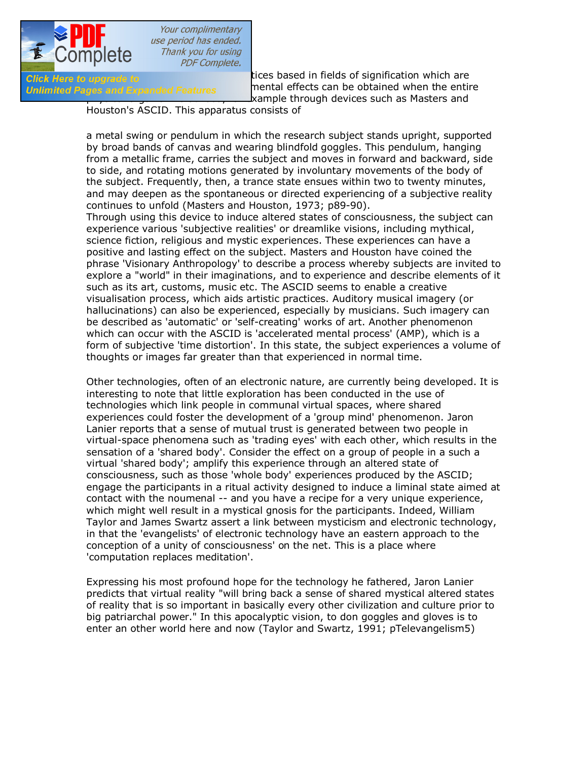

**Click Here to upgrade to mechanisms** based in fields of signification which are Unlimited Pages and Expanded Features mental effects can be obtained when the entire xample through devices such as Masters and

Houston's ASCID. This apparatus consists of

a metal swing or pendulum in which the research subject stands upright, supported by broad bands of canvas and wearing blindfold goggles. This pendulum, hanging from a metallic frame, carries the subject and moves in forward and backward, side to side, and rotating motions generated by involuntary movements of the body of the subject. Frequently, then, a trance state ensues within two to twenty minutes, and may deepen as the spontaneous or directed experiencing of a subjective reality continues to unfold (Masters and Houston, 1973; p89-90).

Through using this device to induce altered states of consciousness, the subject can experience various 'subjective realities' or dreamlike visions, including mythical, science fiction, religious and mystic experiences. These experiences can have a positive and lasting effect on the subject. Masters and Houston have coined the phrase 'Visionary Anthropology' to describe a process whereby subjects are invited to explore a "world" in their imaginations, and to experience and describe elements of it such as its art, customs, music etc. The ASCID seems to enable a creative visualisation process, which aids artistic practices. Auditory musical imagery (or hallucinations) can also be experienced, especially by musicians. Such imagery can be described as 'automatic' or 'self-creating' works of art. Another phenomenon which can occur with the ASCID is 'accelerated mental process' (AMP), which is a form of subjective 'time distortion'. In this state, the subject experiences a volume of thoughts or images far greater than that experienced in normal time.

Other technologies, often of an electronic nature, are currently being developed. It is interesting to note that little exploration has been conducted in the use of technologies which link people in communal virtual spaces, where shared experiences could foster the development of a 'group mind' phenomenon. Jaron Lanier reports that a sense of mutual trust is generated between two people in virtual-space phenomena such as 'trading eyes' with each other, which results in the sensation of a 'shared body'. Consider the effect on a group of people in a such a virtual 'shared body'; amplify this experience through an altered state of consciousness, such as those 'whole body' experiences produced by the ASCID; engage the participants in a ritual activity designed to induce a liminal state aimed at contact with the noumenal -- and you have a recipe for a very unique experience, which might well result in a mystical gnosis for the participants. Indeed, William Taylor and James Swartz assert a link between mysticism and electronic technology, in that the 'evangelists' of electronic technology have an eastern approach to the conception of a unity of consciousness' on the net. This is a place where 'computation replaces meditation'.

Expressing his most profound hope for the technology he fathered, Jaron Lanier predicts that virtual reality "will bring back a sense of shared mystical altered states of reality that is so important in basically every other civilization and culture prior to big patriarchal power." In this apocalyptic vision, to don goggles and gloves is to enter an other world here and now (Taylor and Swartz, 1991; pTelevangelism5)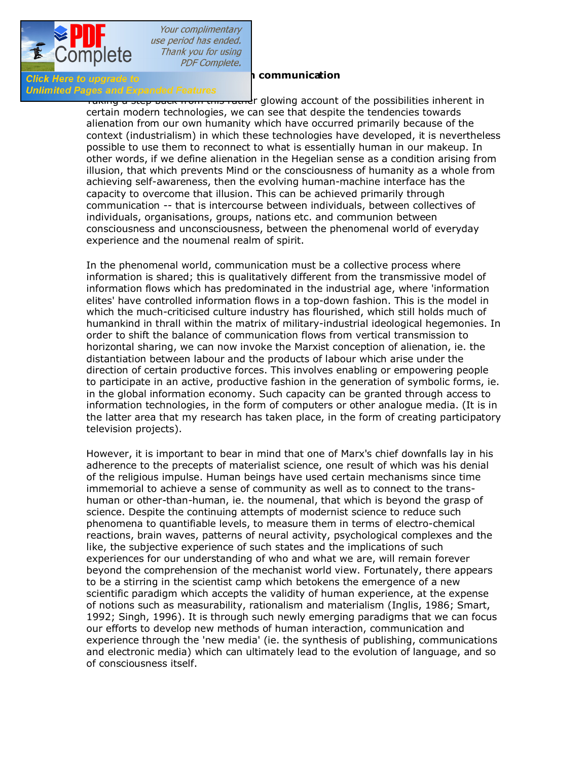

# **Click Here to upgrade to the communication**

# **Unlimited Pages and Expanded Features**

aning a step back from this rather glowing account of the possibilities inherent in certain modern technologies, we can see that despite the tendencies towards alienation from our own humanity which have occurred primarily because of the context (industrialism) in which these technologies have developed, it is nevertheless possible to use them to reconnect to what is essentially human in our makeup. In other words, if we define alienation in the Hegelian sense as a condition arising from illusion, that which prevents Mind or the consciousness of humanity as a whole from achieving self-awareness, then the evolving human-machine interface has the capacity to overcome that illusion. This can be achieved primarily through communication -- that is intercourse between individuals, between collectives of individuals, organisations, groups, nations etc. and communion between consciousness and unconsciousness, between the phenomenal world of everyday experience and the noumenal realm of spirit.

In the phenomenal world, communication must be a collective process where information is shared; this is qualitatively different from the transmissive model of information flows which has predominated in the industrial age, where 'information elites' have controlled information flows in a top-down fashion. This is the model in which the much-criticised culture industry has flourished, which still holds much of humankind in thrall within the matrix of military-industrial ideological hegemonies. In order to shift the balance of communication flows from vertical transmission to horizontal sharing, we can now invoke the Marxist conception of alienation, ie. the distantiation between labour and the products of labour which arise under the direction of certain productive forces. This involves enabling or empowering people to participate in an active, productive fashion in the generation of symbolic forms, ie. in the global information economy. Such capacity can be granted through access to information technologies, in the form of computers or other analogue media. (It is in the latter area that my research has taken place, in the form of creating participatory television projects).

However, it is important to bear in mind that one of Marx's chief downfalls lay in his adherence to the precepts of materialist science, one result of which was his denial of the religious impulse. Human beings have used certain mechanisms since time immemorial to achieve a sense of community as well as to connect to the transhuman or other-than-human, ie. the noumenal, that which is beyond the grasp of science. Despite the continuing attempts of modernist science to reduce such phenomena to quantifiable levels, to measure them in terms of electro-chemical reactions, brain waves, patterns of neural activity, psychological complexes and the like, the subjective experience of such states and the implications of such experiences for our understanding of who and what we are, will remain forever beyond the comprehension of the mechanist world view. Fortunately, there appears to be a stirring in the scientist camp which betokens the emergence of a new scientific paradigm which accepts the validity of human experience, at the expense of notions such as measurability, rationalism and materialism (Inglis, 1986; Smart, 1992; Singh, 1996). It is through such newly emerging paradigms that we can focus our efforts to develop new methods of human interaction, communication and experience through the 'new media' (ie. the synthesis of publishing, communications and electronic media) which can ultimately lead to the evolution of language, and so of consciousness itself.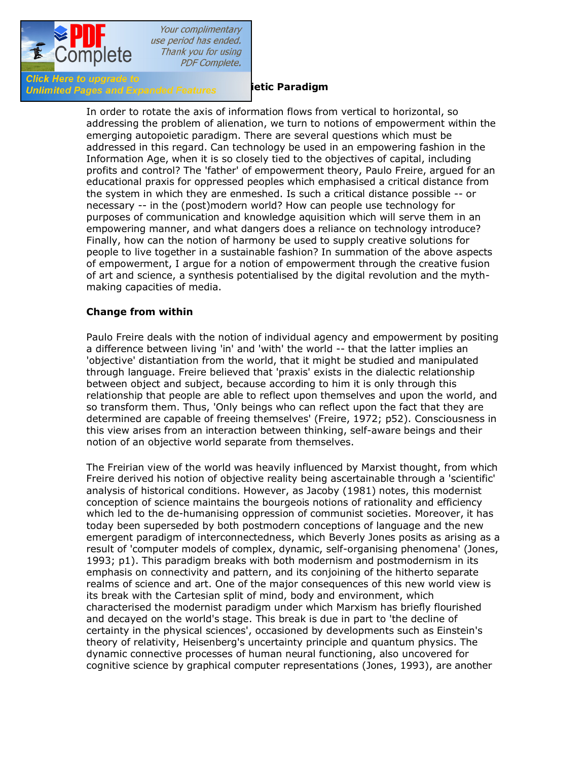

**Unlimited Pages and Expanded Features ietic Paradigm** 

In order to rotate the axis of information flows from vertical to horizontal, so addressing the problem of alienation, we turn to notions of empowerment within the emerging autopoietic paradigm. There are several questions which must be addressed in this regard. Can technology be used in an empowering fashion in the Information Age, when it is so closely tied to the objectives of capital, including profits and control? The 'father' of empowerment theory, Paulo Freire, argued for an educational praxis for oppressed peoples which emphasised a critical distance from the system in which they are enmeshed. Is such a critical distance possible -- or necessary -- in the (post)modern world? How can people use technology for purposes of communication and knowledge aquisition which will serve them in an empowering manner, and what dangers does a reliance on technology introduce? Finally, how can the notion of harmony be used to supply creative solutions for people to live together in a sustainable fashion? In summation of the above aspects of empowerment, I argue for a notion of empowerment through the creative fusion of art and science, a synthesis potentialised by the digital revolution and the mythmaking capacities of media.

# **Change from within**

Paulo Freire deals with the notion of individual agency and empowerment by positing a difference between living 'in' and 'with' the world -- that the latter implies an 'objective' distantiation from the world, that it might be studied and manipulated through language. Freire believed that 'praxis' exists in the dialectic relationship between object and subject, because according to him it is only through this relationship that people are able to reflect upon themselves and upon the world, and so transform them. Thus, 'Only beings who can reflect upon the fact that they are determined are capable of freeing themselves' (Freire, 1972; p52). Consciousness in this view arises from an interaction between thinking, self-aware beings and their notion of an objective world separate from themselves.

The Freirian view of the world was heavily influenced by Marxist thought, from which Freire derived his notion of objective reality being ascertainable through a 'scientific' analysis of historical conditions. However, as Jacoby (1981) notes, this modernist conception of science maintains the bourgeois notions of rationality and efficiency which led to the de-humanising oppression of communist societies. Moreover, it has today been superseded by both postmodern conceptions of language and the new emergent paradigm of interconnectedness, which Beverly Jones posits as arising as a result of 'computer models of complex, dynamic, self-organising phenomena' (Jones, 1993; p1). This paradigm breaks with both modernism and postmodernism in its emphasis on connectivity and pattern, and its conjoining of the hitherto separate realms of science and art. One of the major consequences of this new world view is its break with the Cartesian split of mind, body and environment, which characterised the modernist paradigm under which Marxism has briefly flourished and decayed on the world's stage. This break is due in part to 'the decline of certainty in the physical sciences', occasioned by developments such as Einstein's theory of relativity, Heisenberg's uncertainty principle and quantum physics. The dynamic connective processes of human neural functioning, also uncovered for cognitive science by graphical computer representations (Jones, 1993), are another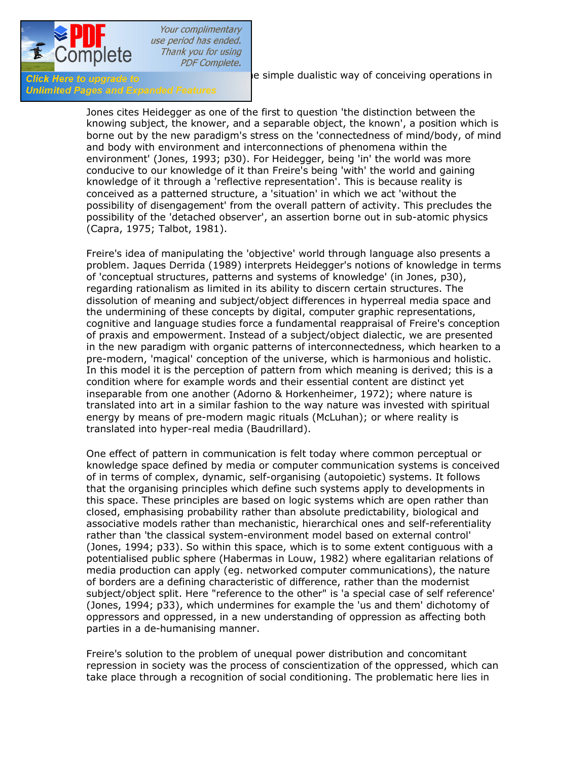

**Click Here to upgrade to phenomenon which understand understanding of conceiving operations in** 

# **Unlimited Pages and Expanded Features**

Jones cites Heidegger as one of the first to question 'the distinction between the knowing subject, the knower, and a separable object, the known', a position which is borne out by the new paradigm's stress on the 'connectedness of mind/body, of mind and body with environment and interconnections of phenomena within the environment' (Jones, 1993; p30). For Heidegger, being 'in' the world was more conducive to our knowledge of it than Freire's being 'with' the world and gaining knowledge of it through a 'reflective representation'. This is because reality is conceived as a patterned structure, a 'situation' in which we act 'without the possibility of disengagement' from the overall pattern of activity. This precludes the possibility of the 'detached observer', an assertion borne out in sub-atomic physics (Capra, 1975; Talbot, 1981).

Freire's idea of manipulating the 'objective' world through language also presents a problem. Jaques Derrida (1989) interprets Heidegger's notions of knowledge in terms of 'conceptual structures, patterns and systems of knowledge' (in Jones, p30), regarding rationalism as limited in its ability to discern certain structures. The dissolution of meaning and subject/object differences in hyperreal media space and the undermining of these concepts by digital, computer graphic representations, cognitive and language studies force a fundamental reappraisal of Freire's conception of praxis and empowerment. Instead of a subject/object dialectic, we are presented in the new paradigm with organic patterns of interconnectedness, which hearken to a pre-modern, 'magical' conception of the universe, which is harmonious and holistic. In this model it is the perception of pattern from which meaning is derived; this is a condition where for example words and their essential content are distinct yet inseparable from one another (Adorno & Horkenheimer, 1972); where nature is translated into art in a similar fashion to the way nature was invested with spiritual energy by means of pre-modern magic rituals (McLuhan); or where reality is translated into hyper-real media (Baudrillard).

One effect of pattern in communication is felt today where common perceptual or knowledge space defined by media or computer communication systems is conceived of in terms of complex, dynamic, self-organising (autopoietic) systems. It follows that the organising principles which define such systems apply to developments in this space. These principles are based on logic systems which are open rather than closed, emphasising probability rather than absolute predictability, biological and associative models rather than mechanistic, hierarchical ones and self-referentiality rather than 'the classical system-environment model based on external control' (Jones, 1994; p33). So within this space, which is to some extent contiguous with a potentialised public sphere (Habermas in Louw, 1982) where egalitarian relations of media production can apply (eg. networked computer communications), the nature of borders are a defining characteristic of difference, rather than the modernist subject/object split. Here "reference to the other" is 'a special case of self reference' (Jones, 1994; p33), which undermines for example the 'us and them' dichotomy of oppressors and oppressed, in a new understanding of oppression as affecting both parties in a de-humanising manner.

Freire's solution to the problem of unequal power distribution and concomitant repression in society was the process of conscientization of the oppressed, which can take place through a recognition of social conditioning. The problematic here lies in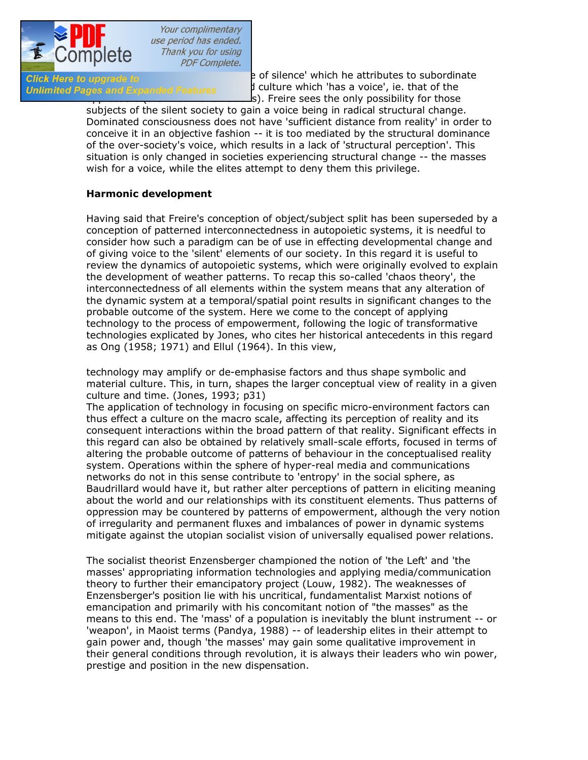

Click Here to upgrade to  $\frac{1}{2}$  of silence' which he attributes to subordinate Unlimited Pages and Expanded Features 1 culture which 'has a voice', ie. that of the s). Freire sees the only possibility for those

subjects of the silent society to gain a voice being in radical structural change. Dominated consciousness does not have 'sufficient distance from reality' in order to conceive it in an objective fashion -- it is too mediated by the structural dominance of the over-society's voice, which results in a lack of 'structural perception'. This situation is only changed in societies experiencing structural change -- the masses wish for a voice, while the elites attempt to deny them this privilege.

# **Harmonic development**

Having said that Freire's conception of object/subject split has been superseded by a conception of patterned interconnectedness in autopoietic systems, it is needful to consider how such a paradigm can be of use in effecting developmental change and of giving voice to the 'silent' elements of our society. In this regard it is useful to review the dynamics of autopoietic systems, which were originally evolved to explain the development of weather patterns. To recap this so-called 'chaos theory', the interconnectedness of all elements within the system means that any alteration of the dynamic system at a temporal/spatial point results in significant changes to the probable outcome of the system. Here we come to the concept of applying technology to the process of empowerment, following the logic of transformative technologies explicated by Jones, who cites her historical antecedents in this regard as Ong (1958; 1971) and Ellul (1964). In this view,

technology may amplify or de-emphasise factors and thus shape symbolic and material culture. This, in turn, shapes the larger conceptual view of reality in a given culture and time. (Jones, 1993; p31)

The application of technology in focusing on specific micro-environment factors can thus effect a culture on the macro scale, affecting its perception of reality and its consequent interactions within the broad pattern of that reality. Significant effects in this regard can also be obtained by relatively small-scale efforts, focused in terms of altering the probable outcome of patterns of behaviour in the conceptualised reality system. Operations within the sphere of hyper-real media and communications networks do not in this sense contribute to 'entropy' in the social sphere, as Baudrillard would have it, but rather alter perceptions of pattern in eliciting meaning about the world and our relationships with its constituent elements. Thus patterns of oppression may be countered by patterns of empowerment, although the very notion of irregularity and permanent fluxes and imbalances of power in dynamic systems mitigate against the utopian socialist vision of universally equalised power relations.

The socialist theorist Enzensberger championed the notion of 'the Left' and 'the masses' appropriating information technologies and applying media/communication theory to further their emancipatory project (Louw, 1982). The weaknesses of Enzensberger's position lie with his uncritical, fundamentalist Marxist notions of emancipation and primarily with his concomitant notion of "the masses" as the means to this end. The 'mass' of a population is inevitably the blunt instrument -- or 'weapon', in Maoist terms (Pandya, 1988) -- of leadership elites in their attempt to gain power and, though 'the masses' may gain some qualitative improvement in their general conditions through revolution, it is always their leaders who win power, prestige and position in the new dispensation.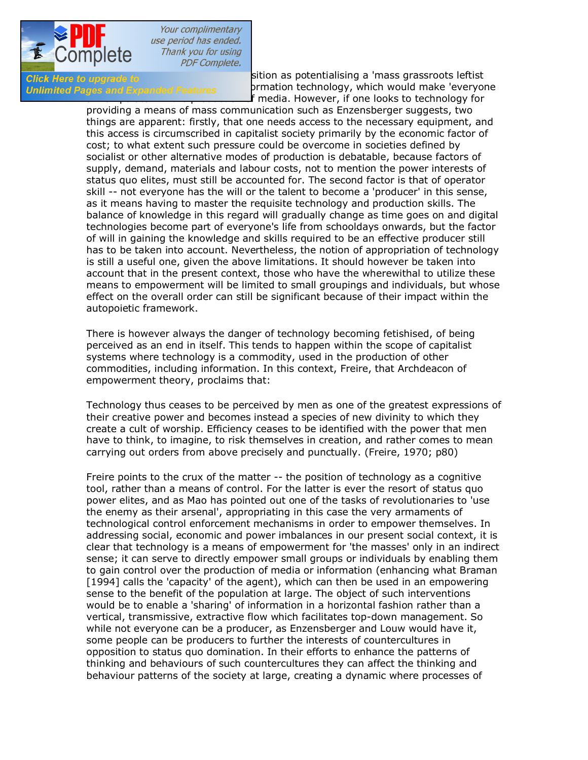

**Click Here to upgrade to example 10 Sition as potentialising a 'mass grassroots leftist** Unlimited Pages and Expanded Features **Full contact of the Unlimited Pages** and Expanded Features f media. However, if one looks to technology for

> providing a means of mass communication such as Enzensberger suggests, two things are apparent: firstly, that one needs access to the necessary equipment, and this access is circumscribed in capitalist society primarily by the economic factor of cost; to what extent such pressure could be overcome in societies defined by socialist or other alternative modes of production is debatable, because factors of supply, demand, materials and labour costs, not to mention the power interests of status quo elites, must still be accounted for. The second factor is that of operator skill -- not everyone has the will or the talent to become a 'producer' in this sense, as it means having to master the requisite technology and production skills. The balance of knowledge in this regard will gradually change as time goes on and digital technologies become part of everyone's life from schooldays onwards, but the factor of will in gaining the knowledge and skills required to be an effective producer still has to be taken into account. Nevertheless, the notion of appropriation of technology is still a useful one, given the above limitations. It should however be taken into account that in the present context, those who have the wherewithal to utilize these means to empowerment will be limited to small groupings and individuals, but whose effect on the overall order can still be significant because of their impact within the autopoietic framework.

There is however always the danger of technology becoming fetishised, of being perceived as an end in itself. This tends to happen within the scope of capitalist systems where technology is a commodity, used in the production of other commodities, including information. In this context, Freire, that Archdeacon of empowerment theory, proclaims that:

Technology thus ceases to be perceived by men as one of the greatest expressions of their creative power and becomes instead a species of new divinity to which they create a cult of worship. Efficiency ceases to be identified with the power that men have to think, to imagine, to risk themselves in creation, and rather comes to mean carrying out orders from above precisely and punctually. (Freire, 1970; p80)

Freire points to the crux of the matter -- the position of technology as a cognitive tool, rather than a means of control. For the latter is ever the resort of status quo power elites, and as Mao has pointed out one of the tasks of revolutionaries to 'use the enemy as their arsenal', appropriating in this case the very armaments of technological control enforcement mechanisms in order to empower themselves. In addressing social, economic and power imbalances in our present social context, it is clear that technology is a means of empowerment for 'the masses' only in an indirect sense; it can serve to directly empower small groups or individuals by enabling them to gain control over the production of media or information (enhancing what Braman [1994] calls the 'capacity' of the agent), which can then be used in an empowering sense to the benefit of the population at large. The object of such interventions would be to enable a 'sharing' of information in a horizontal fashion rather than a vertical, transmissive, extractive flow which facilitates top-down management. So while not everyone can be a producer, as Enzensberger and Louw would have it, some people can be producers to further the interests of countercultures in opposition to status quo domination. In their efforts to enhance the patterns of thinking and behaviours of such countercultures they can affect the thinking and behaviour patterns of the society at large, creating a dynamic where processes of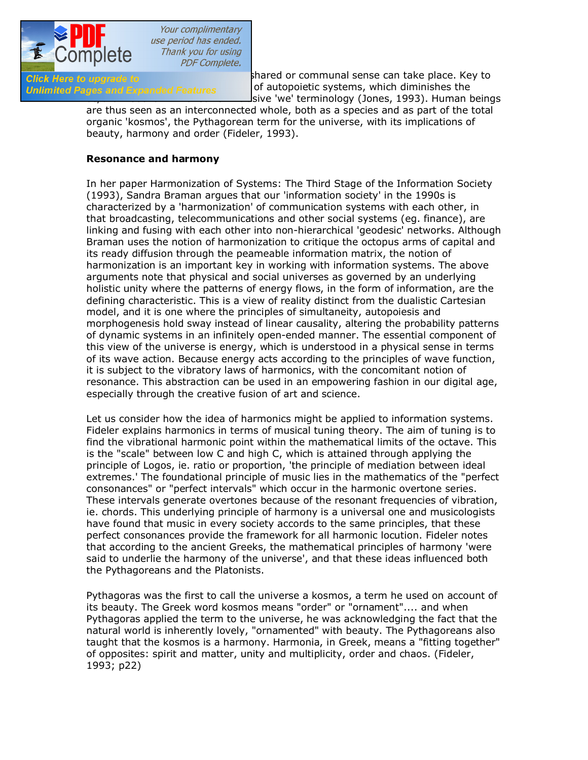

**Click Here to upgrade to creative means of a shared or communal sense can take place. Key to** Unlimited Pages and Expanded Features of autopoietic systems, which diminishes the sive 'we' terminology (Jones, 1993). Human beings

are thus seen as an interconnected whole, both as a species and as part of the total organic 'kosmos', the Pythagorean term for the universe, with its implications of beauty, harmony and order (Fideler, 1993).

# **Resonance and harmony**

In her paper Harmonization of Systems: The Third Stage of the Information Society (1993), Sandra Braman argues that our 'information society' in the 1990s is characterized by a 'harmonization' of communication systems with each other, in that broadcasting, telecommunications and other social systems (eg. finance), are linking and fusing with each other into non-hierarchical 'geodesic' networks. Although Braman uses the notion of harmonization to critique the octopus arms of capital and its ready diffusion through the peameable information matrix, the notion of harmonization is an important key in working with information systems. The above arguments note that physical and social universes as governed by an underlying holistic unity where the patterns of energy flows, in the form of information, are the defining characteristic. This is a view of reality distinct from the dualistic Cartesian model, and it is one where the principles of simultaneity, autopoiesis and morphogenesis hold sway instead of linear causality, altering the probability patterns of dynamic systems in an infinitely open-ended manner. The essential component of this view of the universe is energy, which is understood in a physical sense in terms of its wave action. Because energy acts according to the principles of wave function, it is subject to the vibratory laws of harmonics, with the concomitant notion of resonance. This abstraction can be used in an empowering fashion in our digital age, especially through the creative fusion of art and science.

Let us consider how the idea of harmonics might be applied to information systems. Fideler explains harmonics in terms of musical tuning theory. The aim of tuning is to find the vibrational harmonic point within the mathematical limits of the octave. This is the "scale" between low C and high C, which is attained through applying the principle of Logos, ie. ratio or proportion, 'the principle of mediation between ideal extremes.' The foundational principle of music lies in the mathematics of the "perfect consonances" or "perfect intervals" which occur in the harmonic overtone series. These intervals generate overtones because of the resonant frequencies of vibration, ie. chords. This underlying principle of harmony is a universal one and musicologists have found that music in every society accords to the same principles, that these perfect consonances provide the framework for all harmonic locution. Fideler notes that according to the ancient Greeks, the mathematical principles of harmony 'were said to underlie the harmony of the universe', and that these ideas influenced both the Pythagoreans and the Platonists.

Pythagoras was the first to call the universe a kosmos, a term he used on account of its beauty. The Greek word kosmos means "order" or "ornament".... and when Pythagoras applied the term to the universe, he was acknowledging the fact that the natural world is inherently lovely, "ornamented" with beauty. The Pythagoreans also taught that the kosmos is a harmony. Harmonia, in Greek, means a "fitting together" of opposites: spirit and matter, unity and multiplicity, order and chaos. (Fideler, 1993; p22)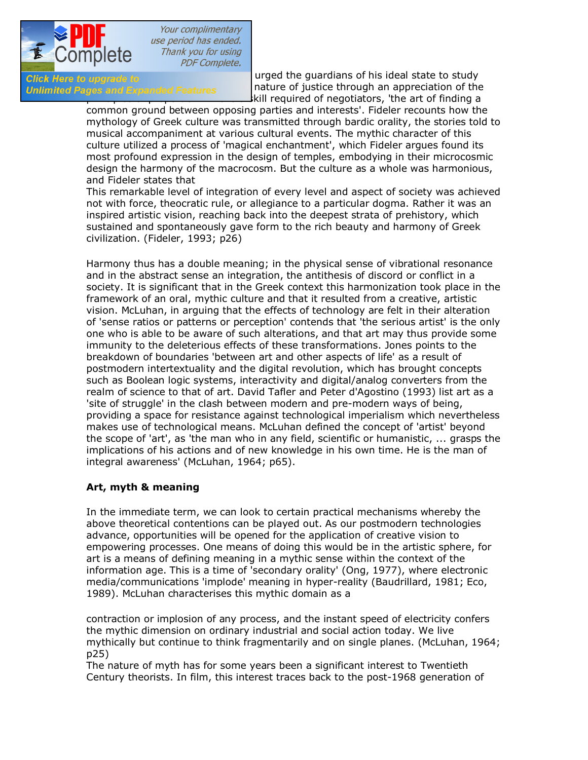

**Click Here to upgrade to** *The Republic Click Here* to study and *urged* the guardians of his ideal state to study **Unlimited Pages and Expanded Features** hature of justice through an appreciation of the principles of proportion. This is a skill required of negotiators, 'the art of finding a

common ground between opposing parties and interests'. Fideler recounts how the mythology of Greek culture was transmitted through bardic orality, the stories told to musical accompaniment at various cultural events. The mythic character of this culture utilized a process of 'magical enchantment', which Fideler argues found its most profound expression in the design of temples, embodying in their microcosmic design the harmony of the macrocosm. But the culture as a whole was harmonious, and Fideler states that

This remarkable level of integration of every level and aspect of society was achieved not with force, theocratic rule, or allegiance to a particular dogma. Rather it was an inspired artistic vision, reaching back into the deepest strata of prehistory, which sustained and spontaneously gave form to the rich beauty and harmony of Greek civilization. (Fideler, 1993; p26)

Harmony thus has a double meaning; in the physical sense of vibrational resonance and in the abstract sense an integration, the antithesis of discord or conflict in a society. It is significant that in the Greek context this harmonization took place in the framework of an oral, mythic culture and that it resulted from a creative, artistic vision. McLuhan, in arguing that the effects of technology are felt in their alteration of 'sense ratios or patterns or perception' contends that 'the serious artist' is the only one who is able to be aware of such alterations, and that art may thus provide some immunity to the deleterious effects of these transformations. Jones points to the breakdown of boundaries 'between art and other aspects of life' as a result of postmodern intertextuality and the digital revolution, which has brought concepts such as Boolean logic systems, interactivity and digital/analog converters from the realm of science to that of art. David Tafler and Peter d'Agostino (1993) list art as a 'site of struggle' in the clash between modern and pre-modern ways of being, providing a space for resistance against technological imperialism which nevertheless makes use of technological means. McLuhan defined the concept of 'artist' beyond the scope of 'art', as 'the man who in any field, scientific or humanistic, ... grasps the implications of his actions and of new knowledge in his own time. He is the man of integral awareness' (McLuhan, 1964; p65).

# **Art, myth & meaning**

In the immediate term, we can look to certain practical mechanisms whereby the above theoretical contentions can be played out. As our postmodern technologies advance, opportunities will be opened for the application of creative vision to empowering processes. One means of doing this would be in the artistic sphere, for art is a means of defining meaning in a mythic sense within the context of the information age. This is a time of 'secondary orality' (Ong, 1977), where electronic media/communications 'implode' meaning in hyper-reality (Baudrillard, 1981; Eco, 1989). McLuhan characterises this mythic domain as a

contraction or implosion of any process, and the instant speed of electricity confers the mythic dimension on ordinary industrial and social action today. We live mythically but continue to think fragmentarily and on single planes. (McLuhan, 1964; p25)

The nature of myth has for some years been a significant interest to Twentieth Century theorists. In film, this interest traces back to the post-1968 generation of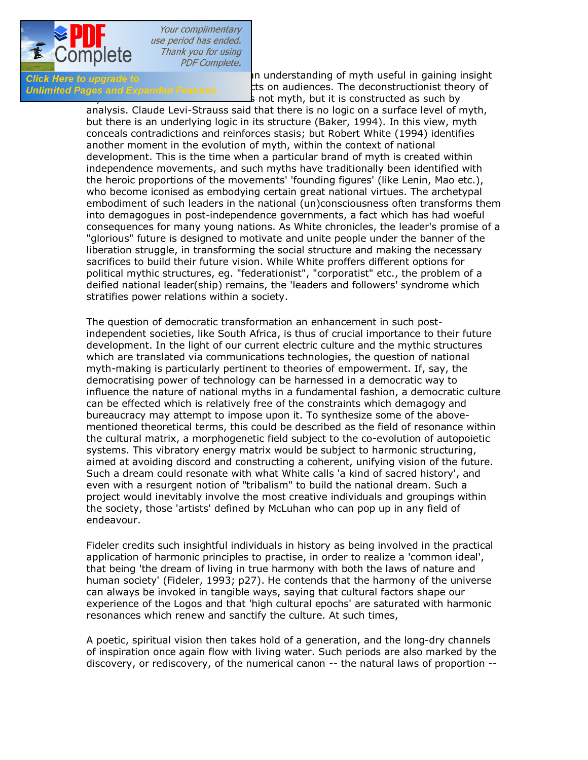

Click Here to upgrade to **European theories** in understanding of myth useful in gaining insight Unlimited Pages and Expanded Features can be the nature of the deconstructionist theory of s not myth, but it is constructed as such by

> analysis. Claude Levi-Strauss said that there is no logic on a surface level of myth, but there is an underlying logic in its structure (Baker, 1994). In this view, myth conceals contradictions and reinforces stasis; but Robert White (1994) identifies another moment in the evolution of myth, within the context of national development. This is the time when a particular brand of myth is created within independence movements, and such myths have traditionally been identified with the heroic proportions of the movements' 'founding figures' (like Lenin, Mao etc.), who become iconised as embodying certain great national virtues. The archetypal embodiment of such leaders in the national (un)consciousness often transforms them into demagogues in post-independence governments, a fact which has had woeful consequences for many young nations. As White chronicles, the leader's promise of a "glorious" future is designed to motivate and unite people under the banner of the liberation struggle, in transforming the social structure and making the necessary sacrifices to build their future vision. While White proffers different options for political mythic structures, eg. "federationist", "corporatist" etc., the problem of a deified national leader(ship) remains, the 'leaders and followers' syndrome which stratifies power relations within a society.

> The question of democratic transformation an enhancement in such postindependent societies, like South Africa, is thus of crucial importance to their future development. In the light of our current electric culture and the mythic structures which are translated via communications technologies, the question of national myth-making is particularly pertinent to theories of empowerment. If, say, the democratising power of technology can be harnessed in a democratic way to influence the nature of national myths in a fundamental fashion, a democratic culture can be effected which is relatively free of the constraints which demagogy and bureaucracy may attempt to impose upon it. To synthesize some of the abovementioned theoretical terms, this could be described as the field of resonance within the cultural matrix, a morphogenetic field subject to the co-evolution of autopoietic systems. This vibratory energy matrix would be subject to harmonic structuring, aimed at avoiding discord and constructing a coherent, unifying vision of the future. Such a dream could resonate with what White calls 'a kind of sacred history', and even with a resurgent notion of "tribalism" to build the national dream. Such a project would inevitably involve the most creative individuals and groupings within the society, those 'artists' defined by McLuhan who can pop up in any field of endeavour.

Fideler credits such insightful individuals in history as being involved in the practical application of harmonic principles to practise, in order to realize a 'common ideal', that being 'the dream of living in true harmony with both the laws of nature and human society' (Fideler, 1993; p27). He contends that the harmony of the universe can always be invoked in tangible ways, saying that cultural factors shape our experience of the Logos and that 'high cultural epochs' are saturated with harmonic resonances which renew and sanctify the culture. At such times,

A poetic, spiritual vision then takes hold of a generation, and the long-dry channels of inspiration once again flow with living water. Such periods are also marked by the discovery, or rediscovery, of the numerical canon -- the natural laws of proportion --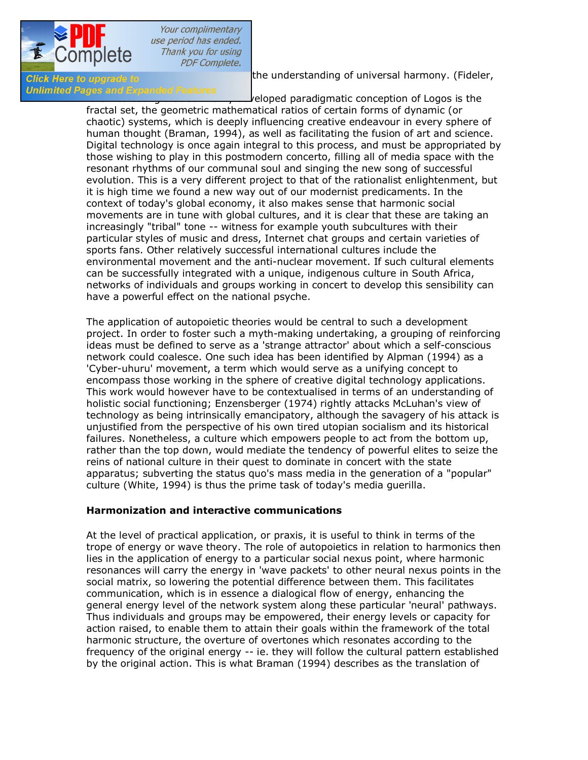

Click Here to upgrade to the understanding of universal harmony. (Fideler,

**Unlimited Pages and Expanded Features** 

reloped paradigmatic conception of Logos is the fractal set, the geometric mathematical ratios of certain forms of dynamic (or chaotic) systems, which is deeply influencing creative endeavour in every sphere of human thought (Braman, 1994), as well as facilitating the fusion of art and science. Digital technology is once again integral to this process, and must be appropriated by those wishing to play in this postmodern concerto, filling all of media space with the resonant rhythms of our communal soul and singing the new song of successful evolution. This is a very different project to that of the rationalist enlightenment, but it is high time we found a new way out of our modernist predicaments. In the context of today's global economy, it also makes sense that harmonic social movements are in tune with global cultures, and it is clear that these are taking an increasingly "tribal" tone -- witness for example youth subcultures with their particular styles of music and dress, Internet chat groups and certain varieties of sports fans. Other relatively successful international cultures include the environmental movement and the anti-nuclear movement. If such cultural elements can be successfully integrated with a unique, indigenous culture in South Africa, networks of individuals and groups working in concert to develop this sensibility can have a powerful effect on the national psyche.

The application of autopoietic theories would be central to such a development project. In order to foster such a myth-making undertaking, a grouping of reinforcing ideas must be defined to serve as a 'strange attractor' about which a self-conscious network could coalesce. One such idea has been identified by Alpman (1994) as a 'Cyber-uhuru' movement, a term which would serve as a unifying concept to encompass those working in the sphere of creative digital technology applications. This work would however have to be contextualised in terms of an understanding of holistic social functioning; Enzensberger (1974) rightly attacks McLuhan's view of technology as being intrinsically emancipatory, although the savagery of his attack is unjustified from the perspective of his own tired utopian socialism and its historical failures. Nonetheless, a culture which empowers people to act from the bottom up, rather than the top down, would mediate the tendency of powerful elites to seize the reins of national culture in their quest to dominate in concert with the state apparatus; subverting the status quo's mass media in the generation of a "popular" culture (White, 1994) is thus the prime task of today's media guerilla.

## **Harmonization and interactive communications**

At the level of practical application, or praxis, it is useful to think in terms of the trope of energy or wave theory. The role of autopoietics in relation to harmonics then lies in the application of energy to a particular social nexus point, where harmonic resonances will carry the energy in 'wave packets' to other neural nexus points in the social matrix, so lowering the potential difference between them. This facilitates communication, which is in essence a dialogical flow of energy, enhancing the general energy level of the network system along these particular 'neural' pathways. Thus individuals and groups may be empowered, their energy levels or capacity for action raised, to enable them to attain their goals within the framework of the total harmonic structure, the overture of overtones which resonates according to the frequency of the original energy -- ie. they will follow the cultural pattern established by the original action. This is what Braman (1994) describes as the translation of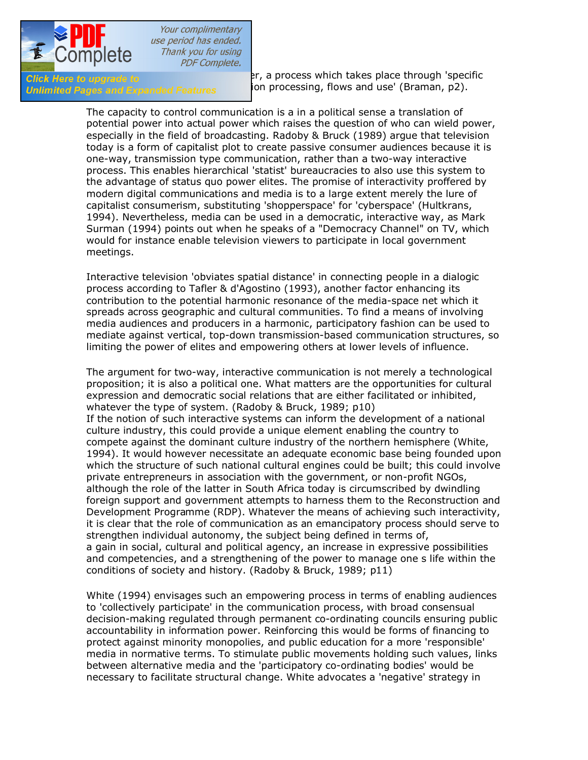

**Unlimited Pages and Expanded Features** ion processing, flows and use' (Braman, p2).

Click Here to upgrade to  $\qquad \qquad$  a process which takes place through 'specific

The capacity to control communication is a in a political sense a translation of potential power into actual power which raises the question of who can wield power, especially in the field of broadcasting. Radoby & Bruck (1989) argue that television today is a form of capitalist plot to create passive consumer audiences because it is one-way, transmission type communication, rather than a two-way interactive process. This enables hierarchical 'statist' bureaucracies to also use this system to the advantage of status quo power elites. The promise of interactivity proffered by modern digital communications and media is to a large extent merely the lure of capitalist consumerism, substituting 'shopperspace' for 'cyberspace' (Hultkrans, 1994). Nevertheless, media can be used in a democratic, interactive way, as Mark Surman (1994) points out when he speaks of a "Democracy Channel" on TV, which would for instance enable television viewers to participate in local government meetings.

Interactive television 'obviates spatial distance' in connecting people in a dialogic process according to Tafler & d'Agostino (1993), another factor enhancing its contribution to the potential harmonic resonance of the media-space net which it spreads across geographic and cultural communities. To find a means of involving media audiences and producers in a harmonic, participatory fashion can be used to mediate against vertical, top-down transmission-based communication structures, so limiting the power of elites and empowering others at lower levels of influence.

The argument for two-way, interactive communication is not merely a technological proposition; it is also a political one. What matters are the opportunities for cultural expression and democratic social relations that are either facilitated or inhibited, whatever the type of system. (Radoby & Bruck, 1989; p10) If the notion of such interactive systems can inform the development of a national culture industry, this could provide a unique element enabling the country to compete against the dominant culture industry of the northern hemisphere (White, 1994). It would however necessitate an adequate economic base being founded upon which the structure of such national cultural engines could be built; this could involve private entrepreneurs in association with the government, or non-profit NGOs, although the role of the latter in South Africa today is circumscribed by dwindling foreign support and government attempts to harness them to the Reconstruction and Development Programme (RDP). Whatever the means of achieving such interactivity, it is clear that the role of communication as an emancipatory process should serve to strengthen individual autonomy, the subject being defined in terms of, a gain in social, cultural and political agency, an increase in expressive possibilities and competencies, and a strengthening of the power to manage one s life within the conditions of society and history. (Radoby & Bruck, 1989; p11)

White (1994) envisages such an empowering process in terms of enabling audiences to 'collectively participate' in the communication process, with broad consensual decision-making regulated through permanent co-ordinating councils ensuring public accountability in information power. Reinforcing this would be forms of financing to protect against minority monopolies, and public education for a more 'responsible' media in normative terms. To stimulate public movements holding such values, links between alternative media and the 'participatory co-ordinating bodies' would be necessary to facilitate structural change. White advocates a 'negative' strategy in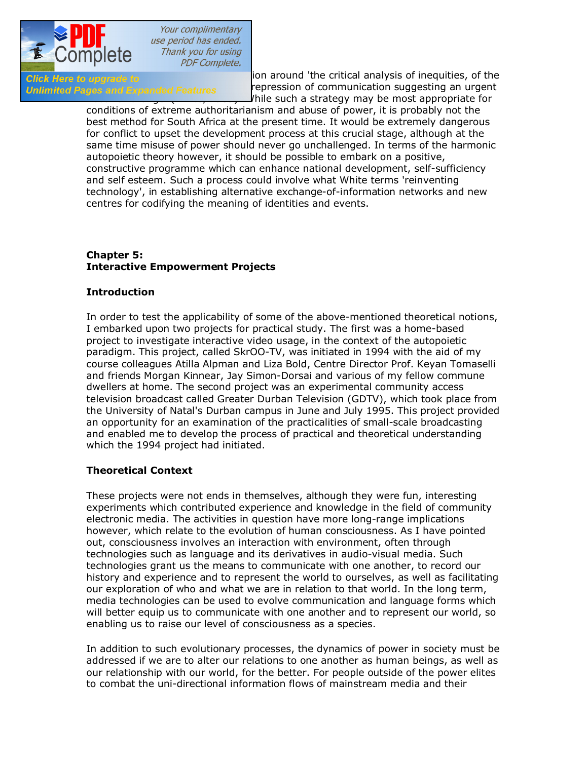

Click Here to upgrade to **the critical analysis of inequities**, of the **Unlimited Pages and Expanded Features** repression of communication suggesting an urgent Thile such a strategy may be most appropriate for

conditions of extreme authoritarianism and abuse of power, it is probably not the best method for South Africa at the present time. It would be extremely dangerous for conflict to upset the development process at this crucial stage, although at the same time misuse of power should never go unchallenged. In terms of the harmonic autopoietic theory however, it should be possible to embark on a positive, constructive programme which can enhance national development, self-sufficiency and self esteem. Such a process could involve what White terms 'reinventing technology', in establishing alternative exchange-of-information networks and new centres for codifying the meaning of identities and events.

# **Chapter 5: Interactive Empowerment Projects**

# **Introduction**

In order to test the applicability of some of the above-mentioned theoretical notions, I embarked upon two projects for practical study. The first was a home-based project to investigate interactive video usage, in the context of the autopoietic paradigm. This project, called SkrOO-TV, was initiated in 1994 with the aid of my course colleagues Atilla Alpman and Liza Bold, Centre Director Prof. Keyan Tomaselli and friends Morgan Kinnear, Jay Simon-Dorsai and various of my fellow commune dwellers at home. The second project was an experimental community access television broadcast called Greater Durban Television (GDTV), which took place from the University of Natal's Durban campus in June and July 1995. This project provided an opportunity for an examination of the practicalities of small-scale broadcasting and enabled me to develop the process of practical and theoretical understanding which the 1994 project had initiated.

# **Theoretical Context**

These projects were not ends in themselves, although they were fun, interesting experiments which contributed experience and knowledge in the field of community electronic media. The activities in question have more long-range implications however, which relate to the evolution of human consciousness. As I have pointed out, consciousness involves an interaction with environment, often through technologies such as language and its derivatives in audio-visual media. Such technologies grant us the means to communicate with one another, to record our history and experience and to represent the world to ourselves, as well as facilitating our exploration of who and what we are in relation to that world. In the long term, media technologies can be used to evolve communication and language forms which will better equip us to communicate with one another and to represent our world, so enabling us to raise our level of consciousness as a species.

In addition to such evolutionary processes, the dynamics of power in society must be addressed if we are to alter our relations to one another as human beings, as well as our relationship with our world, for the better. For people outside of the power elites to combat the uni-directional information flows of mainstream media and their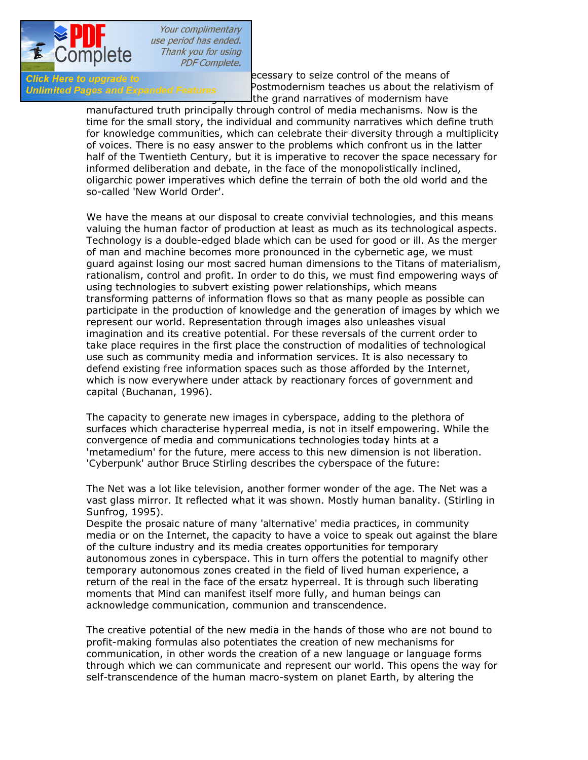

**Click Here to upgrade to control of the means of** ecessary to seize control of the means of Unlimited Pages and Expanded Features Postmodernism teaches us about the relativism of the grand narratives of modernism have

manufactured truth principally through control of media mechanisms. Now is the time for the small story, the individual and community narratives which define truth for knowledge communities, which can celebrate their diversity through a multiplicity of voices. There is no easy answer to the problems which confront us in the latter half of the Twentieth Century, but it is imperative to recover the space necessary for informed deliberation and debate, in the face of the monopolistically inclined, oligarchic power imperatives which define the terrain of both the old world and the so-called 'New World Order'.

We have the means at our disposal to create convivial technologies, and this means valuing the human factor of production at least as much as its technological aspects. Technology is a double-edged blade which can be used for good or ill. As the merger of man and machine becomes more pronounced in the cybernetic age, we must guard against losing our most sacred human dimensions to the Titans of materialism, rationalism, control and profit. In order to do this, we must find empowering ways of using technologies to subvert existing power relationships, which means transforming patterns of information flows so that as many people as possible can participate in the production of knowledge and the generation of images by which we represent our world. Representation through images also unleashes visual imagination and its creative potential. For these reversals of the current order to take place requires in the first place the construction of modalities of technological use such as community media and information services. It is also necessary to defend existing free information spaces such as those afforded by the Internet, which is now everywhere under attack by reactionary forces of government and capital (Buchanan, 1996).

The capacity to generate new images in cyberspace, adding to the plethora of surfaces which characterise hyperreal media, is not in itself empowering. While the convergence of media and communications technologies today hints at a 'metamedium' for the future, mere access to this new dimension is not liberation. 'Cyberpunk' author Bruce Stirling describes the cyberspace of the future:

The Net was a lot like television, another former wonder of the age. The Net was a vast glass mirror. It reflected what it was shown. Mostly human banality. (Stirling in Sunfrog, 1995).

Despite the prosaic nature of many 'alternative' media practices, in community media or on the Internet, the capacity to have a voice to speak out against the blare of the culture industry and its media creates opportunities for temporary autonomous zones in cyberspace. This in turn offers the potential to magnify other temporary autonomous zones created in the field of lived human experience, a return of the real in the face of the ersatz hyperreal. It is through such liberating moments that Mind can manifest itself more fully, and human beings can acknowledge communication, communion and transcendence.

The creative potential of the new media in the hands of those who are not bound to profit-making formulas also potentiates the creation of new mechanisms for communication, in other words the creation of a new language or language forms through which we can communicate and represent our world. This opens the way for self-transcendence of the human macro-system on planet Earth, by altering the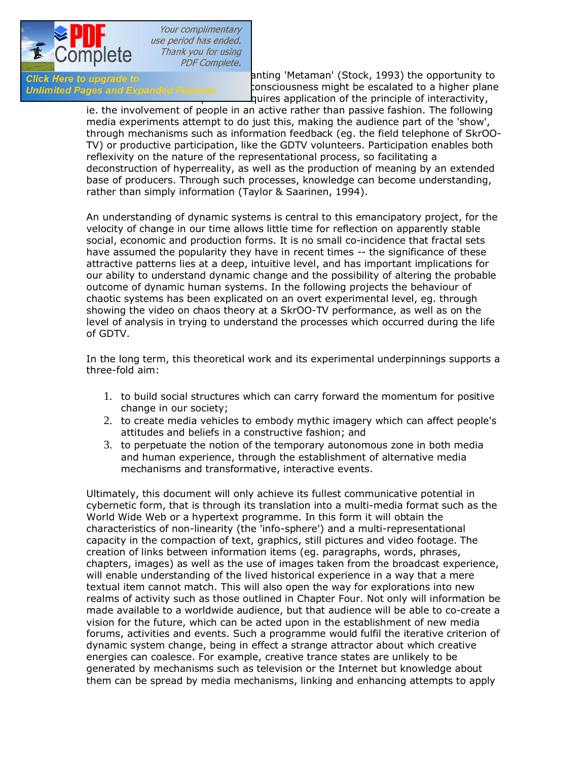

Glick Here to upgrade to **EXECUTE:** In granting 'Metaman' (Stock, 1993) the opportunity to **Unlimited Pages and Expanded Features Consciousness might be escalated to a higher plane** quires application of the principle of interactivity,

> ie. the involvement of people in an active rather than passive fashion. The following media experiments attempt to do just this, making the audience part of the 'show', through mechanisms such as information feedback (eg. the field telephone of SkrOO-TV) or productive participation, like the GDTV volunteers. Participation enables both reflexivity on the nature of the representational process, so facilitating a deconstruction of hyperreality, as well as the production of meaning by an extended base of producers. Through such processes, knowledge can become understanding, rather than simply information (Taylor & Saarinen, 1994).

> An understanding of dynamic systems is central to this emancipatory project, for the velocity of change in our time allows little time for reflection on apparently stable social, economic and production forms. It is no small co-incidence that fractal sets have assumed the popularity they have in recent times -- the significance of these attractive patterns lies at a deep, intuitive level, and has important implications for our ability to understand dynamic change and the possibility of altering the probable outcome of dynamic human systems. In the following projects the behaviour of chaotic systems has been explicated on an overt experimental level, eg. through showing the video on chaos theory at a SkrOO-TV performance, as well as on the level of analysis in trying to understand the processes which occurred during the life of GDTV.

> In the long term, this theoretical work and its experimental underpinnings supports a three-fold aim:

- 1. to build social structures which can carry forward the momentum for positive change in our society;
- 2. to create media vehicles to embody mythic imagery which can affect people's attitudes and beliefs in a constructive fashion; and
- 3. to perpetuate the notion of the temporary autonomous zone in both media and human experience, through the establishment of alternative media mechanisms and transformative, interactive events.

Ultimately, this document will only achieve its fullest communicative potential in cybernetic form, that is through its translation into a multi-media format such as the World Wide Web or a hypertext programme. In this form it will obtain the characteristics of non-linearity (the 'info-sphere') and a multi-representational capacity in the compaction of text, graphics, still pictures and video footage. The creation of links between information items (eg. paragraphs, words, phrases, chapters, images) as well as the use of images taken from the broadcast experience, will enable understanding of the lived historical experience in a way that a mere textual item cannot match. This will also open the way for explorations into new realms of activity such as those outlined in Chapter Four. Not only will information be made available to a worldwide audience, but that audience will be able to co-create a vision for the future, which can be acted upon in the establishment of new media forums, activities and events. Such a programme would fulfil the iterative criterion of dynamic system change, being in effect a strange attractor about which creative energies can coalesce. For example, creative trance states are unlikely to be generated by mechanisms such as television or the Internet but knowledge about them can be spread by media mechanisms, linking and enhancing attempts to apply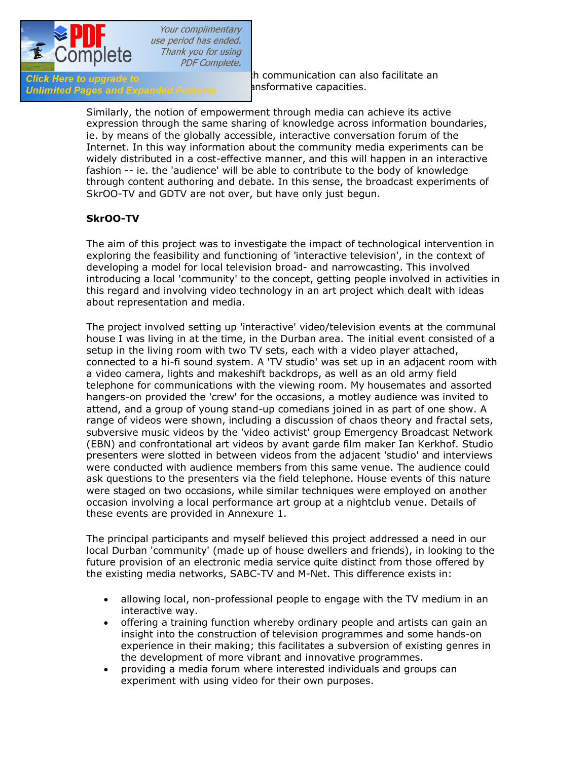

Unlimited Pages and Expanded Features and Shormative capacities.

Click Here to upgrade to **the communication can also facilitate an** 

Similarly, the notion of empowerment through media can achieve its active expression through the same sharing of knowledge across information boundaries, ie. by means of the globally accessible, interactive conversation forum of the Internet. In this way information about the community media experiments can be widely distributed in a cost-effective manner, and this will happen in an interactive fashion -- ie. the 'audience' will be able to contribute to the body of knowledge through content authoring and debate. In this sense, the broadcast experiments of SkrOO-TV and GDTV are not over, but have only just begun.

# **SkrOO-TV**

The aim of this project was to investigate the impact of technological intervention in exploring the feasibility and functioning of 'interactive television', in the context of developing a model for local television broad- and narrowcasting. This involved introducing a local 'community' to the concept, getting people involved in activities in this regard and involving video technology in an art project which dealt with ideas about representation and media.

The project involved setting up 'interactive' video/television events at the communal house I was living in at the time, in the Durban area. The initial event consisted of a setup in the living room with two TV sets, each with a video player attached, connected to a hi-fi sound system. A 'TV studio' was set up in an adjacent room with a video camera, lights and makeshift backdrops, as well as an old army field telephone for communications with the viewing room. My housemates and assorted hangers-on provided the 'crew' for the occasions, a motley audience was invited to attend, and a group of young stand-up comedians joined in as part of one show. A range of videos were shown, including a discussion of chaos theory and fractal sets, subversive music videos by the 'video activist' group Emergency Broadcast Network (EBN) and confrontational art videos by avant garde film maker Ian Kerkhof. Studio presenters were slotted in between videos from the adjacent 'studio' and interviews were conducted with audience members from this same venue. The audience could ask questions to the presenters via the field telephone. House events of this nature were staged on two occasions, while similar techniques were employed on another occasion involving a local performance art group at a nightclub venue. Details of these events are provided in Annexure 1.

The principal participants and myself believed this project addressed a need in our local Durban 'community' (made up of house dwellers and friends), in looking to the future provision of an electronic media service quite distinct from those offered by the existing media networks, SABC-TV and M-Net. This difference exists in:

- · allowing local, non-professional people to engage with the TV medium in an interactive way.
- · offering a training function whereby ordinary people and artists can gain an insight into the construction of television programmes and some hands-on experience in their making; this facilitates a subversion of existing genres in the development of more vibrant and innovative programmes.
- · providing a media forum where interested individuals and groups can experiment with using video for their own purposes.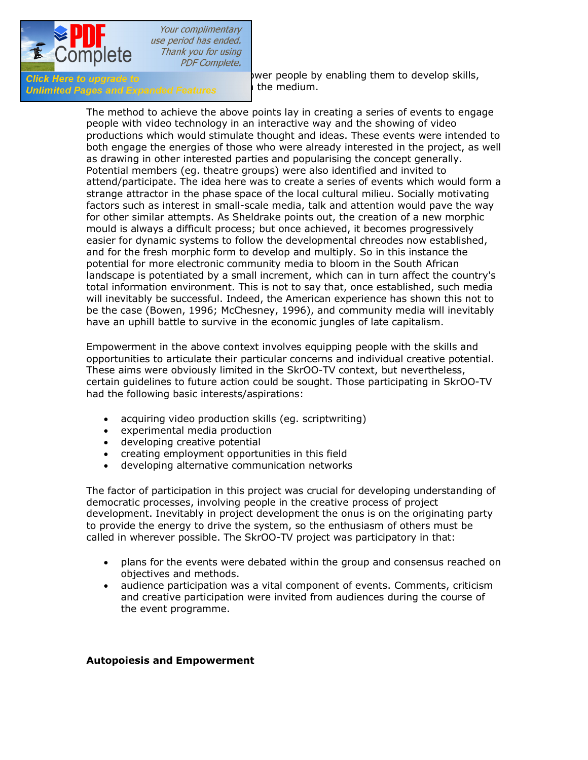

Unlimited Pages and Expanded Features 1 the medium.

Click Here to upgrade to empower people by enabling them to develop skills,

The method to achieve the above points lay in creating a series of events to engage people with video technology in an interactive way and the showing of video productions which would stimulate thought and ideas. These events were intended to both engage the energies of those who were already interested in the project, as well as drawing in other interested parties and popularising the concept generally. Potential members (eg. theatre groups) were also identified and invited to attend/participate. The idea here was to create a series of events which would form a strange attractor in the phase space of the local cultural milieu. Socially motivating factors such as interest in small-scale media, talk and attention would pave the way for other similar attempts. As Sheldrake points out, the creation of a new morphic mould is always a difficult process; but once achieved, it becomes progressively easier for dynamic systems to follow the developmental chreodes now established, and for the fresh morphic form to develop and multiply. So in this instance the potential for more electronic community media to bloom in the South African landscape is potentiated by a small increment, which can in turn affect the country's total information environment. This is not to say that, once established, such media will inevitably be successful. Indeed, the American experience has shown this not to be the case (Bowen, 1996; McChesney, 1996), and community media will inevitably have an uphill battle to survive in the economic jungles of late capitalism.

Empowerment in the above context involves equipping people with the skills and opportunities to articulate their particular concerns and individual creative potential. These aims were obviously limited in the SkrOO-TV context, but nevertheless, certain guidelines to future action could be sought. Those participating in SkrOO-TV had the following basic interests/aspirations:

- · acquiring video production skills (eg. scriptwriting)
- · experimental media production
- · developing creative potential
- · creating employment opportunities in this field
- · developing alternative communication networks

The factor of participation in this project was crucial for developing understanding of democratic processes, involving people in the creative process of project development. Inevitably in project development the onus is on the originating party to provide the energy to drive the system, so the enthusiasm of others must be called in wherever possible. The SkrOO-TV project was participatory in that:

- · plans for the events were debated within the group and consensus reached on objectives and methods.
- · audience participation was a vital component of events. Comments, criticism and creative participation were invited from audiences during the course of the event programme.

## **Autopoiesis and Empowerment**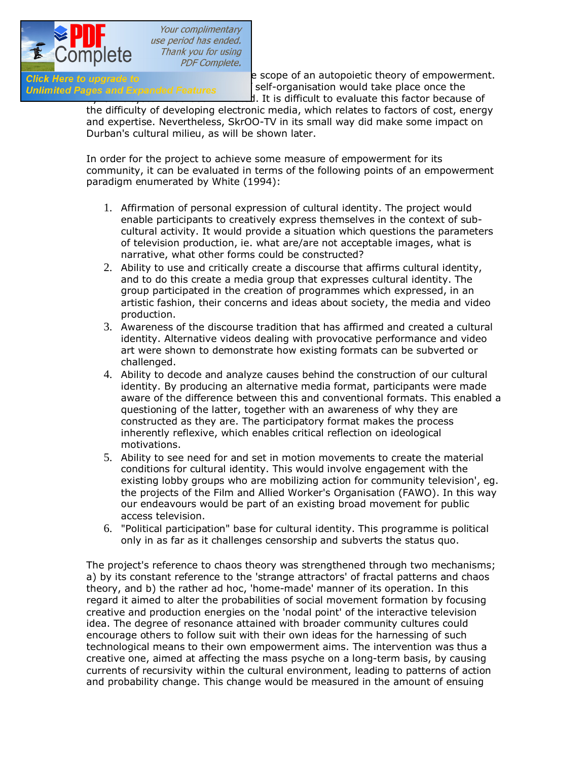

Click Here to upgrade to **provection the scope of an autopoietic theory of empowerment. Unlimited Pages and Expanded Features** self-organisation would take place once the d. It is difficult to evaluate this factor because of

the difficulty of developing electronic media, which relates to factors of cost, energy and expertise. Nevertheless, SkrOO-TV in its small way did make some impact on Durban's cultural milieu, as will be shown later.

In order for the project to achieve some measure of empowerment for its community, it can be evaluated in terms of the following points of an empowerment paradigm enumerated by White (1994):

- 1. Affirmation of personal expression of cultural identity. The project would enable participants to creatively express themselves in the context of subcultural activity. It would provide a situation which questions the parameters of television production, ie. what are/are not acceptable images, what is narrative, what other forms could be constructed?
- 2. Ability to use and critically create a discourse that affirms cultural identity, and to do this create a media group that expresses cultural identity. The group participated in the creation of programmes which expressed, in an artistic fashion, their concerns and ideas about society, the media and video production.
- 3. Awareness of the discourse tradition that has affirmed and created a cultural identity. Alternative videos dealing with provocative performance and video art were shown to demonstrate how existing formats can be subverted or challenged.
- 4. Ability to decode and analyze causes behind the construction of our cultural identity. By producing an alternative media format, participants were made aware of the difference between this and conventional formats. This enabled a questioning of the latter, together with an awareness of why they are constructed as they are. The participatory format makes the process inherently reflexive, which enables critical reflection on ideological motivations.
- 5. Ability to see need for and set in motion movements to create the material conditions for cultural identity. This would involve engagement with the existing lobby groups who are mobilizing action for community television', eg. the projects of the Film and Allied Worker's Organisation (FAWO). In this way our endeavours would be part of an existing broad movement for public access television.
- 6. "Political participation" base for cultural identity. This programme is political only in as far as it challenges censorship and subverts the status quo.

The project's reference to chaos theory was strengthened through two mechanisms; a) by its constant reference to the 'strange attractors' of fractal patterns and chaos theory, and b) the rather ad hoc, 'home-made' manner of its operation. In this regard it aimed to alter the probabilities of social movement formation by focusing creative and production energies on the 'nodal point' of the interactive television idea. The degree of resonance attained with broader community cultures could encourage others to follow suit with their own ideas for the harnessing of such technological means to their own empowerment aims. The intervention was thus a creative one, aimed at affecting the mass psyche on a long-term basis, by causing currents of recursivity within the cultural environment, leading to patterns of action and probability change. This change would be measured in the amount of ensuing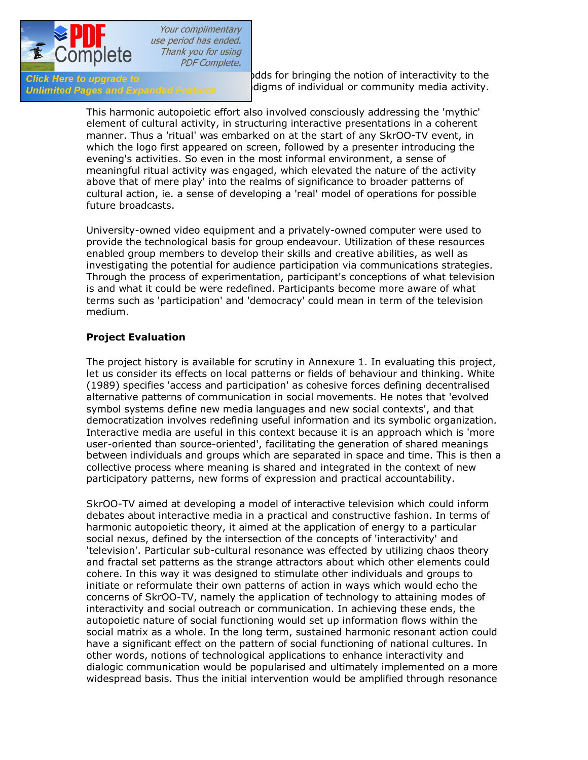

**Click Here to upgrade to relativity** and the changing odds for bringing the notion of interactivity to the **Unlimited Pages and Expanded Features** digms of individual or community media activity.

> This harmonic autopoietic effort also involved consciously addressing the 'mythic' element of cultural activity, in structuring interactive presentations in a coherent manner. Thus a 'ritual' was embarked on at the start of any SkrOO-TV event, in which the logo first appeared on screen, followed by a presenter introducing the evening's activities. So even in the most informal environment, a sense of meaningful ritual activity was engaged, which elevated the nature of the activity above that of mere play' into the realms of significance to broader patterns of cultural action, ie. a sense of developing a 'real' model of operations for possible future broadcasts.

University-owned video equipment and a privately-owned computer were used to provide the technological basis for group endeavour. Utilization of these resources enabled group members to develop their skills and creative abilities, as well as investigating the potential for audience participation via communications strategies. Through the process of experimentation, participant's conceptions of what television is and what it could be were redefined. Participants become more aware of what terms such as 'participation' and 'democracy' could mean in term of the television medium.

# **Project Evaluation**

The project history is available for scrutiny in Annexure 1. In evaluating this project, let us consider its effects on local patterns or fields of behaviour and thinking. White (1989) specifies 'access and participation' as cohesive forces defining decentralised alternative patterns of communication in social movements. He notes that 'evolved symbol systems define new media languages and new social contexts', and that democratization involves redefining useful information and its symbolic organization. Interactive media are useful in this context because it is an approach which is 'more user-oriented than source-oriented', facilitating the generation of shared meanings between individuals and groups which are separated in space and time. This is then a collective process where meaning is shared and integrated in the context of new participatory patterns, new forms of expression and practical accountability.

SkrOO-TV aimed at developing a model of interactive television which could inform debates about interactive media in a practical and constructive fashion. In terms of harmonic autopoietic theory, it aimed at the application of energy to a particular social nexus, defined by the intersection of the concepts of 'interactivity' and 'television'. Particular sub-cultural resonance was effected by utilizing chaos theory and fractal set patterns as the strange attractors about which other elements could cohere. In this way it was designed to stimulate other individuals and groups to initiate or reformulate their own patterns of action in ways which would echo the concerns of SkrOO-TV, namely the application of technology to attaining modes of interactivity and social outreach or communication. In achieving these ends, the autopoietic nature of social functioning would set up information flows within the social matrix as a whole. In the long term, sustained harmonic resonant action could have a significant effect on the pattern of social functioning of national cultures. In other words, notions of technological applications to enhance interactivity and dialogic communication would be popularised and ultimately implemented on a more widespread basis. Thus the initial intervention would be amplified through resonance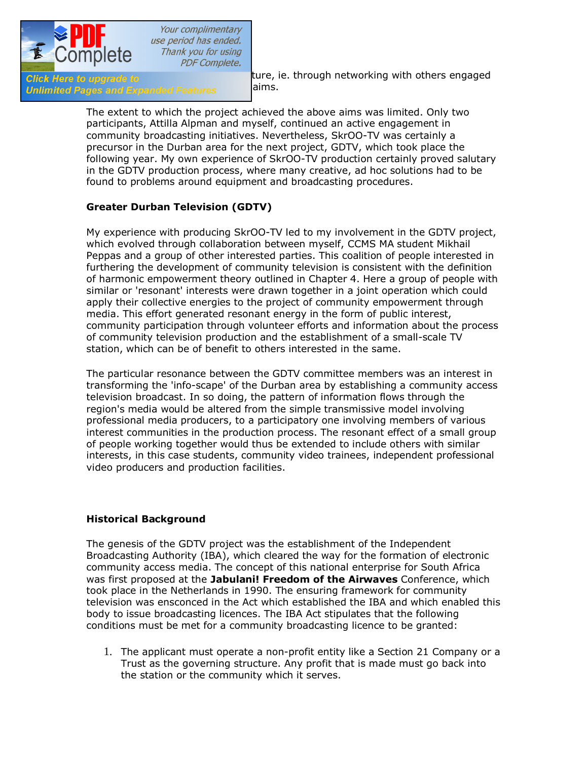

Unlimited Pages and Expanded Features aims.

**Click Here to upgrade to national culture** development of national culture, ie. through networking with others engaged

The extent to which the project achieved the above aims was limited. Only two participants, Attilla Alpman and myself, continued an active engagement in community broadcasting initiatives. Nevertheless, SkrOO-TV was certainly a precursor in the Durban area for the next project, GDTV, which took place the following year. My own experience of SkrOO-TV production certainly proved salutary in the GDTV production process, where many creative, ad hoc solutions had to be found to problems around equipment and broadcasting procedures.

# **Greater Durban Television (GDTV)**

My experience with producing SkrOO-TV led to my involvement in the GDTV project, which evolved through collaboration between myself, CCMS MA student Mikhail Peppas and a group of other interested parties. This coalition of people interested in furthering the development of community television is consistent with the definition of harmonic empowerment theory outlined in Chapter 4. Here a group of people with similar or 'resonant' interests were drawn together in a joint operation which could apply their collective energies to the project of community empowerment through media. This effort generated resonant energy in the form of public interest, community participation through volunteer efforts and information about the process of community television production and the establishment of a small-scale TV station, which can be of benefit to others interested in the same.

The particular resonance between the GDTV committee members was an interest in transforming the 'info-scape' of the Durban area by establishing a community access television broadcast. In so doing, the pattern of information flows through the region's media would be altered from the simple transmissive model involving professional media producers, to a participatory one involving members of various interest communities in the production process. The resonant effect of a small group of people working together would thus be extended to include others with similar interests, in this case students, community video trainees, independent professional video producers and production facilities.

# **Historical Background**

The genesis of the GDTV project was the establishment of the Independent Broadcasting Authority (IBA), which cleared the way for the formation of electronic community access media. The concept of this national enterprise for South Africa was first proposed at the **Jabulani! Freedom of the Airwaves** Conference, which took place in the Netherlands in 1990. The ensuring framework for community television was ensconced in the Act which established the IBA and which enabled this body to issue broadcasting licences. The IBA Act stipulates that the following conditions must be met for a community broadcasting licence to be granted:

1. The applicant must operate a non-profit entity like a Section 21 Company or a Trust as the governing structure. Any profit that is made must go back into the station or the community which it serves.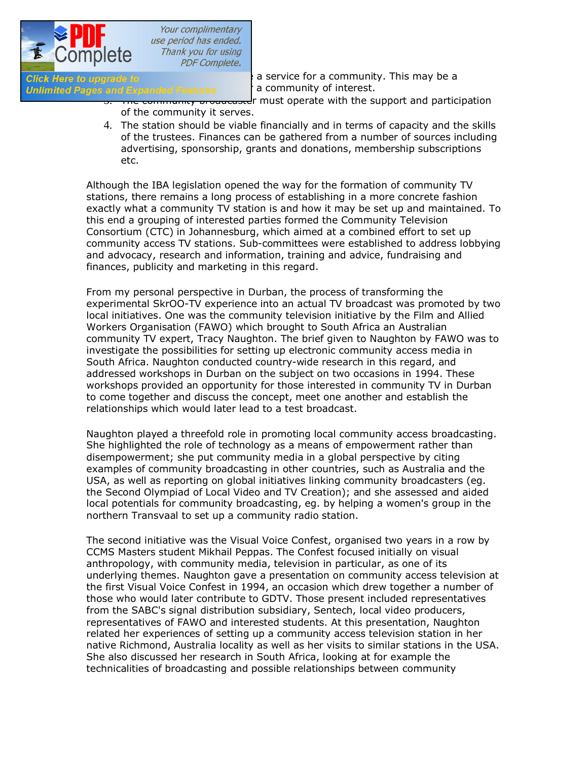

Unlimited Pages and Expanded Features and a community of interest.

**2. A CHICK Here to upgrade to the station must provide a service for a community. This may be a** 

- The community broadcaster must operate with the support and participation of the community it serves.
- 4. The station should be viable financially and in terms of capacity and the skills of the trustees. Finances can be gathered from a number of sources including advertising, sponsorship, grants and donations, membership subscriptions etc.

Although the IBA legislation opened the way for the formation of community TV stations, there remains a long process of establishing in a more concrete fashion exactly what a community TV station is and how it may be set up and maintained. To this end a grouping of interested parties formed the Community Television Consortium (CTC) in Johannesburg, which aimed at a combined effort to set up community access TV stations. Sub-committees were established to address lobbying and advocacy, research and information, training and advice, fundraising and finances, publicity and marketing in this regard.

From my personal perspective in Durban, the process of transforming the experimental SkrOO-TV experience into an actual TV broadcast was promoted by two local initiatives. One was the community television initiative by the Film and Allied Workers Organisation (FAWO) which brought to South Africa an Australian community TV expert, Tracy Naughton. The brief given to Naughton by FAWO was to investigate the possibilities for setting up electronic community access media in South Africa. Naughton conducted country-wide research in this regard, and addressed workshops in Durban on the subject on two occasions in 1994. These workshops provided an opportunity for those interested in community TV in Durban to come together and discuss the concept, meet one another and establish the relationships which would later lead to a test broadcast.

Naughton played a threefold role in promoting local community access broadcasting. She highlighted the role of technology as a means of empowerment rather than disempowerment; she put community media in a global perspective by citing examples of community broadcasting in other countries, such as Australia and the USA, as well as reporting on global initiatives linking community broadcasters (eg. the Second Olympiad of Local Video and TV Creation); and she assessed and aided local potentials for community broadcasting, eg. by helping a women's group in the northern Transvaal to set up a community radio station.

The second initiative was the Visual Voice Confest, organised two years in a row by CCMS Masters student Mikhail Peppas. The Confest focused initially on visual anthropology, with community media, television in particular, as one of its underlying themes. Naughton gave a presentation on community access television at the first Visual Voice Confest in 1994, an occasion which drew together a number of those who would later contribute to GDTV. Those present included representatives from the SABC's signal distribution subsidiary, Sentech, local video producers, representatives of FAWO and interested students. At this presentation, Naughton related her experiences of setting up a community access television station in her native Richmond, Australia locality as well as her visits to similar stations in the USA. She also discussed her research in South Africa, looking at for example the technicalities of broadcasting and possible relationships between community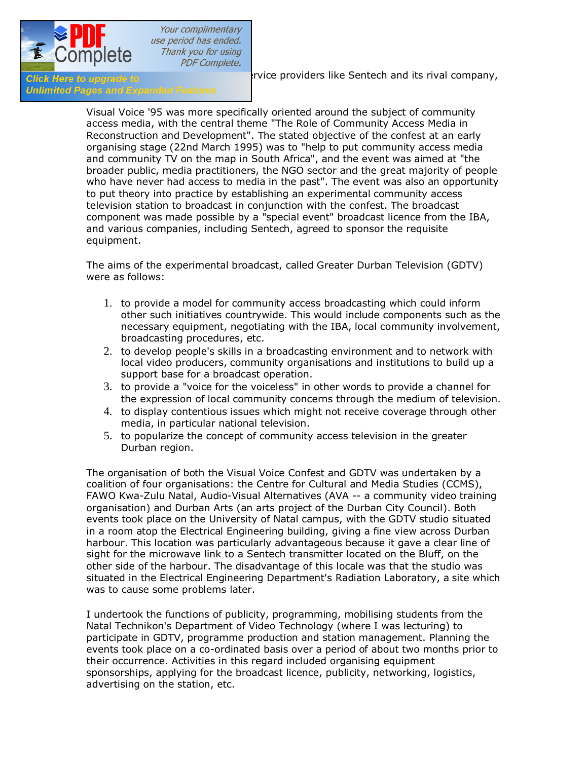

**Click Here to upgrade to company, service providers like Sentech and its rival company,** 

# **Unlimited Pages and Expanded Features**

Visual Voice '95 was more specifically oriented around the subject of community access media, with the central theme "The Role of Community Access Media in Reconstruction and Development". The stated objective of the confest at an early organising stage (22nd March 1995) was to "help to put community access media and community TV on the map in South Africa", and the event was aimed at "the broader public, media practitioners, the NGO sector and the great majority of people who have never had access to media in the past". The event was also an opportunity to put theory into practice by establishing an experimental community access television station to broadcast in conjunction with the confest. The broadcast component was made possible by a "special event" broadcast licence from the IBA, and various companies, including Sentech, agreed to sponsor the requisite equipment.

The aims of the experimental broadcast, called Greater Durban Television (GDTV) were as follows:

- 1. to provide a model for community access broadcasting which could inform other such initiatives countrywide. This would include components such as the necessary equipment, negotiating with the IBA, local community involvement, broadcasting procedures, etc.
- 2. to develop people's skills in a broadcasting environment and to network with local video producers, community organisations and institutions to build up a support base for a broadcast operation.
- 3. to provide a "voice for the voiceless" in other words to provide a channel for the expression of local community concerns through the medium of television.
- 4. to display contentious issues which might not receive coverage through other media, in particular national television.
- 5. to popularize the concept of community access television in the greater Durban region.

The organisation of both the Visual Voice Confest and GDTV was undertaken by a coalition of four organisations: the Centre for Cultural and Media Studies (CCMS), FAWO Kwa-Zulu Natal, Audio-Visual Alternatives (AVA -- a community video training organisation) and Durban Arts (an arts project of the Durban City Council). Both events took place on the University of Natal campus, with the GDTV studio situated in a room atop the Electrical Engineering building, giving a fine view across Durban harbour. This location was particularly advantageous because it gave a clear line of sight for the microwave link to a Sentech transmitter located on the Bluff, on the other side of the harbour. The disadvantage of this locale was that the studio was situated in the Electrical Engineering Department's Radiation Laboratory, a site which was to cause some problems later.

I undertook the functions of publicity, programming, mobilising students from the Natal Technikon's Department of Video Technology (where I was lecturing) to participate in GDTV, programme production and station management. Planning the events took place on a co-ordinated basis over a period of about two months prior to their occurrence. Activities in this regard included organising equipment sponsorships, applying for the broadcast licence, publicity, networking, logistics, advertising on the station, etc.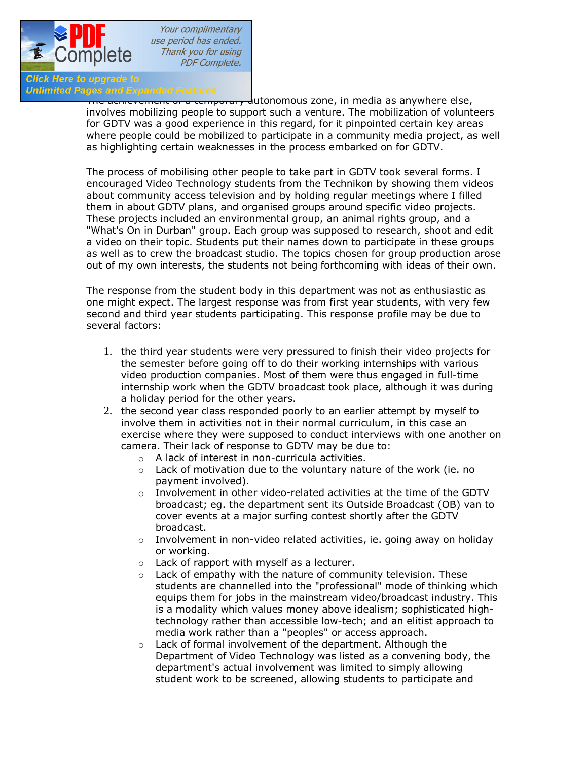

#### **Click Here to upgrade to Unlimited Pages and Expanded Features**

The activity of a temporary dutonomous zone, in media as anywhere else, involves mobilizing people to support such a venture. The mobilization of volunteers for GDTV was a good experience in this regard, for it pinpointed certain key areas where people could be mobilized to participate in a community media project, as well as highlighting certain weaknesses in the process embarked on for GDTV.

The process of mobilising other people to take part in GDTV took several forms. I encouraged Video Technology students from the Technikon by showing them videos about community access television and by holding regular meetings where I filled them in about GDTV plans, and organised groups around specific video projects. These projects included an environmental group, an animal rights group, and a "What's On in Durban" group. Each group was supposed to research, shoot and edit a video on their topic. Students put their names down to participate in these groups as well as to crew the broadcast studio. The topics chosen for group production arose out of my own interests, the students not being forthcoming with ideas of their own.

The response from the student body in this department was not as enthusiastic as one might expect. The largest response was from first year students, with very few second and third year students participating. This response profile may be due to several factors:

- 1. the third year students were very pressured to finish their video projects for the semester before going off to do their working internships with various video production companies. Most of them were thus engaged in full-time internship work when the GDTV broadcast took place, although it was during a holiday period for the other years.
- 2. the second year class responded poorly to an earlier attempt by myself to involve them in activities not in their normal curriculum, in this case an exercise where they were supposed to conduct interviews with one another on camera. Their lack of response to GDTV may be due to:
	- o A lack of interest in non-curricula activities.
	- o Lack of motivation due to the voluntary nature of the work (ie. no payment involved).
	- $\circ$  Involvement in other video-related activities at the time of the GDTV broadcast; eg. the department sent its Outside Broadcast (OB) van to cover events at a major surfing contest shortly after the GDTV broadcast.
	- $\circ$  Involvement in non-video related activities, ie. going away on holiday or working.
	- o Lack of rapport with myself as a lecturer.
	- o Lack of empathy with the nature of community television. These students are channelled into the "professional" mode of thinking which equips them for jobs in the mainstream video/broadcast industry. This is a modality which values money above idealism; sophisticated hightechnology rather than accessible low-tech; and an elitist approach to media work rather than a "peoples" or access approach.
	- o Lack of formal involvement of the department. Although the Department of Video Technology was listed as a convening body, the department's actual involvement was limited to simply allowing student work to be screened, allowing students to participate and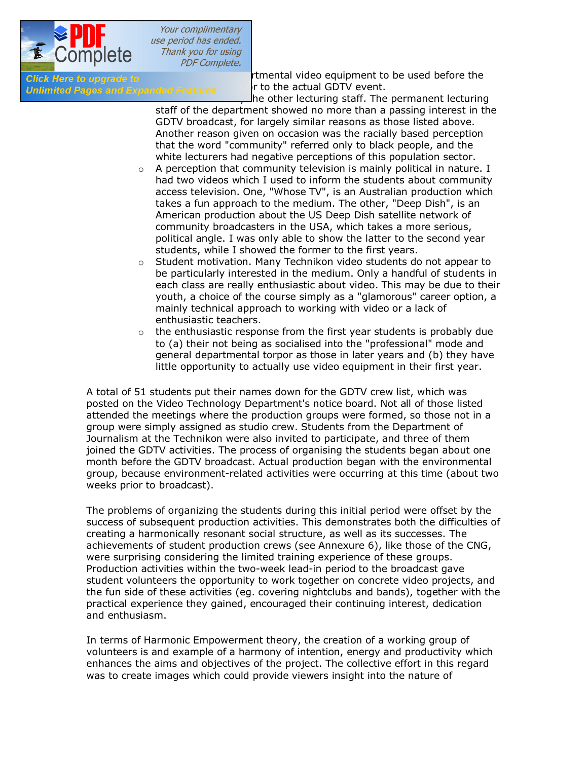

**Click Here to upgrade to** Unlimited Pages and Expanded Features For to the actual GDTV event.

rtmental video equipment to be used before the

the other lecturing staff. The permanent lecturing staff of the department showed no more than a passing interest in the GDTV broadcast, for largely similar reasons as those listed above. Another reason given on occasion was the racially based perception that the word "community" referred only to black people, and the white lecturers had negative perceptions of this population sector.

- o A perception that community television is mainly political in nature. I had two videos which I used to inform the students about community access television. One, "Whose TV", is an Australian production which takes a fun approach to the medium. The other, "Deep Dish", is an American production about the US Deep Dish satellite network of community broadcasters in the USA, which takes a more serious, political angle. I was only able to show the latter to the second year students, while I showed the former to the first years.
- $\circ$  Student motivation. Many Technikon video students do not appear to be particularly interested in the medium. Only a handful of students in each class are really enthusiastic about video. This may be due to their youth, a choice of the course simply as a "glamorous" career option, a mainly technical approach to working with video or a lack of enthusiastic teachers.
- $\circ$  the enthusiastic response from the first year students is probably due to (a) their not being as socialised into the "professional" mode and general departmental torpor as those in later years and (b) they have little opportunity to actually use video equipment in their first year.

A total of 51 students put their names down for the GDTV crew list, which was posted on the Video Technology Department's notice board. Not all of those listed attended the meetings where the production groups were formed, so those not in a group were simply assigned as studio crew. Students from the Department of Journalism at the Technikon were also invited to participate, and three of them joined the GDTV activities. The process of organising the students began about one month before the GDTV broadcast. Actual production began with the environmental group, because environment-related activities were occurring at this time (about two weeks prior to broadcast).

The problems of organizing the students during this initial period were offset by the success of subsequent production activities. This demonstrates both the difficulties of creating a harmonically resonant social structure, as well as its successes. The achievements of student production crews (see Annexure 6), like those of the CNG, were surprising considering the limited training experience of these groups. Production activities within the two-week lead-in period to the broadcast gave student volunteers the opportunity to work together on concrete video projects, and the fun side of these activities (eg. covering nightclubs and bands), together with the practical experience they gained, encouraged their continuing interest, dedication and enthusiasm.

In terms of Harmonic Empowerment theory, the creation of a working group of volunteers is and example of a harmony of intention, energy and productivity which enhances the aims and objectives of the project. The collective effort in this regard was to create images which could provide viewers insight into the nature of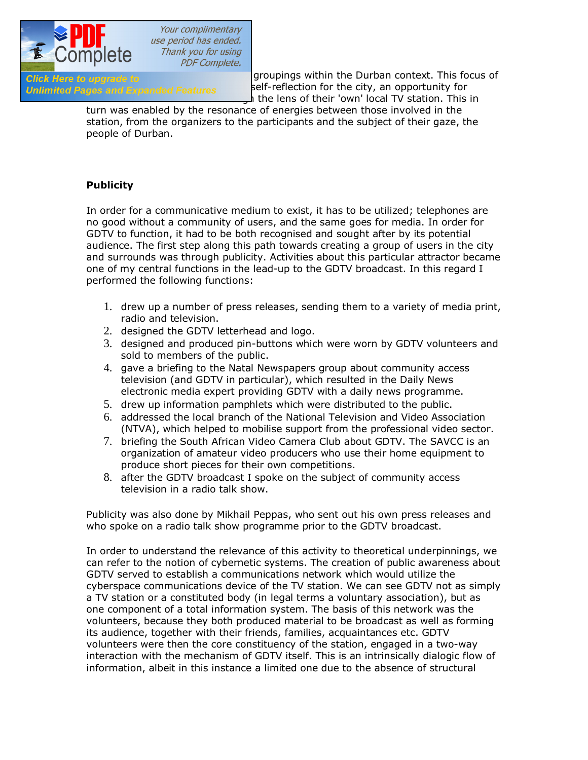

**Click Here to upgrade to provide the Cultural groupings within the Durban context. This focus of** Unlimited Pages and Expanded Features self-reflection for the city, an opportunity for  $\Box$  the lens of their 'own' local TV station. This in

turn was enabled by the resonance of energies between those involved in the station, from the organizers to the participants and the subject of their gaze, the people of Durban.

# **Publicity**

In order for a communicative medium to exist, it has to be utilized; telephones are no good without a community of users, and the same goes for media. In order for GDTV to function, it had to be both recognised and sought after by its potential audience. The first step along this path towards creating a group of users in the city and surrounds was through publicity. Activities about this particular attractor became one of my central functions in the lead-up to the GDTV broadcast. In this regard I performed the following functions:

- 1. drew up a number of press releases, sending them to a variety of media print, radio and television.
- 2. designed the GDTV letterhead and logo.
- 3. designed and produced pin-buttons which were worn by GDTV volunteers and sold to members of the public.
- 4. gave a briefing to the Natal Newspapers group about community access television (and GDTV in particular), which resulted in the Daily News electronic media expert providing GDTV with a daily news programme.
- 5. drew up information pamphlets which were distributed to the public.
- 6. addressed the local branch of the National Television and Video Association (NTVA), which helped to mobilise support from the professional video sector.
- 7. briefing the South African Video Camera Club about GDTV. The SAVCC is an organization of amateur video producers who use their home equipment to produce short pieces for their own competitions.
- 8. after the GDTV broadcast I spoke on the subject of community access television in a radio talk show.

Publicity was also done by Mikhail Peppas, who sent out his own press releases and who spoke on a radio talk show programme prior to the GDTV broadcast.

In order to understand the relevance of this activity to theoretical underpinnings, we can refer to the notion of cybernetic systems. The creation of public awareness about GDTV served to establish a communications network which would utilize the cyberspace communications device of the TV station. We can see GDTV not as simply a TV station or a constituted body (in legal terms a voluntary association), but as one component of a total information system. The basis of this network was the volunteers, because they both produced material to be broadcast as well as forming its audience, together with their friends, families, acquaintances etc. GDTV volunteers were then the core constituency of the station, engaged in a two-way interaction with the mechanism of GDTV itself. This is an intrinsically dialogic flow of information, albeit in this instance a limited one due to the absence of structural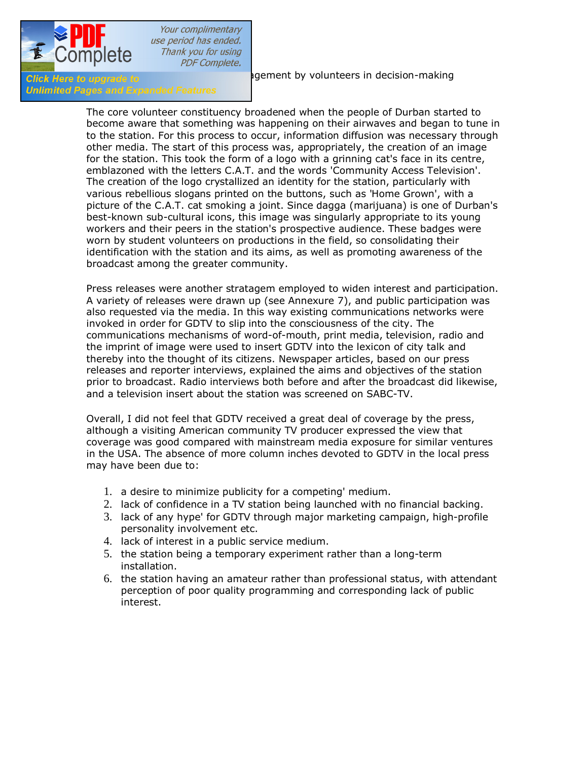

**Click Here to upgrade to active department by volunteers in decision-making** 

# **Unlimited Pages and Expanded Features**

The core volunteer constituency broadened when the people of Durban started to become aware that something was happening on their airwaves and began to tune in to the station. For this process to occur, information diffusion was necessary through other media. The start of this process was, appropriately, the creation of an image for the station. This took the form of a logo with a grinning cat's face in its centre, emblazoned with the letters C.A.T. and the words 'Community Access Television'. The creation of the logo crystallized an identity for the station, particularly with various rebellious slogans printed on the buttons, such as 'Home Grown', with a picture of the C.A.T. cat smoking a joint. Since dagga (marijuana) is one of Durban's best-known sub-cultural icons, this image was singularly appropriate to its young workers and their peers in the station's prospective audience. These badges were worn by student volunteers on productions in the field, so consolidating their identification with the station and its aims, as well as promoting awareness of the broadcast among the greater community.

Press releases were another stratagem employed to widen interest and participation. A variety of releases were drawn up (see Annexure 7), and public participation was also requested via the media. In this way existing communications networks were invoked in order for GDTV to slip into the consciousness of the city. The communications mechanisms of word-of-mouth, print media, television, radio and the imprint of image were used to insert GDTV into the lexicon of city talk and thereby into the thought of its citizens. Newspaper articles, based on our press releases and reporter interviews, explained the aims and objectives of the station prior to broadcast. Radio interviews both before and after the broadcast did likewise, and a television insert about the station was screened on SABC-TV.

Overall, I did not feel that GDTV received a great deal of coverage by the press, although a visiting American community TV producer expressed the view that coverage was good compared with mainstream media exposure for similar ventures in the USA. The absence of more column inches devoted to GDTV in the local press may have been due to:

- 1. a desire to minimize publicity for a competing' medium.
- 2. lack of confidence in a TV station being launched with no financial backing.
- 3. lack of any hype' for GDTV through major marketing campaign, high-profile personality involvement etc.
- 4. lack of interest in a public service medium.
- 5. the station being a temporary experiment rather than a long-term installation.
- 6. the station having an amateur rather than professional status, with attendant perception of poor quality programming and corresponding lack of public interest.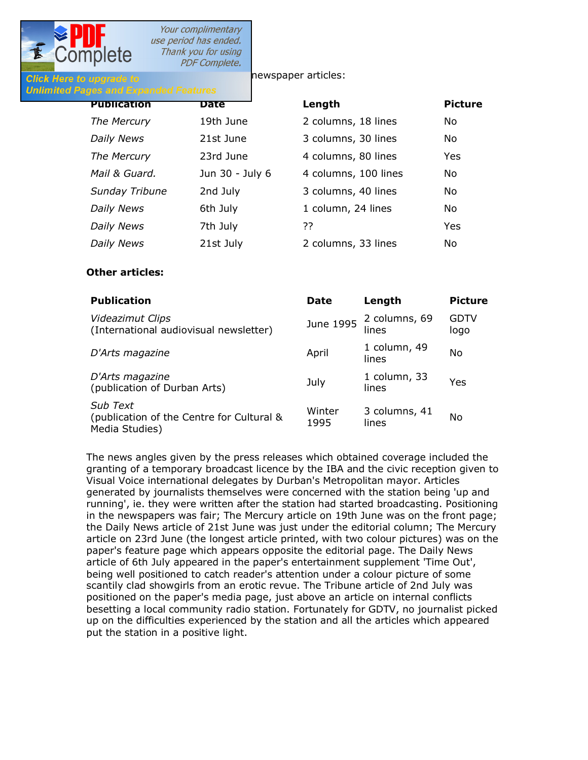

Unl

Your complimentary use period has ended. Thank you for using **PDF Complete.** 

#### newspaper articles:

| mited Pages and Expanded Features |                    |                 |                      |                |  |  |
|-----------------------------------|--------------------|-----------------|----------------------|----------------|--|--|
|                                   | <b>Publication</b> | <b>Date</b>     | Length               | <b>Picture</b> |  |  |
|                                   | The Mercury        | 19th June       | 2 columns, 18 lines  | No             |  |  |
|                                   | Daily News         | 21st June       | 3 columns, 30 lines  | No             |  |  |
|                                   | The Mercury        | 23rd June       | 4 columns, 80 lines  | Yes            |  |  |
|                                   | Mail & Guard,      | Jun 30 - July 6 | 4 columns, 100 lines | No             |  |  |
|                                   | Sunday Tribune     | 2nd July        | 3 columns, 40 lines  | No             |  |  |
|                                   | <b>Daily News</b>  | 6th July        | 1 column, 24 lines   | No             |  |  |
|                                   | <b>Daily News</b>  | 7th July        | ??                   | Yes            |  |  |
|                                   | <b>Daily News</b>  | 21st July       | 2 columns, 33 lines  | No             |  |  |

# **Other articles:**

| <b>Publication</b>                                                      | <b>Date</b>    | Length                 | <b>Picture</b>      |
|-------------------------------------------------------------------------|----------------|------------------------|---------------------|
| Videazimut Clips<br>(International audiovisual newsletter)              | June 1995      | 2 columns, 69<br>lines | <b>GDTV</b><br>logo |
| D'Arts magazine                                                         | April          | 1 column, 49<br>lines  | No                  |
| D'Arts magazine<br>(publication of Durban Arts)                         | July           | 1 column, 33<br>lines  | Yes                 |
| Sub Text<br>(publication of the Centre for Cultural &<br>Media Studies) | Winter<br>1995 | 3 columns, 41<br>lines | No                  |

The news angles given by the press releases which obtained coverage included the granting of a temporary broadcast licence by the IBA and the civic reception given to Visual Voice international delegates by Durban's Metropolitan mayor. Articles generated by journalists themselves were concerned with the station being 'up and running', ie. they were written after the station had started broadcasting. Positioning in the newspapers was fair; The Mercury article on 19th June was on the front page; the Daily News article of 21st June was just under the editorial column; The Mercury article on 23rd June (the longest article printed, with two colour pictures) was on the paper's feature page which appears opposite the editorial page. The Daily News article of 6th July appeared in the paper's entertainment supplement 'Time Out', being well positioned to catch reader's attention under a colour picture of some scantily clad showgirls from an erotic revue. The Tribune article of 2nd July was positioned on the paper's media page, just above an article on internal conflicts besetting a local community radio station. Fortunately for GDTV, no journalist picked up on the difficulties experienced by the station and all the articles which appeared put the station in a positive light.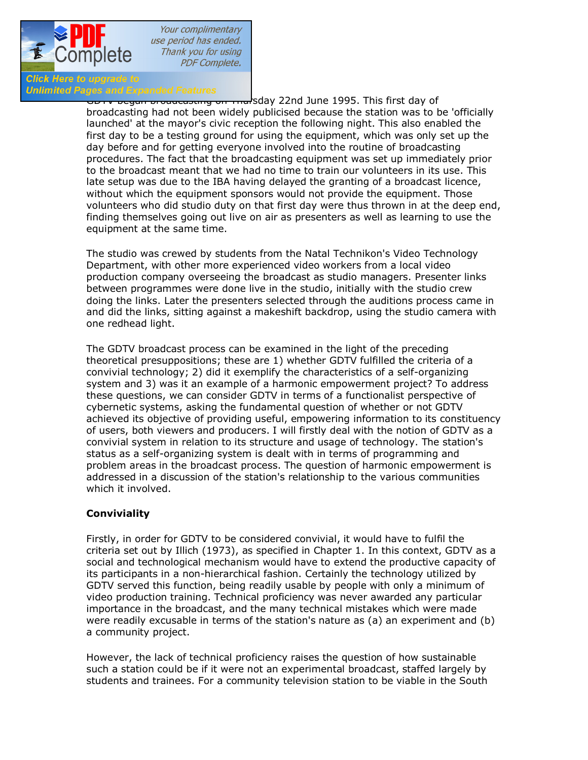

#### **Click Here to upgrade to Unlimited Pages and Expanded Features**

began broadcasting on Thursday 22nd June 1995. This first day of broadcasting had not been widely publicised because the station was to be 'officially launched' at the mayor's civic reception the following night. This also enabled the first day to be a testing ground for using the equipment, which was only set up the day before and for getting everyone involved into the routine of broadcasting procedures. The fact that the broadcasting equipment was set up immediately prior to the broadcast meant that we had no time to train our volunteers in its use. This late setup was due to the IBA having delayed the granting of a broadcast licence, without which the equipment sponsors would not provide the equipment. Those volunteers who did studio duty on that first day were thus thrown in at the deep end, finding themselves going out live on air as presenters as well as learning to use the equipment at the same time.

The studio was crewed by students from the Natal Technikon's Video Technology Department, with other more experienced video workers from a local video production company overseeing the broadcast as studio managers. Presenter links between programmes were done live in the studio, initially with the studio crew doing the links. Later the presenters selected through the auditions process came in and did the links, sitting against a makeshift backdrop, using the studio camera with one redhead light.

The GDTV broadcast process can be examined in the light of the preceding theoretical presuppositions; these are 1) whether GDTV fulfilled the criteria of a convivial technology; 2) did it exemplify the characteristics of a self-organizing system and 3) was it an example of a harmonic empowerment project? To address these questions, we can consider GDTV in terms of a functionalist perspective of cybernetic systems, asking the fundamental question of whether or not GDTV achieved its objective of providing useful, empowering information to its constituency of users, both viewers and producers. I will firstly deal with the notion of GDTV as a convivial system in relation to its structure and usage of technology. The station's status as a self-organizing system is dealt with in terms of programming and problem areas in the broadcast process. The question of harmonic empowerment is addressed in a discussion of the station's relationship to the various communities which it involved.

# **Conviviality**

Firstly, in order for GDTV to be considered convivial, it would have to fulfil the criteria set out by Illich (1973), as specified in Chapter 1. In this context, GDTV as a social and technological mechanism would have to extend the productive capacity of its participants in a non-hierarchical fashion. Certainly the technology utilized by GDTV served this function, being readily usable by people with only a minimum of video production training. Technical proficiency was never awarded any particular importance in the broadcast, and the many technical mistakes which were made were readily excusable in terms of the station's nature as (a) an experiment and (b) a community project.

However, the lack of technical proficiency raises the question of how sustainable such a station could be if it were not an experimental broadcast, staffed largely by students and trainees. For a community television station to be viable in the South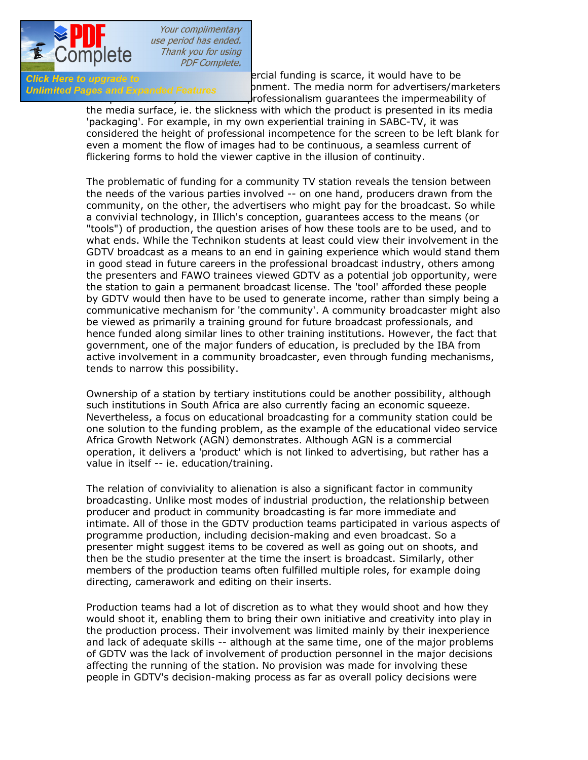

Click Here to upgrade to **African context of the context of the context** error extends to be click Here to be **Commercial engineers** in a competitive in a comment. The media norm for advertisers/marketers **J**rofessionalism guarantees the impermeability of

the media surface, ie. the slickness with which the product is presented in its media 'packaging'. For example, in my own experiential training in SABC-TV, it was considered the height of professional incompetence for the screen to be left blank for even a moment the flow of images had to be continuous, a seamless current of flickering forms to hold the viewer captive in the illusion of continuity.

The problematic of funding for a community TV station reveals the tension between the needs of the various parties involved -- on one hand, producers drawn from the community, on the other, the advertisers who might pay for the broadcast. So while a convivial technology, in Illich's conception, guarantees access to the means (or "tools") of production, the question arises of how these tools are to be used, and to what ends. While the Technikon students at least could view their involvement in the GDTV broadcast as a means to an end in gaining experience which would stand them in good stead in future careers in the professional broadcast industry, others among the presenters and FAWO trainees viewed GDTV as a potential job opportunity, were the station to gain a permanent broadcast license. The 'tool' afforded these people by GDTV would then have to be used to generate income, rather than simply being a communicative mechanism for 'the community'. A community broadcaster might also be viewed as primarily a training ground for future broadcast professionals, and hence funded along similar lines to other training institutions. However, the fact that government, one of the major funders of education, is precluded by the IBA from active involvement in a community broadcaster, even through funding mechanisms, tends to narrow this possibility.

Ownership of a station by tertiary institutions could be another possibility, although such institutions in South Africa are also currently facing an economic squeeze. Nevertheless, a focus on educational broadcasting for a community station could be one solution to the funding problem, as the example of the educational video service Africa Growth Network (AGN) demonstrates. Although AGN is a commercial operation, it delivers a 'product' which is not linked to advertising, but rather has a value in itself -- ie. education/training.

The relation of conviviality to alienation is also a significant factor in community broadcasting. Unlike most modes of industrial production, the relationship between producer and product in community broadcasting is far more immediate and intimate. All of those in the GDTV production teams participated in various aspects of programme production, including decision-making and even broadcast. So a presenter might suggest items to be covered as well as going out on shoots, and then be the studio presenter at the time the insert is broadcast. Similarly, other members of the production teams often fulfilled multiple roles, for example doing directing, camerawork and editing on their inserts.

Production teams had a lot of discretion as to what they would shoot and how they would shoot it, enabling them to bring their own initiative and creativity into play in the production process. Their involvement was limited mainly by their inexperience and lack of adequate skills -- although at the same time, one of the major problems of GDTV was the lack of involvement of production personnel in the major decisions affecting the running of the station. No provision was made for involving these people in GDTV's decision-making process as far as overall policy decisions were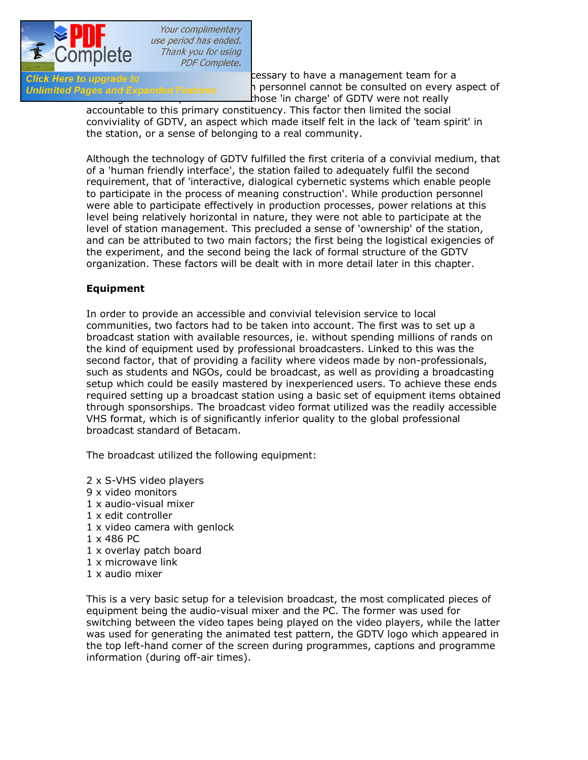

Click Here to upgrade to **Exercise 2018** Cessary to have a management team for a **Community station, and production** personnel cannot be consulted on every aspect of those 'in charge' of GDTV were not really

accountable to this primary constituency. This factor then limited the social conviviality of GDTV, an aspect which made itself felt in the lack of 'team spirit' in the station, or a sense of belonging to a real community.

Although the technology of GDTV fulfilled the first criteria of a convivial medium, that of a 'human friendly interface', the station failed to adequately fulfil the second requirement, that of 'interactive, dialogical cybernetic systems which enable people to participate in the process of meaning construction'. While production personnel were able to participate effectively in production processes, power relations at this level being relatively horizontal in nature, they were not able to participate at the level of station management. This precluded a sense of 'ownership' of the station, and can be attributed to two main factors; the first being the logistical exigencies of the experiment, and the second being the lack of formal structure of the GDTV organization. These factors will be dealt with in more detail later in this chapter.

# **Equipment**

In order to provide an accessible and convivial television service to local communities, two factors had to be taken into account. The first was to set up a broadcast station with available resources, ie. without spending millions of rands on the kind of equipment used by professional broadcasters. Linked to this was the second factor, that of providing a facility where videos made by non-professionals, such as students and NGOs, could be broadcast, as well as providing a broadcasting setup which could be easily mastered by inexperienced users. To achieve these ends required setting up a broadcast station using a basic set of equipment items obtained through sponsorships. The broadcast video format utilized was the readily accessible VHS format, which is of significantly inferior quality to the global professional broadcast standard of Betacam.

The broadcast utilized the following equipment:

- 2 x S-VHS video players 9 x video monitors 1 x audio-visual mixer 1 x edit controller
- 1 x video camera with genlock
- 1 x 486 PC
- 1 x overlay patch board
- 1 x microwave link
- 1 x audio mixer

This is a very basic setup for a television broadcast, the most complicated pieces of equipment being the audio-visual mixer and the PC. The former was used for switching between the video tapes being played on the video players, while the latter was used for generating the animated test pattern, the GDTV logo which appeared in the top left-hand corner of the screen during programmes, captions and programme information (during off-air times).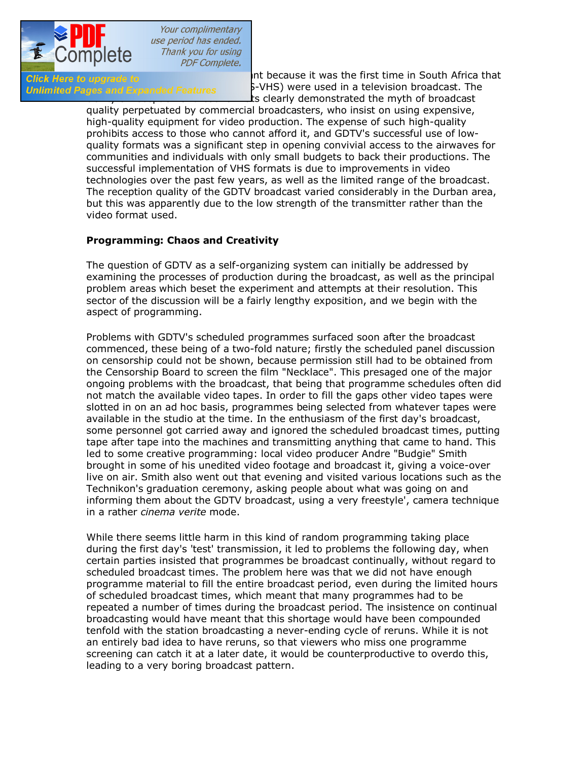

Click Here to upgrade to **[The equipment setup was significa](http://www.pdfcomplete.com/cms/hppl/tabid/108/Default.aspx?r=q8b3uige22)nt because** it was the first time in South Africa that Unlimited Pages and Expanded Features 5-VHS) were used in a television broadcast. The ts clearly demonstrated the myth of broadcast

quality perpetuated by commercial broadcasters, who insist on using expensive, high-quality equipment for video production. The expense of such high-quality prohibits access to those who cannot afford it, and GDTV's successful use of lowquality formats was a significant step in opening convivial access to the airwaves for communities and individuals with only small budgets to back their productions. The successful implementation of VHS formats is due to improvements in video technologies over the past few years, as well as the limited range of the broadcast. The reception quality of the GDTV broadcast varied considerably in the Durban area, but this was apparently due to the low strength of the transmitter rather than the video format used.

## **Programming: Chaos and Creativity**

The question of GDTV as a self-organizing system can initially be addressed by examining the processes of production during the broadcast, as well as the principal problem areas which beset the experiment and attempts at their resolution. This sector of the discussion will be a fairly lengthy exposition, and we begin with the aspect of programming.

Problems with GDTV's scheduled programmes surfaced soon after the broadcast commenced, these being of a two-fold nature; firstly the scheduled panel discussion on censorship could not be shown, because permission still had to be obtained from the Censorship Board to screen the film "Necklace". This presaged one of the major ongoing problems with the broadcast, that being that programme schedules often did not match the available video tapes. In order to fill the gaps other video tapes were slotted in on an ad hoc basis, programmes being selected from whatever tapes were available in the studio at the time. In the enthusiasm of the first day's broadcast, some personnel got carried away and ignored the scheduled broadcast times, putting tape after tape into the machines and transmitting anything that came to hand. This led to some creative programming: local video producer Andre "Budgie" Smith brought in some of his unedited video footage and broadcast it, giving a voice-over live on air. Smith also went out that evening and visited various locations such as the Technikon's graduation ceremony, asking people about what was going on and informing them about the GDTV broadcast, using a very freestyle', camera technique in a rather *cinema verite* mode.

While there seems little harm in this kind of random programming taking place during the first day's 'test' transmission, it led to problems the following day, when certain parties insisted that programmes be broadcast continually, without regard to scheduled broadcast times. The problem here was that we did not have enough programme material to fill the entire broadcast period, even during the limited hours of scheduled broadcast times, which meant that many programmes had to be repeated a number of times during the broadcast period. The insistence on continual broadcasting would have meant that this shortage would have been compounded tenfold with the station broadcasting a never-ending cycle of reruns. While it is not an entirely bad idea to have reruns, so that viewers who miss one programme screening can catch it at a later date, it would be counterproductive to overdo this, leading to a very boring broadcast pattern.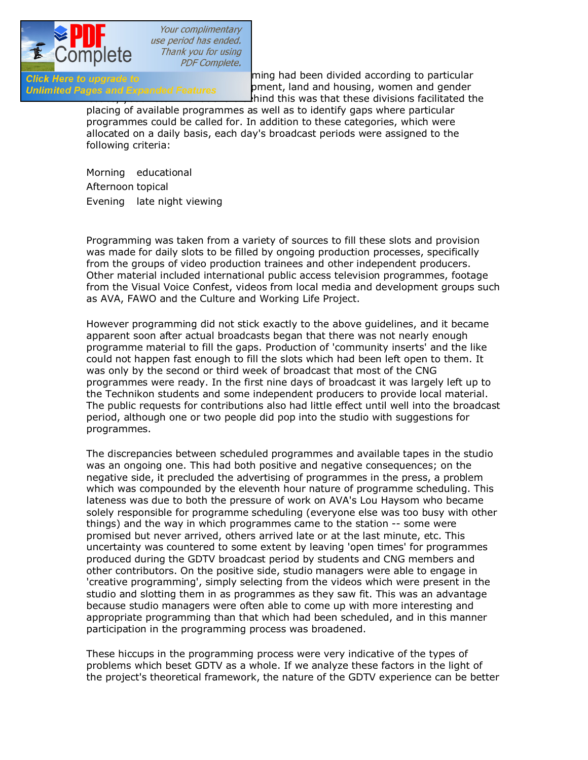

**Click Here to upgrade to broadcast programming had been divided according to particular** Unlimited Pages and Expanded Features pment, land and housing, women and gender  $\epsilon$ hind this was that these divisions facilitated the

placing of available programmes as well as to identify gaps where particular programmes could be called for. In addition to these categories, which were allocated on a daily basis, each day's broadcast periods were assigned to the following criteria:

Morning educational Afternoon topical Evening late night viewing

Programming was taken from a variety of sources to fill these slots and provision was made for daily slots to be filled by ongoing production processes, specifically from the groups of video production trainees and other independent producers. Other material included international public access television programmes, footage from the Visual Voice Confest, videos from local media and development groups such as AVA, FAWO and the Culture and Working Life Project.

However programming did not stick exactly to the above guidelines, and it became apparent soon after actual broadcasts began that there was not nearly enough programme material to fill the gaps. Production of 'community inserts' and the like could not happen fast enough to fill the slots which had been left open to them. It was only by the second or third week of broadcast that most of the CNG programmes were ready. In the first nine days of broadcast it was largely left up to the Technikon students and some independent producers to provide local material. The public requests for contributions also had little effect until well into the broadcast period, although one or two people did pop into the studio with suggestions for programmes.

The discrepancies between scheduled programmes and available tapes in the studio was an ongoing one. This had both positive and negative consequences; on the negative side, it precluded the advertising of programmes in the press, a problem which was compounded by the eleventh hour nature of programme scheduling. This lateness was due to both the pressure of work on AVA's Lou Haysom who became solely responsible for programme scheduling (everyone else was too busy with other things) and the way in which programmes came to the station -- some were promised but never arrived, others arrived late or at the last minute, etc. This uncertainty was countered to some extent by leaving 'open times' for programmes produced during the GDTV broadcast period by students and CNG members and other contributors. On the positive side, studio managers were able to engage in 'creative programming', simply selecting from the videos which were present in the studio and slotting them in as programmes as they saw fit. This was an advantage because studio managers were often able to come up with more interesting and appropriate programming than that which had been scheduled, and in this manner participation in the programming process was broadened.

These hiccups in the programming process were very indicative of the types of problems which beset GDTV as a whole. If we analyze these factors in the light of the project's theoretical framework, the nature of the GDTV experience can be better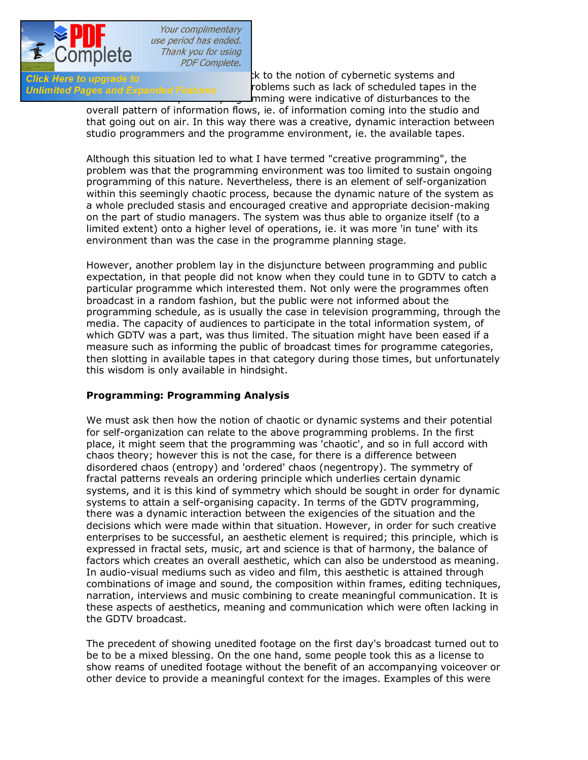

click Here to upgrade to **understood.** In the notion of cybernetic systems and Unlimited Pages and Expanded Features roblems such as lack of scheduled tapes in the m ming were indicative of disturbances to the

overall pattern of information flows, ie. of information coming into the studio and that going out on air. In this way there was a creative, dynamic interaction between studio programmers and the programme environment, ie. the available tapes.

Although this situation led to what I have termed "creative programming", the problem was that the programming environment was too limited to sustain ongoing programming of this nature. Nevertheless, there is an element of self-organization within this seemingly chaotic process, because the dynamic nature of the system as a whole precluded stasis and encouraged creative and appropriate decision-making on the part of studio managers. The system was thus able to organize itself (to a limited extent) onto a higher level of operations, ie. it was more 'in tune' with its environment than was the case in the programme planning stage.

However, another problem lay in the disjuncture between programming and public expectation, in that people did not know when they could tune in to GDTV to catch a particular programme which interested them. Not only were the programmes often broadcast in a random fashion, but the public were not informed about the programming schedule, as is usually the case in television programming, through the media. The capacity of audiences to participate in the total information system, of which GDTV was a part, was thus limited. The situation might have been eased if a measure such as informing the public of broadcast times for programme categories, then slotting in available tapes in that category during those times, but unfortunately this wisdom is only available in hindsight.

## **Programming: Programming Analysis**

We must ask then how the notion of chaotic or dynamic systems and their potential for self-organization can relate to the above programming problems. In the first place, it might seem that the programming was 'chaotic', and so in full accord with chaos theory; however this is not the case, for there is a difference between disordered chaos (entropy) and 'ordered' chaos (negentropy). The symmetry of fractal patterns reveals an ordering principle which underlies certain dynamic systems, and it is this kind of symmetry which should be sought in order for dynamic systems to attain a self-organising capacity. In terms of the GDTV programming, there was a dynamic interaction between the exigencies of the situation and the decisions which were made within that situation. However, in order for such creative enterprises to be successful, an aesthetic element is required; this principle, which is expressed in fractal sets, music, art and science is that of harmony, the balance of factors which creates an overall aesthetic, which can also be understood as meaning. In audio-visual mediums such as video and film, this aesthetic is attained through combinations of image and sound, the composition within frames, editing techniques, narration, interviews and music combining to create meaningful communication. It is these aspects of aesthetics, meaning and communication which were often lacking in the GDTV broadcast.

The precedent of showing unedited footage on the first day's broadcast turned out to be to be a mixed blessing. On the one hand, some people took this as a license to show reams of unedited footage without the benefit of an accompanying voiceover or other device to provide a meaningful context for the images. Examples of this were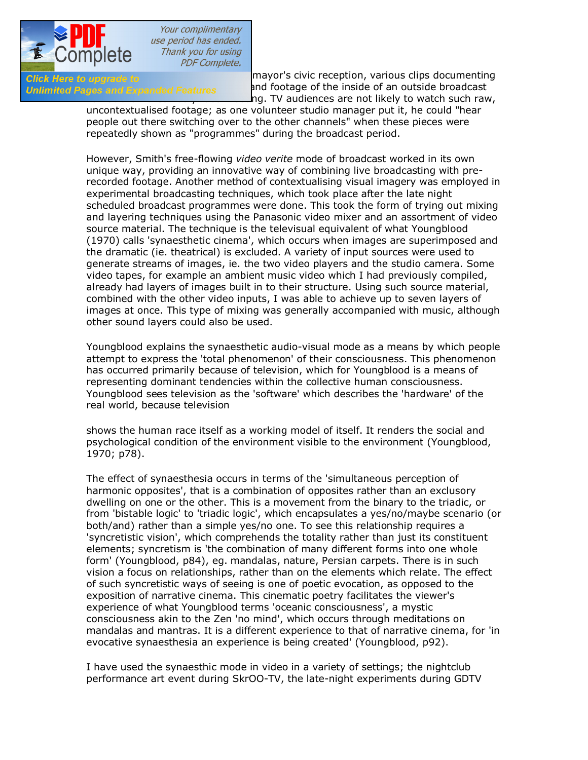

Click Here to upgrade to **the screening** mayor's civic reception, various clips documenting Unlimited Pages and Expanded Features and footage of the inside of an outside broadcast ng. TV audiences are not likely to watch such raw,

uncontextualised footage; as one volunteer studio manager put it, he could "hear people out there switching over to the other channels" when these pieces were repeatedly shown as "programmes" during the broadcast period.

However, Smith's free-flowing *video verite* mode of broadcast worked in its own unique way, providing an innovative way of combining live broadcasting with prerecorded footage. Another method of contextualising visual imagery was employed in experimental broadcasting techniques, which took place after the late night scheduled broadcast programmes were done. This took the form of trying out mixing and layering techniques using the Panasonic video mixer and an assortment of video source material. The technique is the televisual equivalent of what Youngblood (1970) calls 'synaesthetic cinema', which occurs when images are superimposed and the dramatic (ie. theatrical) is excluded. A variety of input sources were used to generate streams of images, ie. the two video players and the studio camera. Some video tapes, for example an ambient music video which I had previously compiled, already had layers of images built in to their structure. Using such source material, combined with the other video inputs, I was able to achieve up to seven layers of images at once. This type of mixing was generally accompanied with music, although other sound layers could also be used.

Youngblood explains the synaesthetic audio-visual mode as a means by which people attempt to express the 'total phenomenon' of their consciousness. This phenomenon has occurred primarily because of television, which for Youngblood is a means of representing dominant tendencies within the collective human consciousness. Youngblood sees television as the 'software' which describes the 'hardware' of the real world, because television

shows the human race itself as a working model of itself. It renders the social and psychological condition of the environment visible to the environment (Youngblood, 1970; p78).

The effect of synaesthesia occurs in terms of the 'simultaneous perception of harmonic opposites', that is a combination of opposites rather than an exclusory dwelling on one or the other. This is a movement from the binary to the triadic, or from 'bistable logic' to 'triadic logic', which encapsulates a yes/no/maybe scenario (or both/and) rather than a simple yes/no one. To see this relationship requires a 'syncretistic vision', which comprehends the totality rather than just its constituent elements; syncretism is 'the combination of many different forms into one whole form' (Youngblood, p84), eg. mandalas, nature, Persian carpets. There is in such vision a focus on relationships, rather than on the elements which relate. The effect of such syncretistic ways of seeing is one of poetic evocation, as opposed to the exposition of narrative cinema. This cinematic poetry facilitates the viewer's experience of what Youngblood terms 'oceanic consciousness', a mystic consciousness akin to the Zen 'no mind', which occurs through meditations on mandalas and mantras. It is a different experience to that of narrative cinema, for 'in evocative synaesthesia an experience is being created' (Youngblood, p92).

I have used the synaesthic mode in video in a variety of settings; the nightclub performance art event during SkrOO-TV, the late-night experiments during GDTV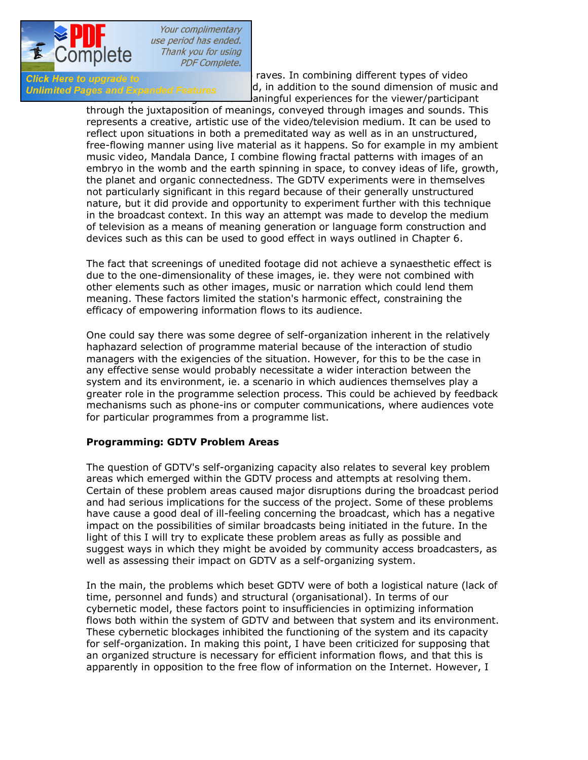

**Click Here to upgrade to raves.** In combining different types of video **Unlimited Pages and Expanded Features** d, in addition to the sound dimension of music and  $\,$  aningful experiences for the viewer/participant

through the juxtaposition of meanings, conveyed through images and sounds. This represents a creative, artistic use of the video/television medium. It can be used to reflect upon situations in both a premeditated way as well as in an unstructured, free-flowing manner using live material as it happens. So for example in my ambient music video, Mandala Dance, I combine flowing fractal patterns with images of an embryo in the womb and the earth spinning in space, to convey ideas of life, growth, the planet and organic connectedness. The GDTV experiments were in themselves not particularly significant in this regard because of their generally unstructured nature, but it did provide and opportunity to experiment further with this technique in the broadcast context. In this way an attempt was made to develop the medium of television as a means of meaning generation or language form construction and devices such as this can be used to good effect in ways outlined in Chapter 6.

The fact that screenings of unedited footage did not achieve a synaesthetic effect is due to the one-dimensionality of these images, ie. they were not combined with other elements such as other images, music or narration which could lend them meaning. These factors limited the station's harmonic effect, constraining the efficacy of empowering information flows to its audience.

One could say there was some degree of self-organization inherent in the relatively haphazard selection of programme material because of the interaction of studio managers with the exigencies of the situation. However, for this to be the case in any effective sense would probably necessitate a wider interaction between the system and its environment, ie. a scenario in which audiences themselves play a greater role in the programme selection process. This could be achieved by feedback mechanisms such as phone-ins or computer communications, where audiences vote for particular programmes from a programme list.

#### **Programming: GDTV Problem Areas**

The question of GDTV's self-organizing capacity also relates to several key problem areas which emerged within the GDTV process and attempts at resolving them. Certain of these problem areas caused major disruptions during the broadcast period and had serious implications for the success of the project. Some of these problems have cause a good deal of ill-feeling concerning the broadcast, which has a negative impact on the possibilities of similar broadcasts being initiated in the future. In the light of this I will try to explicate these problem areas as fully as possible and suggest ways in which they might be avoided by community access broadcasters, as well as assessing their impact on GDTV as a self-organizing system.

In the main, the problems which beset GDTV were of both a logistical nature (lack of time, personnel and funds) and structural (organisational). In terms of our cybernetic model, these factors point to insufficiencies in optimizing information flows both within the system of GDTV and between that system and its environment. These cybernetic blockages inhibited the functioning of the system and its capacity for self-organization. In making this point, I have been criticized for supposing that an organized structure is necessary for efficient information flows, and that this is apparently in opposition to the free flow of information on the Internet. However, I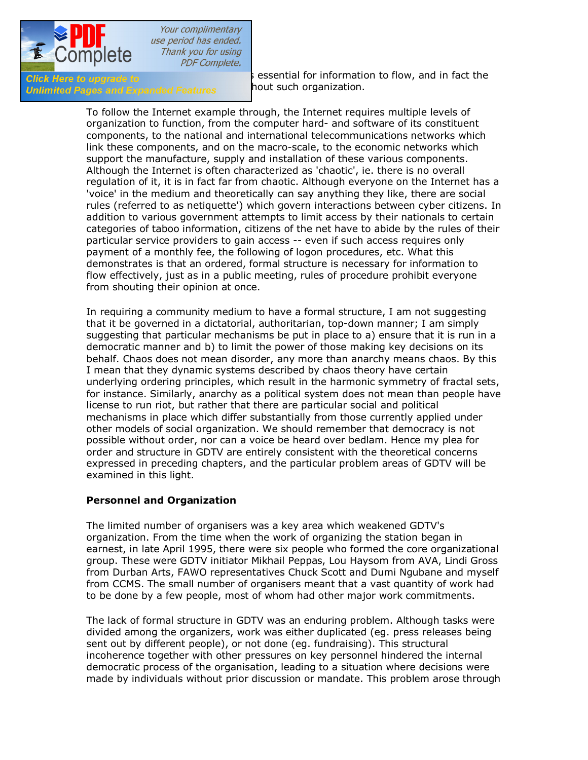

Unlimited Pages and Expanded Features hout such organization.

**Click Here to upgrade to number of the set of the set of information to flow, and in fact the** 

To follow the Internet example through, the Internet requires multiple levels of organization to function, from the computer hard- and software of its constituent components, to the national and international telecommunications networks which link these components, and on the macro-scale, to the economic networks which support the manufacture, supply and installation of these various components. Although the Internet is often characterized as 'chaotic', ie. there is no overall regulation of it, it is in fact far from chaotic. Although everyone on the Internet has a 'voice' in the medium and theoretically can say anything they like, there are social rules (referred to as netiquette') which govern interactions between cyber citizens. In addition to various government attempts to limit access by their nationals to certain categories of taboo information, citizens of the net have to abide by the rules of their particular service providers to gain access -- even if such access requires only payment of a monthly fee, the following of logon procedures, etc. What this demonstrates is that an ordered, formal structure is necessary for information to flow effectively, just as in a public meeting, rules of procedure prohibit everyone from shouting their opinion at once.

In requiring a community medium to have a formal structure, I am not suggesting that it be governed in a dictatorial, authoritarian, top-down manner; I am simply suggesting that particular mechanisms be put in place to a) ensure that it is run in a democratic manner and b) to limit the power of those making key decisions on its behalf. Chaos does not mean disorder, any more than anarchy means chaos. By this I mean that they dynamic systems described by chaos theory have certain underlying ordering principles, which result in the harmonic symmetry of fractal sets, for instance. Similarly, anarchy as a political system does not mean than people have license to run riot, but rather that there are particular social and political mechanisms in place which differ substantially from those currently applied under other models of social organization. We should remember that democracy is not possible without order, nor can a voice be heard over bedlam. Hence my plea for order and structure in GDTV are entirely consistent with the theoretical concerns expressed in preceding chapters, and the particular problem areas of GDTV will be examined in this light.

#### **Personnel and Organization**

The limited number of organisers was a key area which weakened GDTV's organization. From the time when the work of organizing the station began in earnest, in late April 1995, there were six people who formed the core organizational group. These were GDTV initiator Mikhail Peppas, Lou Haysom from AVA, Lindi Gross from Durban Arts, FAWO representatives Chuck Scott and Dumi Ngubane and myself from CCMS. The small number of organisers meant that a vast quantity of work had to be done by a few people, most of whom had other major work commitments.

The lack of formal structure in GDTV was an enduring problem. Although tasks were divided among the organizers, work was either duplicated (eg. press releases being sent out by different people), or not done (eg. fundraising). This structural incoherence together with other pressures on key personnel hindered the internal democratic process of the organisation, leading to a situation where decisions were made by individuals without prior discussion or mandate. This problem arose through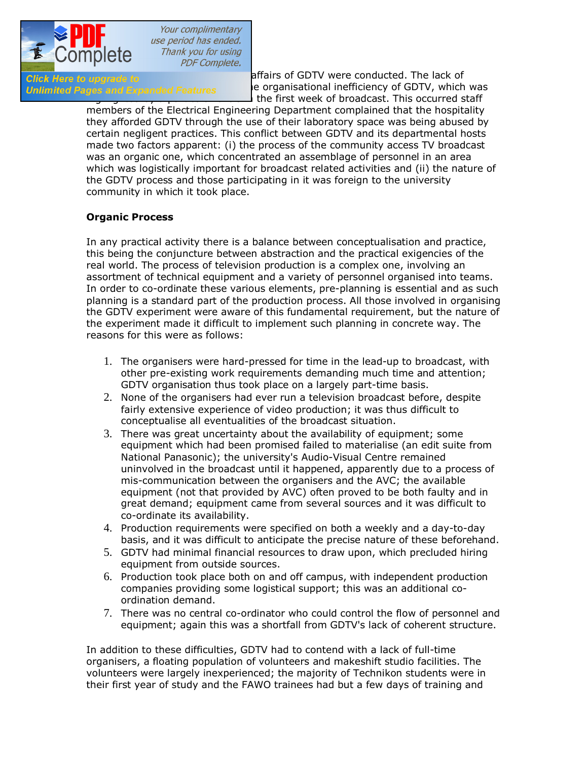

**Click Here to upgrade to informal manufacture in affairs of GDTV were conducted. The lack of** Unlimited Pages and Expanded Features by the organisational inefficiency of GDTV, which was  $\mu$  the first week of broadcast. This occurred staff

members of the Electrical Engineering Department complained that the hospitality they afforded GDTV through the use of their laboratory space was being abused by certain negligent practices. This conflict between GDTV and its departmental hosts made two factors apparent: (i) the process of the community access TV broadcast was an organic one, which concentrated an assemblage of personnel in an area which was logistically important for broadcast related activities and (ii) the nature of the GDTV process and those participating in it was foreign to the university community in which it took place.

## **Organic Process**

In any practical activity there is a balance between conceptualisation and practice, this being the conjuncture between abstraction and the practical exigencies of the real world. The process of television production is a complex one, involving an assortment of technical equipment and a variety of personnel organised into teams. In order to co-ordinate these various elements, pre-planning is essential and as such planning is a standard part of the production process. All those involved in organising the GDTV experiment were aware of this fundamental requirement, but the nature of the experiment made it difficult to implement such planning in concrete way. The reasons for this were as follows:

- 1. The organisers were hard-pressed for time in the lead-up to broadcast, with other pre-existing work requirements demanding much time and attention; GDTV organisation thus took place on a largely part-time basis.
- 2. None of the organisers had ever run a television broadcast before, despite fairly extensive experience of video production; it was thus difficult to conceptualise all eventualities of the broadcast situation.
- 3. There was great uncertainty about the availability of equipment; some equipment which had been promised failed to materialise (an edit suite from National Panasonic); the university's Audio-Visual Centre remained uninvolved in the broadcast until it happened, apparently due to a process of mis-communication between the organisers and the AVC; the available equipment (not that provided by AVC) often proved to be both faulty and in great demand; equipment came from several sources and it was difficult to co-ordinate its availability.
- 4. Production requirements were specified on both a weekly and a day-to-day basis, and it was difficult to anticipate the precise nature of these beforehand.
- 5. GDTV had minimal financial resources to draw upon, which precluded hiring equipment from outside sources.
- 6. Production took place both on and off campus, with independent production companies providing some logistical support; this was an additional coordination demand.
- 7. There was no central co-ordinator who could control the flow of personnel and equipment; again this was a shortfall from GDTV's lack of coherent structure.

In addition to these difficulties, GDTV had to contend with a lack of full-time organisers, a floating population of volunteers and makeshift studio facilities. The volunteers were largely inexperienced; the majority of Technikon students were in their first year of study and the FAWO trainees had but a few days of training and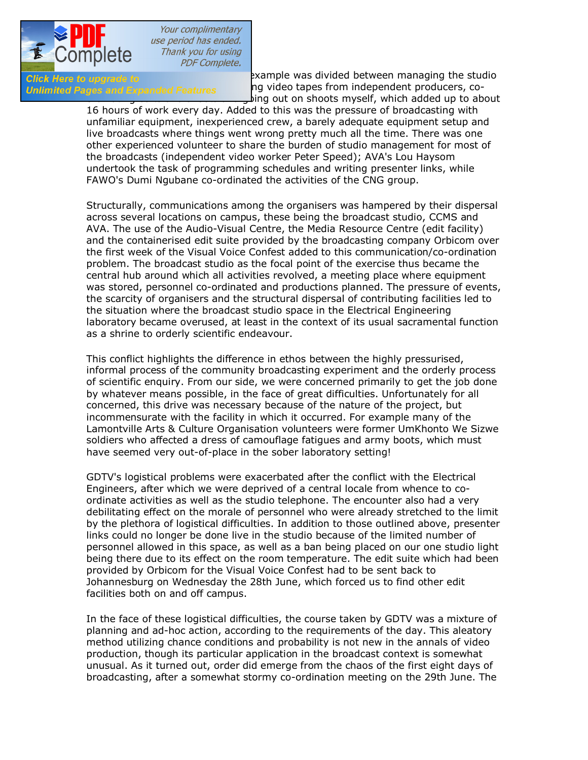

Click Here to upgrade to **Example was divided between managing the studio** Unlimited Pages and Expanded Features has broadcast person independent producers, coing out on shoots myself, which added up to about

16 hours of work every day. Added to this was the pressure of broadcasting with unfamiliar equipment, inexperienced crew, a barely adequate equipment setup and live broadcasts where things went wrong pretty much all the time. There was one other experienced volunteer to share the burden of studio management for most of the broadcasts (independent video worker Peter Speed); AVA's Lou Haysom undertook the task of programming schedules and writing presenter links, while FAWO's Dumi Ngubane co-ordinated the activities of the CNG group.

Structurally, communications among the organisers was hampered by their dispersal across several locations on campus, these being the broadcast studio, CCMS and AVA. The use of the Audio-Visual Centre, the Media Resource Centre (edit facility) and the containerised edit suite provided by the broadcasting company Orbicom over the first week of the Visual Voice Confest added to this communication/co-ordination problem. The broadcast studio as the focal point of the exercise thus became the central hub around which all activities revolved, a meeting place where equipment was stored, personnel co-ordinated and productions planned. The pressure of events, the scarcity of organisers and the structural dispersal of contributing facilities led to the situation where the broadcast studio space in the Electrical Engineering laboratory became overused, at least in the context of its usual sacramental function as a shrine to orderly scientific endeavour.

This conflict highlights the difference in ethos between the highly pressurised, informal process of the community broadcasting experiment and the orderly process of scientific enquiry. From our side, we were concerned primarily to get the job done by whatever means possible, in the face of great difficulties. Unfortunately for all concerned, this drive was necessary because of the nature of the project, but incommensurate with the facility in which it occurred. For example many of the Lamontville Arts & Culture Organisation volunteers were former UmKhonto We Sizwe soldiers who affected a dress of camouflage fatigues and army boots, which must have seemed very out-of-place in the sober laboratory setting!

GDTV's logistical problems were exacerbated after the conflict with the Electrical Engineers, after which we were deprived of a central locale from whence to coordinate activities as well as the studio telephone. The encounter also had a very debilitating effect on the morale of personnel who were already stretched to the limit by the plethora of logistical difficulties. In addition to those outlined above, presenter links could no longer be done live in the studio because of the limited number of personnel allowed in this space, as well as a ban being placed on our one studio light being there due to its effect on the room temperature. The edit suite which had been provided by Orbicom for the Visual Voice Confest had to be sent back to Johannesburg on Wednesday the 28th June, which forced us to find other edit facilities both on and off campus.

In the face of these logistical difficulties, the course taken by GDTV was a mixture of planning and ad-hoc action, according to the requirements of the day. This aleatory method utilizing chance conditions and probability is not new in the annals of video production, though its particular application in the broadcast context is somewhat unusual. As it turned out, order did emerge from the chaos of the first eight days of broadcasting, after a somewhat stormy co-ordination meeting on the 29th June. The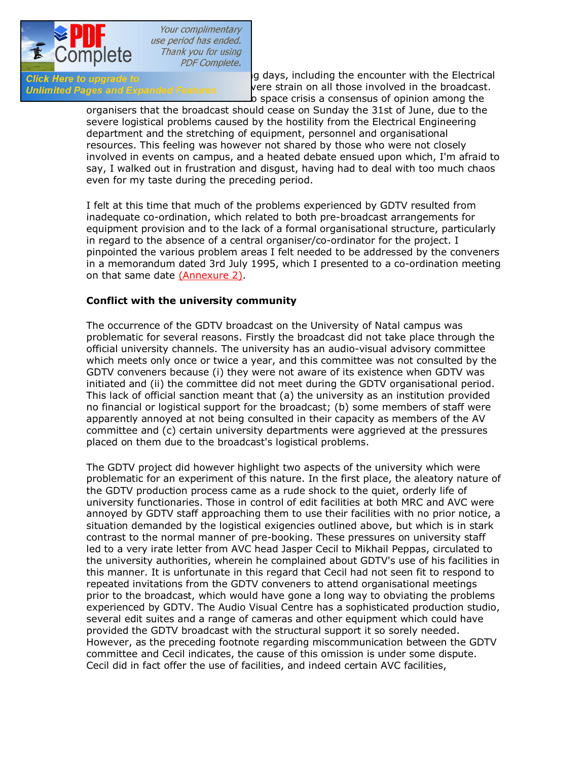

**Click Here to upgrade to pressuring the preceding days**, including the encounter with the Electrical **Unlimited Pages and Expanded Features** vere strain on all those involved in the broadcast. to space crisis a consensus of opinion among the

organisers that the broadcast should cease on Sunday the 31st of June, due to the severe logistical problems caused by the hostility from the Electrical Engineering department and the stretching of equipment, personnel and organisational resources. This feeling was however not shared by those who were not closely involved in events on campus, and a heated debate ensued upon which, I'm afraid to say, I walked out in frustration and disgust, having had to deal with too much chaos even for my taste during the preceding period.

I felt at this time that much of the problems experienced by GDTV resulted from inadequate co-ordination, which related to both pre-broadcast arrangements for equipment provision and to the lack of a formal organisational structure, particularly in regard to the absence of a central organiser/co-ordinator for the project. I pinpointed the various problem areas I felt needed to be addressed by the conveners in a memorandum dated 3rd July 1995, which I presented to a co-ordination meeting on that same date (Annexure 2).

## **Conflict with the university community**

The occurrence of the GDTV broadcast on the University of Natal campus was problematic for several reasons. Firstly the broadcast did not take place through the official university channels. The university has an audio-visual advisory committee which meets only once or twice a year, and this committee was not consulted by the GDTV conveners because (i) they were not aware of its existence when GDTV was initiated and (ii) the committee did not meet during the GDTV organisational period. This lack of official sanction meant that (a) the university as an institution provided no financial or logistical support for the broadcast; (b) some members of staff were apparently annoyed at not being consulted in their capacity as members of the AV committee and (c) certain university departments were aggrieved at the pressures placed on them due to the broadcast's logistical problems.

The GDTV project did however highlight two aspects of the university which were problematic for an experiment of this nature. In the first place, the aleatory nature of the GDTV production process came as a rude shock to the quiet, orderly life of university functionaries. Those in control of edit facilities at both MRC and AVC were annoyed by GDTV staff approaching them to use their facilities with no prior notice, a situation demanded by the logistical exigencies outlined above, but which is in stark contrast to the normal manner of pre-booking. These pressures on university staff led to a very irate letter from AVC head Jasper Cecil to Mikhail Peppas, circulated to the university authorities, wherein he complained about GDTV's use of his facilities in this manner. It is unfortunate in this regard that Cecil had not seen fit to respond to repeated invitations from the GDTV conveners to attend organisational meetings prior to the broadcast, which would have gone a long way to obviating the problems experienced by GDTV. The Audio Visual Centre has a sophisticated production studio, several edit suites and a range of cameras and other equipment which could have provided the GDTV broadcast with the structural support it so sorely needed. However, as the preceding footnote regarding miscommunication between the GDTV committee and Cecil indicates, the cause of this omission is under some dispute. Cecil did in fact offer the use of facilities, and indeed certain AVC facilities,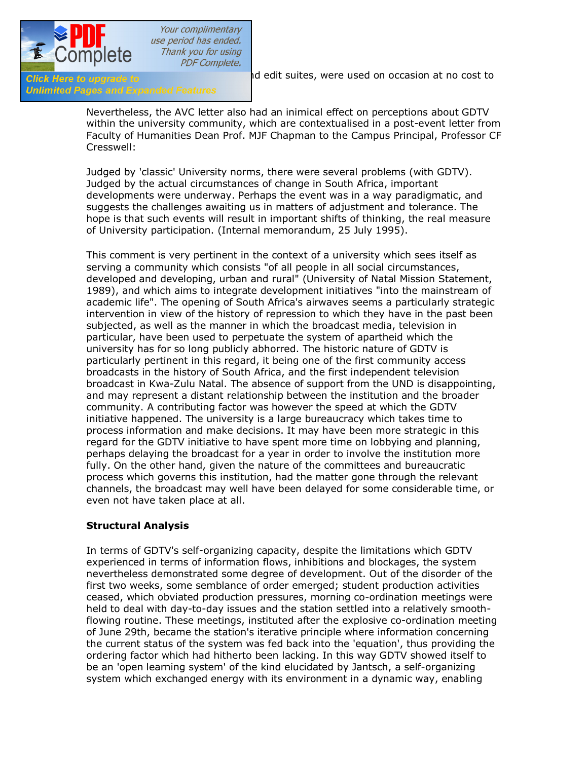

click Here to upgrade to **and the television studio and edit** suites, were used on occasion at no cost to

**Unlimited Pages and Expanded Features** 

Nevertheless, the AVC letter also had an inimical effect on perceptions about GDTV within the university community, which are contextualised in a post-event letter from Faculty of Humanities Dean Prof. MJF Chapman to the Campus Principal, Professor CF Cresswell:

Judged by 'classic' University norms, there were several problems (with GDTV). Judged by the actual circumstances of change in South Africa, important developments were underway. Perhaps the event was in a way paradigmatic, and suggests the challenges awaiting us in matters of adjustment and tolerance. The hope is that such events will result in important shifts of thinking, the real measure of University participation. (Internal memorandum, 25 July 1995).

This comment is very pertinent in the context of a university which sees itself as serving a community which consists "of all people in all social circumstances, developed and developing, urban and rural" (University of Natal Mission Statement, 1989), and which aims to integrate development initiatives "into the mainstream of academic life". The opening of South Africa's airwaves seems a particularly strategic intervention in view of the history of repression to which they have in the past been subjected, as well as the manner in which the broadcast media, television in particular, have been used to perpetuate the system of apartheid which the university has for so long publicly abhorred. The historic nature of GDTV is particularly pertinent in this regard, it being one of the first community access broadcasts in the history of South Africa, and the first independent television broadcast in Kwa-Zulu Natal. The absence of support from the UND is disappointing, and may represent a distant relationship between the institution and the broader community. A contributing factor was however the speed at which the GDTV initiative happened. The university is a large bureaucracy which takes time to process information and make decisions. It may have been more strategic in this regard for the GDTV initiative to have spent more time on lobbying and planning, perhaps delaying the broadcast for a year in order to involve the institution more fully. On the other hand, given the nature of the committees and bureaucratic process which governs this institution, had the matter gone through the relevant channels, the broadcast may well have been delayed for some considerable time, or even not have taken place at all.

## **Structural Analysis**

In terms of GDTV's self-organizing capacity, despite the limitations which GDTV experienced in terms of information flows, inhibitions and blockages, the system nevertheless demonstrated some degree of development. Out of the disorder of the first two weeks, some semblance of order emerged; student production activities ceased, which obviated production pressures, morning co-ordination meetings were held to deal with day-to-day issues and the station settled into a relatively smoothflowing routine. These meetings, instituted after the explosive co-ordination meeting of June 29th, became the station's iterative principle where information concerning the current status of the system was fed back into the 'equation', thus providing the ordering factor which had hitherto been lacking. In this way GDTV showed itself to be an 'open learning system' of the kind elucidated by Jantsch, a self-organizing system which exchanged energy with its environment in a dynamic way, enabling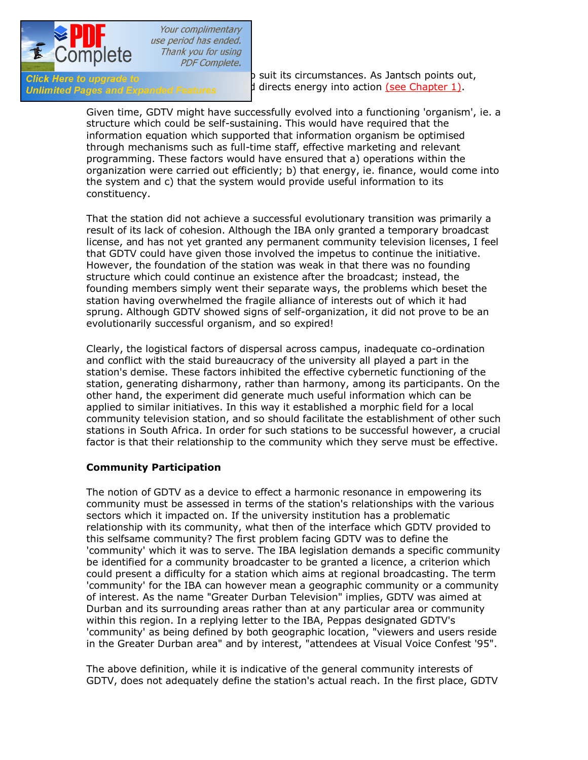

Unlimited Pages and Expanded Features 1 directs energy into action (see Chapter 1).

Click Here to upgrade to suit its circumstances. As Jantsch points out,

Given time, GDTV might have successfully evolved into a functioning 'organism', ie. a structure which could be self-sustaining. This would have required that the information equation which supported that information organism be optimised through mechanisms such as full-time staff, effective marketing and relevant programming. These factors would have ensured that a) operations within the organization were carried out efficiently; b) that energy, ie. finance, would come into the system and c) that the system would provide useful information to its constituency.

That the station did not achieve a successful evolutionary transition was primarily a result of its lack of cohesion. Although the IBA only granted a temporary broadcast license, and has not yet granted any permanent community television licenses, I feel that GDTV could have given those involved the impetus to continue the initiative. However, the foundation of the station was weak in that there was no founding structure which could continue an existence after the broadcast; instead, the founding members simply went their separate ways, the problems which beset the station having overwhelmed the fragile alliance of interests out of which it had sprung. Although GDTV showed signs of self-organization, it did not prove to be an evolutionarily successful organism, and so expired!

Clearly, the logistical factors of dispersal across campus, inadequate co-ordination and conflict with the staid bureaucracy of the university all played a part in the station's demise. These factors inhibited the effective cybernetic functioning of the station, generating disharmony, rather than harmony, among its participants. On the other hand, the experiment did generate much useful information which can be applied to similar initiatives. In this way it established a morphic field for a local community television station, and so should facilitate the establishment of other such stations in South Africa. In order for such stations to be successful however, a crucial factor is that their relationship to the community which they serve must be effective.

## **Community Participation**

The notion of GDTV as a device to effect a harmonic resonance in empowering its community must be assessed in terms of the station's relationships with the various sectors which it impacted on. If the university institution has a problematic relationship with its community, what then of the interface which GDTV provided to this selfsame community? The first problem facing GDTV was to define the 'community' which it was to serve. The IBA legislation demands a specific community be identified for a community broadcaster to be granted a licence, a criterion which could present a difficulty for a station which aims at regional broadcasting. The term 'community' for the IBA can however mean a geographic community or a community of interest. As the name "Greater Durban Television" implies, GDTV was aimed at Durban and its surrounding areas rather than at any particular area or community within this region. In a replying letter to the IBA, Peppas designated GDTV's 'community' as being defined by both geographic location, "viewers and users reside in the Greater Durban area" and by interest, "attendees at Visual Voice Confest '95".

The above definition, while it is indicative of the general community interests of GDTV, does not adequately define the station's actual reach. In the first place, GDTV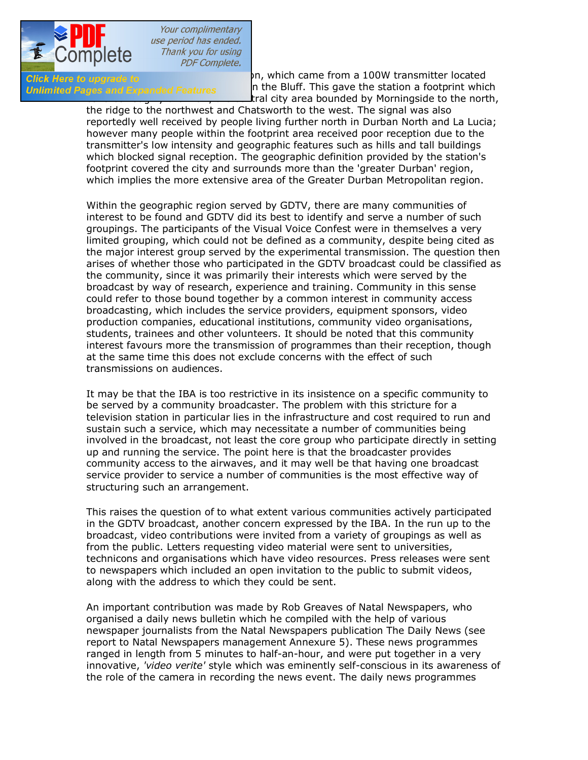

Click Here to upgrade to **its signal distribution**, which came from a 100W transmitter located **Unlimited Pages and Expanded Features** https://www.filter. This gave the station a footprint which tral city area bounded by Morningside to the north,

the ridge to the northwest and Chatsworth to the west. The signal was also reportedly well received by people living further north in Durban North and La Lucia; however many people within the footprint area received poor reception due to the transmitter's low intensity and geographic features such as hills and tall buildings which blocked signal reception. The geographic definition provided by the station's footprint covered the city and surrounds more than the 'greater Durban' region, which implies the more extensive area of the Greater Durban Metropolitan region.

Within the geographic region served by GDTV, there are many communities of interest to be found and GDTV did its best to identify and serve a number of such groupings. The participants of the Visual Voice Confest were in themselves a very limited grouping, which could not be defined as a community, despite being cited as the major interest group served by the experimental transmission. The question then arises of whether those who participated in the GDTV broadcast could be classified as the community, since it was primarily their interests which were served by the broadcast by way of research, experience and training. Community in this sense could refer to those bound together by a common interest in community access broadcasting, which includes the service providers, equipment sponsors, video production companies, educational institutions, community video organisations, students, trainees and other volunteers. It should be noted that this community interest favours more the transmission of programmes than their reception, though at the same time this does not exclude concerns with the effect of such transmissions on audiences.

It may be that the IBA is too restrictive in its insistence on a specific community to be served by a community broadcaster. The problem with this stricture for a television station in particular lies in the infrastructure and cost required to run and sustain such a service, which may necessitate a number of communities being involved in the broadcast, not least the core group who participate directly in setting up and running the service. The point here is that the broadcaster provides community access to the airwaves, and it may well be that having one broadcast service provider to service a number of communities is the most effective way of structuring such an arrangement.

This raises the question of to what extent various communities actively participated in the GDTV broadcast, another concern expressed by the IBA. In the run up to the broadcast, video contributions were invited from a variety of groupings as well as from the public. Letters requesting video material were sent to universities, technicons and organisations which have video resources. Press releases were sent to newspapers which included an open invitation to the public to submit videos, along with the address to which they could be sent.

An important contribution was made by Rob Greaves of Natal Newspapers, who organised a daily news bulletin which he compiled with the help of various newspaper journalists from the Natal Newspapers publication The Daily News (see report to Natal Newspapers management Annexure 5). These news programmes ranged in length from 5 minutes to half-an-hour, and were put together in a very innovative, *'video verite'* style which was eminently self-conscious in its awareness of the role of the camera in recording the news event. The daily news programmes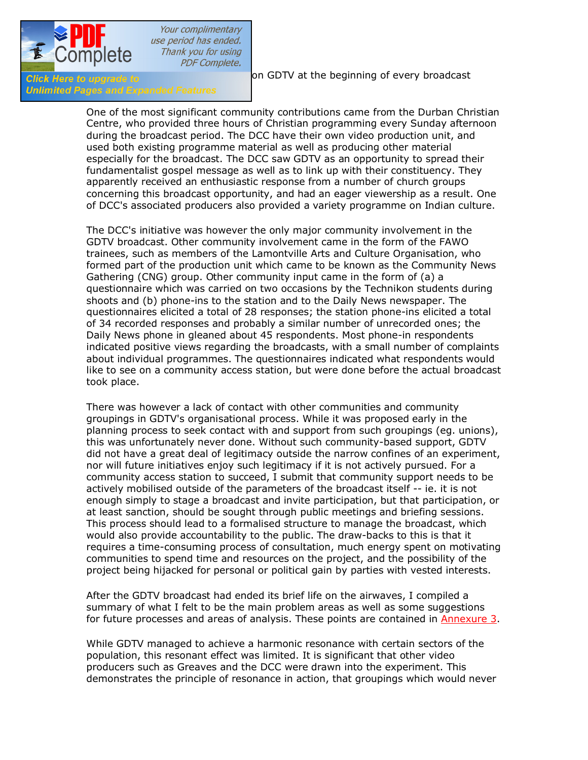

**Click Here to upgrade to click feature on GDTV at the beginning of every broadcast** 

# **Unlimited Pages and Expanded Features**

One of the most significant community contributions came from the Durban Christian Centre, who provided three hours of Christian programming every Sunday afternoon during the broadcast period. The DCC have their own video production unit, and used both existing programme material as well as producing other material especially for the broadcast. The DCC saw GDTV as an opportunity to spread their fundamentalist gospel message as well as to link up with their constituency. They apparently received an enthusiastic response from a number of church groups concerning this broadcast opportunity, and had an eager viewership as a result. One of DCC's associated producers also provided a variety programme on Indian culture.

The DCC's initiative was however the only major community involvement in the GDTV broadcast. Other community involvement came in the form of the FAWO trainees, such as members of the Lamontville Arts and Culture Organisation, who formed part of the production unit which came to be known as the Community News Gathering (CNG) group. Other community input came in the form of (a) a questionnaire which was carried on two occasions by the Technikon students during shoots and (b) phone-ins to the station and to the Daily News newspaper. The questionnaires elicited a total of 28 responses; the station phone-ins elicited a total of 34 recorded responses and probably a similar number of unrecorded ones; the Daily News phone in gleaned about 45 respondents. Most phone-in respondents indicated positive views regarding the broadcasts, with a small number of complaints about individual programmes. The questionnaires indicated what respondents would like to see on a community access station, but were done before the actual broadcast took place.

There was however a lack of contact with other communities and community groupings in GDTV's organisational process. While it was proposed early in the planning process to seek contact with and support from such groupings (eg. unions), this was unfortunately never done. Without such community-based support, GDTV did not have a great deal of legitimacy outside the narrow confines of an experiment, nor will future initiatives enjoy such legitimacy if it is not actively pursued. For a community access station to succeed, I submit that community support needs to be actively mobilised outside of the parameters of the broadcast itself -- ie. it is not enough simply to stage a broadcast and invite participation, but that participation, or at least sanction, should be sought through public meetings and briefing sessions. This process should lead to a formalised structure to manage the broadcast, which would also provide accountability to the public. The draw-backs to this is that it requires a time-consuming process of consultation, much energy spent on motivating communities to spend time and resources on the project, and the possibility of the project being hijacked for personal or political gain by parties with vested interests.

After the GDTV broadcast had ended its brief life on the airwaves, I compiled a summary of what I felt to be the main problem areas as well as some suggestions for future processes and areas of analysis. These points are contained in **Annexure 3**.

While GDTV managed to achieve a harmonic resonance with certain sectors of the population, this resonant effect was limited. It is significant that other video producers such as Greaves and the DCC were drawn into the experiment. This demonstrates the principle of resonance in action, that groupings which would never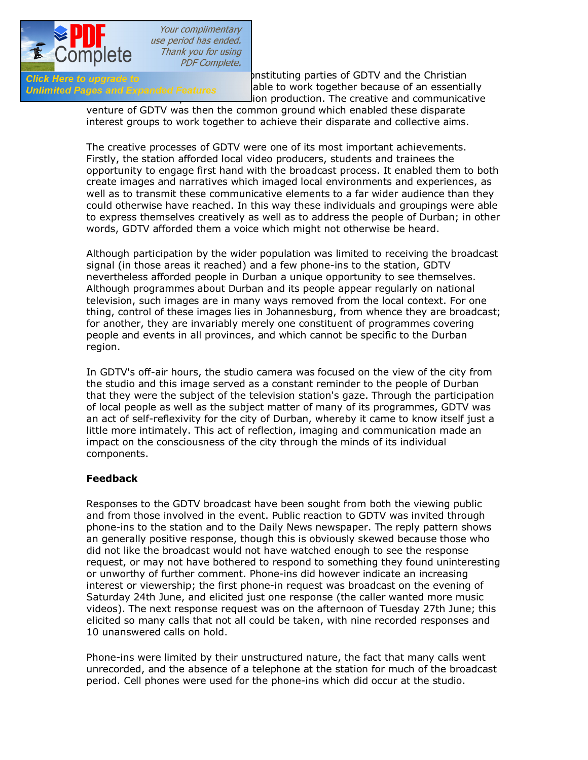

**Click Here to upgrade to normally determined by a set of GDTV** and the Christian **Unlimited Pages and Expanded Features** able to work together because of an essentially  $\omega$ ion production. The creative and communicative

venture of GDTV was then the common ground which enabled these disparate interest groups to work together to achieve their disparate and collective aims.

The creative processes of GDTV were one of its most important achievements. Firstly, the station afforded local video producers, students and trainees the opportunity to engage first hand with the broadcast process. It enabled them to both create images and narratives which imaged local environments and experiences, as well as to transmit these communicative elements to a far wider audience than they could otherwise have reached. In this way these individuals and groupings were able to express themselves creatively as well as to address the people of Durban; in other words, GDTV afforded them a voice which might not otherwise be heard.

Although participation by the wider population was limited to receiving the broadcast signal (in those areas it reached) and a few phone-ins to the station, GDTV nevertheless afforded people in Durban a unique opportunity to see themselves. Although programmes about Durban and its people appear regularly on national television, such images are in many ways removed from the local context. For one thing, control of these images lies in Johannesburg, from whence they are broadcast; for another, they are invariably merely one constituent of programmes covering people and events in all provinces, and which cannot be specific to the Durban region.

In GDTV's off-air hours, the studio camera was focused on the view of the city from the studio and this image served as a constant reminder to the people of Durban that they were the subject of the television station's gaze. Through the participation of local people as well as the subject matter of many of its programmes, GDTV was an act of self-reflexivity for the city of Durban, whereby it came to know itself just a little more intimately. This act of reflection, imaging and communication made an impact on the consciousness of the city through the minds of its individual components.

## **Feedback**

Responses to the GDTV broadcast have been sought from both the viewing public and from those involved in the event. Public reaction to GDTV was invited through phone-ins to the station and to the Daily News newspaper. The reply pattern shows an generally positive response, though this is obviously skewed because those who did not like the broadcast would not have watched enough to see the response request, or may not have bothered to respond to something they found uninteresting or unworthy of further comment. Phone-ins did however indicate an increasing interest or viewership; the first phone-in request was broadcast on the evening of Saturday 24th June, and elicited just one response (the caller wanted more music videos). The next response request was on the afternoon of Tuesday 27th June; this elicited so many calls that not all could be taken, with nine recorded responses and 10 unanswered calls on hold.

Phone-ins were limited by their unstructured nature, the fact that many calls went unrecorded, and the absence of a telephone at the station for much of the broadcast period. Cell phones were used for the phone-ins which did occur at the studio.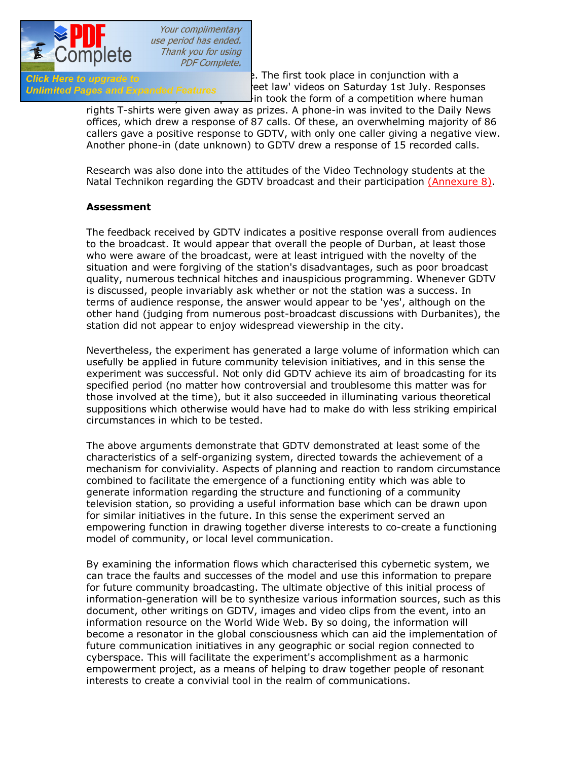

Click Here to upgrade to  $\frac{1}{2}$ . The first took place in conjunction with a **Unlimited Pages and Expanded Features** eet law' videos on Saturday 1st July. Responses  $\overline{\phantom{a}}$ -in took the form of a competition where human

rights T-shirts were given away as prizes. A phone-in was invited to the Daily News offices, which drew a response of 87 calls. Of these, an overwhelming majority of 86 callers gave a positive response to GDTV, with only one caller giving a negative view. Another phone-in (date unknown) to GDTV drew a response of 15 recorded calls.

Research was also done into the attitudes of the Video Technology students at the Natal Technikon regarding the GDTV broadcast and their participation (Annexure 8).

### **Assessment**

The feedback received by GDTV indicates a positive response overall from audiences to the broadcast. It would appear that overall the people of Durban, at least those who were aware of the broadcast, were at least intrigued with the novelty of the situation and were forgiving of the station's disadvantages, such as poor broadcast quality, numerous technical hitches and inauspicious programming. Whenever GDTV is discussed, people invariably ask whether or not the station was a success. In terms of audience response, the answer would appear to be 'yes', although on the other hand (judging from numerous post-broadcast discussions with Durbanites), the station did not appear to enjoy widespread viewership in the city.

Nevertheless, the experiment has generated a large volume of information which can usefully be applied in future community television initiatives, and in this sense the experiment was successful. Not only did GDTV achieve its aim of broadcasting for its specified period (no matter how controversial and troublesome this matter was for those involved at the time), but it also succeeded in illuminating various theoretical suppositions which otherwise would have had to make do with less striking empirical circumstances in which to be tested.

The above arguments demonstrate that GDTV demonstrated at least some of the characteristics of a self-organizing system, directed towards the achievement of a mechanism for conviviality. Aspects of planning and reaction to random circumstance combined to facilitate the emergence of a functioning entity which was able to generate information regarding the structure and functioning of a community television station, so providing a useful information base which can be drawn upon for similar initiatives in the future. In this sense the experiment served an empowering function in drawing together diverse interests to co-create a functioning model of community, or local level communication.

By examining the information flows which characterised this cybernetic system, we can trace the faults and successes of the model and use this information to prepare for future community broadcasting. The ultimate objective of this initial process of information-generation will be to synthesize various information sources, such as this document, other writings on GDTV, images and video clips from the event, into an information resource on the World Wide Web. By so doing, the information will become a resonator in the global consciousness which can aid the implementation of future communication initiatives in any geographic or social region connected to cyberspace. This will facilitate the experiment's accomplishment as a harmonic empowerment project, as a means of helping to draw together people of resonant interests to create a convivial tool in the realm of communications.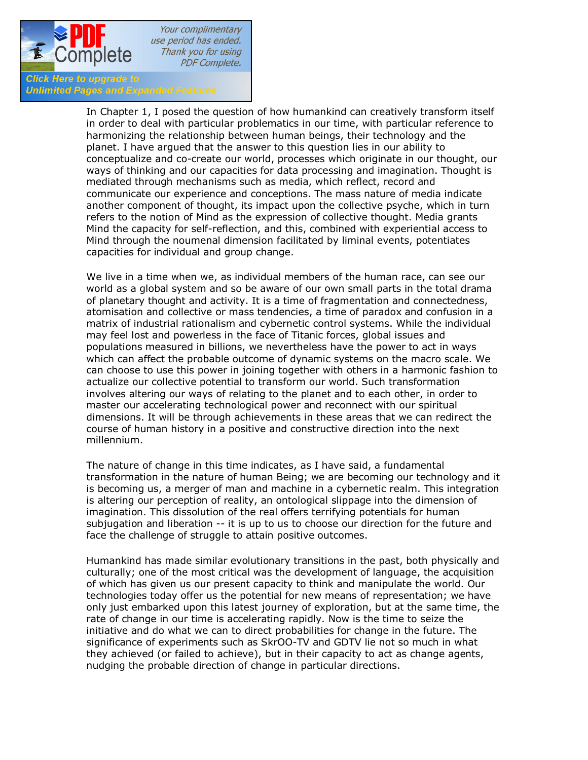

# **Unlimited Pages and Expanded Features**

In Chapter 1, I posed the question of how humankind can creatively transform itself in order to deal with particular problematics in our time, with particular reference to harmonizing the relationship between human beings, their technology and the planet. I have argued that the answer to this question lies in our ability to conceptualize and co-create our world, processes which originate in our thought, our ways of thinking and our capacities for data processing and imagination. Thought is mediated through mechanisms such as media, which reflect, record and communicate our experience and conceptions. The mass nature of media indicate another component of thought, its impact upon the collective psyche, which in turn refers to the notion of Mind as the expression of collective thought. Media grants Mind the capacity for self-reflection, and this, combined with experiential access to Mind through the noumenal dimension facilitated by liminal events, potentiates capacities for individual and group change.

We live in a time when we, as individual members of the human race, can see our world as a global system and so be aware of our own small parts in the total drama of planetary thought and activity. It is a time of fragmentation and connectedness, atomisation and collective or mass tendencies, a time of paradox and confusion in a matrix of industrial rationalism and cybernetic control systems. While the individual may feel lost and powerless in the face of Titanic forces, global issues and populations measured in billions, we nevertheless have the power to act in ways which can affect the probable outcome of dynamic systems on the macro scale. We can choose to use this power in joining together with others in a harmonic fashion to actualize our collective potential to transform our world. Such transformation involves altering our ways of relating to the planet and to each other, in order to master our accelerating technological power and reconnect with our spiritual dimensions. It will be through achievements in these areas that we can redirect the course of human history in a positive and constructive direction into the next millennium.

The nature of change in this time indicates, as I have said, a fundamental transformation in the nature of human Being; we are becoming our technology and it is becoming us, a merger of man and machine in a cybernetic realm. This integration is altering our perception of reality, an ontological slippage into the dimension of imagination. This dissolution of the real offers terrifying potentials for human subjugation and liberation -- it is up to us to choose our direction for the future and face the challenge of struggle to attain positive outcomes.

Humankind has made similar evolutionary transitions in the past, both physically and culturally; one of the most critical was the development of language, the acquisition of which has given us our present capacity to think and manipulate the world. Our technologies today offer us the potential for new means of representation; we have only just embarked upon this latest journey of exploration, but at the same time, the rate of change in our time is accelerating rapidly. Now is the time to seize the initiative and do what we can to direct probabilities for change in the future. The significance of experiments such as SkrOO-TV and GDTV lie not so much in what they achieved (or failed to achieve), but in their capacity to act as change agents, nudging the probable direction of change in particular directions.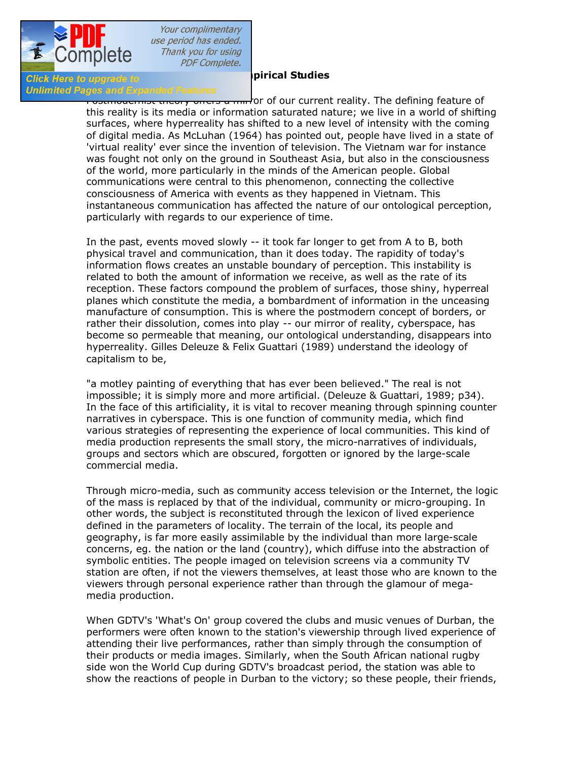

# **Postmodernism** and Empirical Studies

#### **Unlimited Pages and Expanded Features**

Princed incorrective a mirror of our current reality. The defining feature of this reality is its media or information saturated nature; we live in a world of shifting surfaces, where hyperreality has shifted to a new level of intensity with the coming of digital media. As McLuhan (1964) has pointed out, people have lived in a state of 'virtual reality' ever since the invention of television. The Vietnam war for instance was fought not only on the ground in Southeast Asia, but also in the consciousness of the world, more particularly in the minds of the American people. Global communications were central to this phenomenon, connecting the collective consciousness of America with events as they happened in Vietnam. This instantaneous communication has affected the nature of our ontological perception, particularly with regards to our experience of time.

In the past, events moved slowly -- it took far longer to get from A to B, both physical travel and communication, than it does today. The rapidity of today's information flows creates an unstable boundary of perception. This instability is related to both the amount of information we receive, as well as the rate of its reception. These factors compound the problem of surfaces, those shiny, hyperreal planes which constitute the media, a bombardment of information in the unceasing manufacture of consumption. This is where the postmodern concept of borders, or rather their dissolution, comes into play -- our mirror of reality, cyberspace, has become so permeable that meaning, our ontological understanding, disappears into hyperreality. Gilles Deleuze & Felix Guattari (1989) understand the ideology of capitalism to be,

"a motley painting of everything that has ever been believed." The real is not impossible; it is simply more and more artificial. (Deleuze & Guattari, 1989; p34). In the face of this artificiality, it is vital to recover meaning through spinning counter narratives in cyberspace. This is one function of community media, which find various strategies of representing the experience of local communities. This kind of media production represents the small story, the micro-narratives of individuals, groups and sectors which are obscured, forgotten or ignored by the large-scale commercial media.

Through micro-media, such as community access television or the Internet, the logic of the mass is replaced by that of the individual, community or micro-grouping. In other words, the subject is reconstituted through the lexicon of lived experience defined in the parameters of locality. The terrain of the local, its people and geography, is far more easily assimilable by the individual than more large-scale concerns, eg. the nation or the land (country), which diffuse into the abstraction of symbolic entities. The people imaged on television screens via a community TV station are often, if not the viewers themselves, at least those who are known to the viewers through personal experience rather than through the glamour of megamedia production.

When GDTV's 'What's On' group covered the clubs and music venues of Durban, the performers were often known to the station's viewership through lived experience of attending their live performances, rather than simply through the consumption of their products or media images. Similarly, when the South African national rugby side won the World Cup during GDTV's broadcast period, the station was able to show the reactions of people in Durban to the victory; so these people, their friends,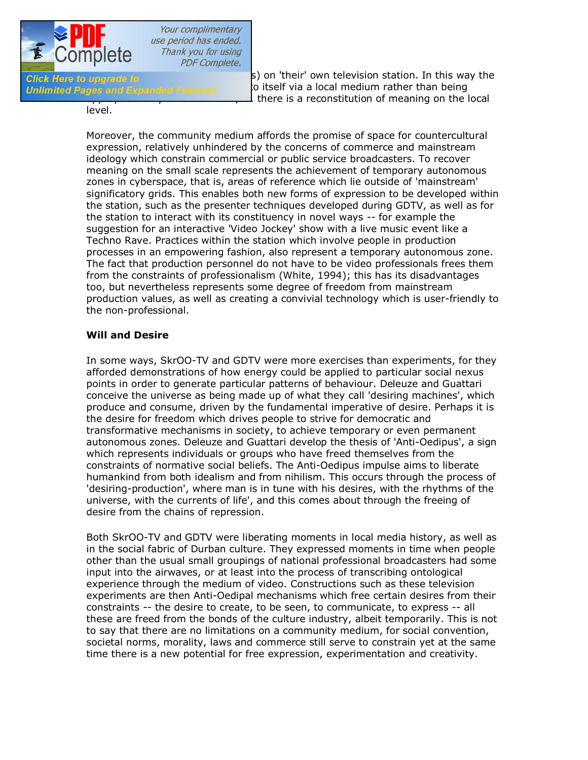

**Click Here to upgrade to Exercise 20 S** S and 'their' own television station. In this way the Unlimited Pages and Expanded Features **1999** to itself via a local medium rather than being . there is a reconstitution of meaning on the local

#### level.

Moreover, the community medium affords the promise of space for countercultural expression, relatively unhindered by the concerns of commerce and mainstream ideology which constrain commercial or public service broadcasters. To recover meaning on the small scale represents the achievement of temporary autonomous zones in cyberspace, that is, areas of reference which lie outside of 'mainstream' significatory grids. This enables both new forms of expression to be developed within the station, such as the presenter techniques developed during GDTV, as well as for the station to interact with its constituency in novel ways -- for example the suggestion for an interactive 'Video Jockey' show with a live music event like a Techno Rave. Practices within the station which involve people in production processes in an empowering fashion, also represent a temporary autonomous zone. The fact that production personnel do not have to be video professionals frees them from the constraints of professionalism (White, 1994); this has its disadvantages too, but nevertheless represents some degree of freedom from mainstream production values, as well as creating a convivial technology which is user-friendly to the non-professional.

## **Will and Desire**

In some ways, SkrOO-TV and GDTV were more exercises than experiments, for they afforded demonstrations of how energy could be applied to particular social nexus points in order to generate particular patterns of behaviour. Deleuze and Guattari conceive the universe as being made up of what they call 'desiring machines', which produce and consume, driven by the fundamental imperative of desire. Perhaps it is the desire for freedom which drives people to strive for democratic and transformative mechanisms in society, to achieve temporary or even permanent autonomous zones. Deleuze and Guattari develop the thesis of 'Anti-Oedipus', a sign which represents individuals or groups who have freed themselves from the constraints of normative social beliefs. The Anti-Oedipus impulse aims to liberate humankind from both idealism and from nihilism. This occurs through the process of 'desiring-production', where man is in tune with his desires, with the rhythms of the universe, with the currents of life', and this comes about through the freeing of desire from the chains of repression.

Both SkrOO-TV and GDTV were liberating moments in local media history, as well as in the social fabric of Durban culture. They expressed moments in time when people other than the usual small groupings of national professional broadcasters had some input into the airwaves, or at least into the process of transcribing ontological experience through the medium of video. Constructions such as these television experiments are then Anti-Oedipal mechanisms which free certain desires from their constraints -- the desire to create, to be seen, to communicate, to express -- all these are freed from the bonds of the culture industry, albeit temporarily. This is not to say that there are no limitations on a community medium, for social convention, societal norms, morality, laws and commerce still serve to constrain yet at the same time there is a new potential for free expression, experimentation and creativity.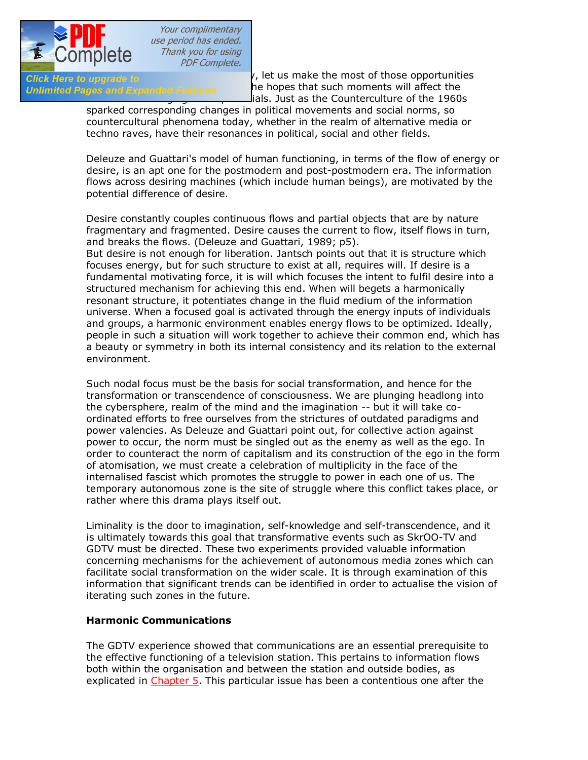

Click Here to upgrade to **EXECLIC BE THE V**, let us make the most of those opportunities **Unlimited Pages and Expanded Features** he hopes that such moments will affect the ials. Just as the Counterculture of the 1960s

sparked corresponding changes in political movements and social norms, so countercultural phenomena today, whether in the realm of alternative media or techno raves, have their resonances in political, social and other fields.

Deleuze and Guattari's model of human functioning, in terms of the flow of energy or desire, is an apt one for the postmodern and post-postmodern era. The information flows across desiring machines (which include human beings), are motivated by the potential difference of desire.

Desire constantly couples continuous flows and partial objects that are by nature fragmentary and fragmented. Desire causes the current to flow, itself flows in turn, and breaks the flows. (Deleuze and Guattari, 1989; p5).

But desire is not enough for liberation. Jantsch points out that it is structure which focuses energy, but for such structure to exist at all, requires will. If desire is a fundamental motivating force, it is will which focuses the intent to fulfil desire into a structured mechanism for achieving this end. When will begets a harmonically resonant structure, it potentiates change in the fluid medium of the information universe. When a focused goal is activated through the energy inputs of individuals and groups, a harmonic environment enables energy flows to be optimized. Ideally, people in such a situation will work together to achieve their common end, which has a beauty or symmetry in both its internal consistency and its relation to the external environment.

Such nodal focus must be the basis for social transformation, and hence for the transformation or transcendence of consciousness. We are plunging headlong into the cybersphere, realm of the mind and the imagination -- but it will take coordinated efforts to free ourselves from the strictures of outdated paradigms and power valencies. As Deleuze and Guattari point out, for collective action against power to occur, the norm must be singled out as the enemy as well as the ego. In order to counteract the norm of capitalism and its construction of the ego in the form of atomisation, we must create a celebration of multiplicity in the face of the internalised fascist which promotes the struggle to power in each one of us. The temporary autonomous zone is the site of struggle where this conflict takes place, or rather where this drama plays itself out.

Liminality is the door to imagination, self-knowledge and self-transcendence, and it is ultimately towards this goal that transformative events such as SkrOO-TV and GDTV must be directed. These two experiments provided valuable information concerning mechanisms for the achievement of autonomous media zones which can facilitate social transformation on the wider scale. It is through examination of this information that significant trends can be identified in order to actualise the vision of iterating such zones in the future.

#### **Harmonic Communications**

The GDTV experience showed that communications are an essential prerequisite to the effective functioning of a television station. This pertains to information flows both within the organisation and between the station and outside bodies, as explicated in Chapter 5. This particular issue has been a contentious one after the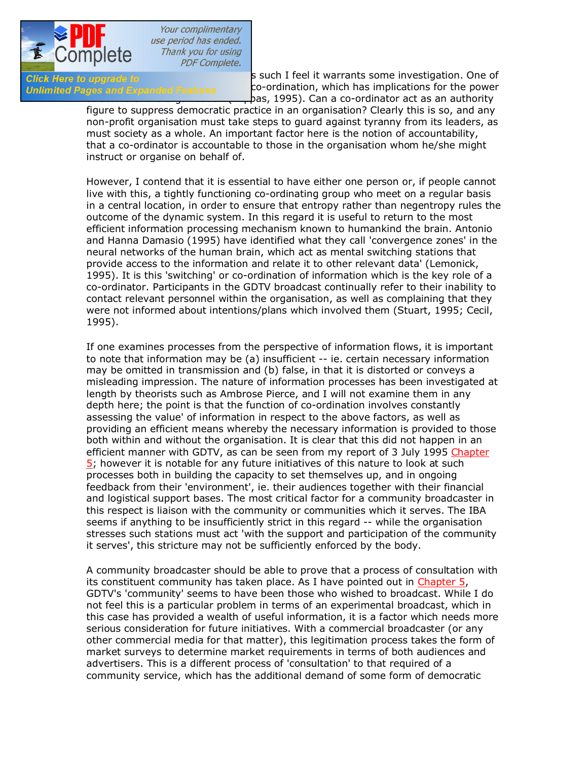

**Click Here to upgrade to contract of the GDTV broadcast** some investigation. One of Unlimited Pages and Expanded Features co-ordination, which has implications for the power structure of the organisation (Peppas, 1995). Can a co-ordinator act as an authority

figure to suppress democratic practice in an organisation? Clearly this is so, and any non-profit organisation must take steps to guard against tyranny from its leaders, as must society as a whole. An important factor here is the notion of accountability, that a co-ordinator is accountable to those in the organisation whom he/she might instruct or organise on behalf of.

However, I contend that it is essential to have either one person or, if people cannot live with this, a tightly functioning co-ordinating group who meet on a regular basis in a central location, in order to ensure that entropy rather than negentropy rules the outcome of the dynamic system. In this regard it is useful to return to the most efficient information processing mechanism known to humankind the brain. Antonio and Hanna Damasio (1995) have identified what they call 'convergence zones' in the neural networks of the human brain, which act as mental switching stations that provide access to the information and relate it to other relevant data' (Lemonick, 1995). It is this 'switching' or co-ordination of information which is the key role of a co-ordinator. Participants in the GDTV broadcast continually refer to their inability to contact relevant personnel within the organisation, as well as complaining that they were not informed about intentions/plans which involved them (Stuart, 1995; Cecil, 1995).

If one examines processes from the perspective of information flows, it is important to note that information may be (a) insufficient -- ie. certain necessary information may be omitted in transmission and (b) false, in that it is distorted or conveys a misleading impression. The nature of information processes has been investigated at length by theorists such as Ambrose Pierce, and I will not examine them in any depth here; the point is that the function of co-ordination involves constantly assessing the value' of information in respect to the above factors, as well as providing an efficient means whereby the necessary information is provided to those both within and without the organisation. It is clear that this did not happen in an efficient manner with GDTV, as can be seen from my report of 3 July 1995 Chapter  $\frac{5}{2}$ ; however it is notable for any future initiatives of this nature to look at such processes both in building the capacity to set themselves up, and in ongoing feedback from their 'environment', ie. their audiences together with their financial and logistical support bases. The most critical factor for a community broadcaster in this respect is liaison with the community or communities which it serves. The IBA seems if anything to be insufficiently strict in this regard -- while the organisation stresses such stations must act 'with the support and participation of the community it serves', this stricture may not be sufficiently enforced by the body.

A community broadcaster should be able to prove that a process of consultation with its constituent community has taken place. As I have pointed out in Chapter 5, GDTV's 'community' seems to have been those who wished to broadcast. While I do not feel this is a particular problem in terms of an experimental broadcast, which in this case has provided a wealth of useful information, it is a factor which needs more serious consideration for future initiatives. With a commercial broadcaster (or any other commercial media for that matter), this legitimation process takes the form of market surveys to determine market requirements in terms of both audiences and advertisers. This is a different process of 'consultation' to that required of a community service, which has the additional demand of some form of democratic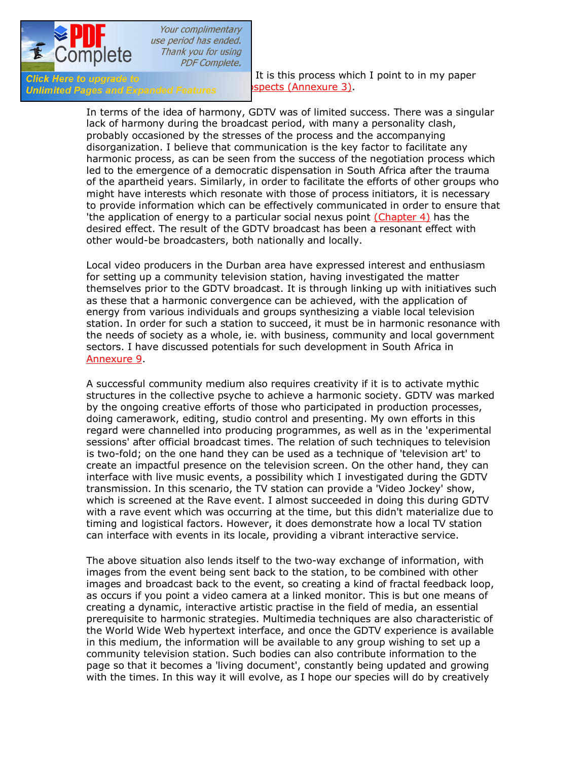

**Unlimited Pages and Expanded Features Spects (Annexure 3).** 

**Click Here to upgrade to** 

In terms of the idea of harmony, GDTV was of limited success. There was a singular lack of harmony during the broadcast period, with many a personality clash, probably occasioned by the stresses of the process and the accompanying disorganization. I believe that communication is the key factor to facilitate any harmonic process, as can be seen from the success of the negotiation process which led to the emergence of a democratic dispensation in South Africa after the trauma of the apartheid years. Similarly, in order to facilitate the efforts of other groups who might have interests which resonate with those of process initiators, it is necessary to provide information which can be effectively communicated in order to ensure that 'the application of energy to a particular social nexus point (Chapter 4) has the desired effect. The result of the GDTV broadcast has been a resonant effect with other would-be broadcasters, both nationally and locally.

Local video producers in the Durban area have expressed interest and enthusiasm for setting up a community television station, having investigated the matter themselves prior to the GDTV broadcast. It is through linking up with initiatives such as these that a harmonic convergence can be achieved, with the application of energy from various individuals and groups synthesizing a viable local television station. In order for such a station to succeed, it must be in harmonic resonance with the needs of society as a whole, ie. with business, community and local government sectors. I have discussed potentials for such development in South Africa in Annexure 9.

A successful community medium also requires creativity if it is to activate mythic structures in the collective psyche to achieve a harmonic society. GDTV was marked by the ongoing creative efforts of those who participated in production processes, doing camerawork, editing, studio control and presenting. My own efforts in this regard were channelled into producing programmes, as well as in the 'experimental sessions' after official broadcast times. The relation of such techniques to television is two-fold; on the one hand they can be used as a technique of 'television art' to create an impactful presence on the television screen. On the other hand, they can interface with live music events, a possibility which I investigated during the GDTV transmission. In this scenario, the TV station can provide a 'Video Jockey' show, which is screened at the Rave event. I almost succeeded in doing this during GDTV with a rave event which was occurring at the time, but this didn't materialize due to timing and logistical factors. However, it does demonstrate how a local TV station can interface with events in its locale, providing a vibrant interactive service.

The above situation also lends itself to the two-way exchange of information, with images from the event being sent back to the station, to be combined with other images and broadcast back to the event, so creating a kind of fractal feedback loop, as occurs if you point a video camera at a linked monitor. This is but one means of creating a dynamic, interactive artistic practise in the field of media, an essential prerequisite to harmonic strategies. Multimedia techniques are also characteristic of the World Wide Web hypertext interface, and once the GDTV experience is available in this medium, the information will be available to any group wishing to set up a community television station. Such bodies can also contribute information to the page so that it becomes a 'living document', constantly being updated and growing with the times. In this way it will evolve, as I hope our species will do by creatively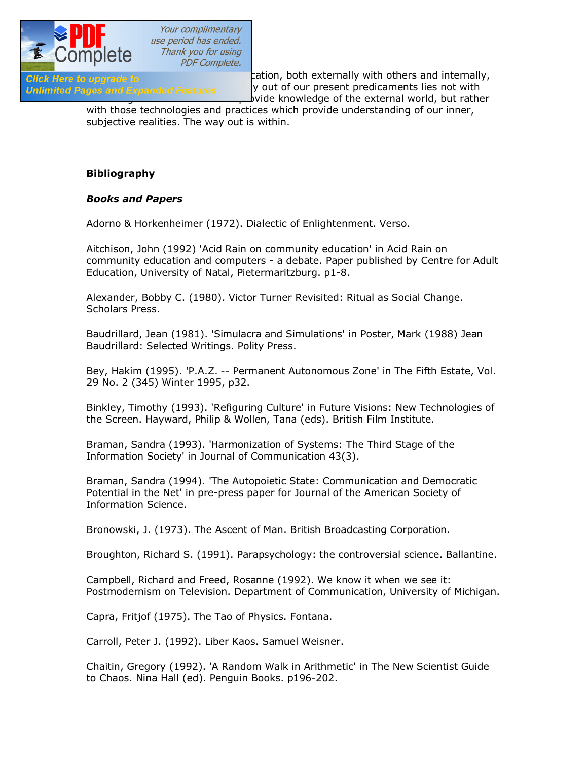

**Click Here to upgrade to communication** cation, both externally with others and internally, Unlimited Pages and Expanded Features. Jy out of our present predicaments lies not with  $t$  vide knowledge of the external world, but rather

with those technologies and practices which provide understanding of our inner, subjective realities. The way out is within.

### **Bibliography**

#### *Books and Papers*

Adorno & Horkenheimer (1972). Dialectic of Enlightenment. Verso.

Aitchison, John (1992) 'Acid Rain on community education' in Acid Rain on community education and computers - a debate. Paper published by Centre for Adult Education, University of Natal, Pietermaritzburg. p1-8.

Alexander, Bobby C. (1980). Victor Turner Revisited: Ritual as Social Change. Scholars Press.

Baudrillard, Jean (1981). 'Simulacra and Simulations' in Poster, Mark (1988) Jean Baudrillard: Selected Writings. Polity Press.

Bey, Hakim (1995). 'P.A.Z. -- Permanent Autonomous Zone' in The Fifth Estate, Vol. 29 No. 2 (345) Winter 1995, p32.

Binkley, Timothy (1993). 'Refiguring Culture' in Future Visions: New Technologies of the Screen. Hayward, Philip & Wollen, Tana (eds). British Film Institute.

Braman, Sandra (1993). 'Harmonization of Systems: The Third Stage of the Information Society' in Journal of Communication 43(3).

Braman, Sandra (1994). 'The Autopoietic State: Communication and Democratic Potential in the Net' in pre-press paper for Journal of the American Society of Information Science.

Bronowski, J. (1973). The Ascent of Man. British Broadcasting Corporation.

Broughton, Richard S. (1991). Parapsychology: the controversial science. Ballantine.

Campbell, Richard and Freed, Rosanne (1992). We know it when we see it: Postmodernism on Television. Department of Communication, University of Michigan.

Capra, Fritjof (1975). The Tao of Physics. Fontana.

Carroll, Peter J. (1992). Liber Kaos. Samuel Weisner.

Chaitin, Gregory (1992). 'A Random Walk in Arithmetic' in The New Scientist Guide to Chaos. Nina Hall (ed). Penguin Books. p196-202.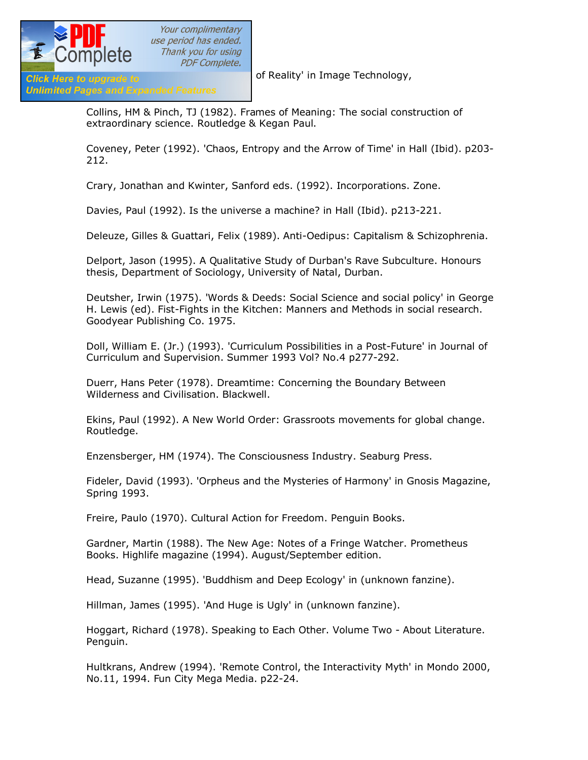

Click Here to upgrade to **The Children Click** of Reality' in Image Technology,

**Unlimited Pages and Expanded Features** 

Collins, HM & Pinch, TJ (1982). Frames of Meaning: The social construction of extraordinary science. Routledge & Kegan Paul.

Coveney, Peter (1992). 'Chaos, Entropy and the Arrow of Time' in Hall (Ibid). p203- 212.

Crary, Jonathan and Kwinter, Sanford eds. (1992). Incorporations. Zone.

Davies, Paul (1992). Is the universe a machine? in Hall (Ibid). p213-221.

Deleuze, Gilles & Guattari, Felix (1989). Anti-Oedipus: Capitalism & Schizophrenia.

Delport, Jason (1995). A Qualitative Study of Durban's Rave Subculture. Honours thesis, Department of Sociology, University of Natal, Durban.

Deutsher, Irwin (1975). 'Words & Deeds: Social Science and social policy' in George H. Lewis (ed). Fist-Fights in the Kitchen: Manners and Methods in social research. Goodyear Publishing Co. 1975.

Doll, William E. (Jr.) (1993). 'Curriculum Possibilities in a Post-Future' in Journal of Curriculum and Supervision. Summer 1993 Vol? No.4 p277-292.

Duerr, Hans Peter (1978). Dreamtime: Concerning the Boundary Between Wilderness and Civilisation. Blackwell.

Ekins, Paul (1992). A New World Order: Grassroots movements for global change. Routledge.

Enzensberger, HM (1974). The Consciousness Industry. Seaburg Press.

Fideler, David (1993). 'Orpheus and the Mysteries of Harmony' in Gnosis Magazine, Spring 1993.

Freire, Paulo (1970). Cultural Action for Freedom. Penguin Books.

Gardner, Martin (1988). The New Age: Notes of a Fringe Watcher. Prometheus Books. Highlife magazine (1994). August/September edition.

Head, Suzanne (1995). 'Buddhism and Deep Ecology' in (unknown fanzine).

Hillman, James (1995). 'And Huge is Ugly' in (unknown fanzine).

Hoggart, Richard (1978). Speaking to Each Other. Volume Two - About Literature. Penguin.

Hultkrans, Andrew (1994). 'Remote Control, the Interactivity Myth' in Mondo 2000, No.11, 1994. Fun City Mega Media. p22-24.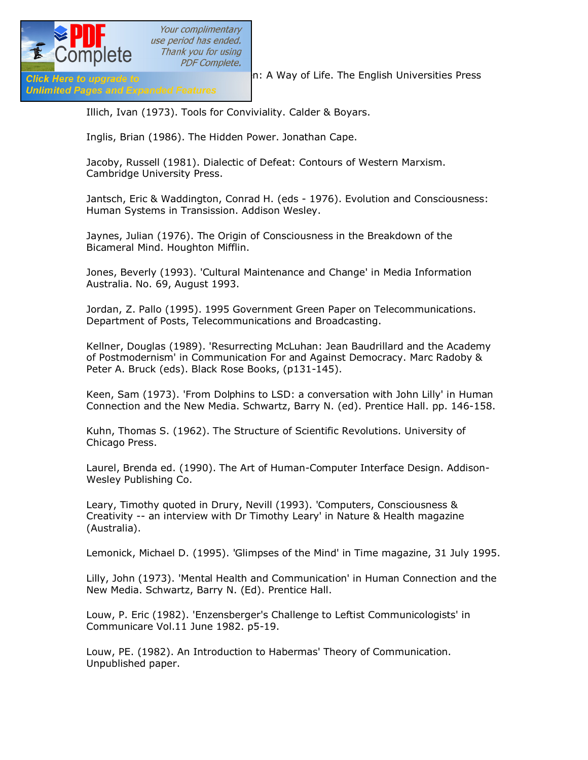

Click Here to upgrade to **English Universities Press** (1962). Zen: A Way of Life. The English Universities Press

**Unlimited Pages and Expanded Features** 

Illich, Ivan (1973). Tools for Conviviality. Calder & Boyars.

Inglis, Brian (1986). The Hidden Power. Jonathan Cape.

Jacoby, Russell (1981). Dialectic of Defeat: Contours of Western Marxism. Cambridge University Press.

Jantsch, Eric & Waddington, Conrad H. (eds - 1976). Evolution and Consciousness: Human Systems in Transission. Addison Wesley.

Jaynes, Julian (1976). The Origin of Consciousness in the Breakdown of the Bicameral Mind. Houghton Mifflin.

Jones, Beverly (1993). 'Cultural Maintenance and Change' in Media Information Australia. No. 69, August 1993.

Jordan, Z. Pallo (1995). 1995 Government Green Paper on Telecommunications. Department of Posts, Telecommunications and Broadcasting.

Kellner, Douglas (1989). 'Resurrecting McLuhan: Jean Baudrillard and the Academy of Postmodernism' in Communication For and Against Democracy. Marc Radoby & Peter A. Bruck (eds). Black Rose Books, (p131-145).

Keen, Sam (1973). 'From Dolphins to LSD: a conversation with John Lilly' in Human Connection and the New Media. Schwartz, Barry N. (ed). Prentice Hall. pp. 146-158.

Kuhn, Thomas S. (1962). The Structure of Scientific Revolutions. University of Chicago Press.

Laurel, Brenda ed. (1990). The Art of Human-Computer Interface Design. Addison-Wesley Publishing Co.

Leary, Timothy quoted in Drury, Nevill (1993). 'Computers, Consciousness & Creativity -- an interview with Dr Timothy Leary' in Nature & Health magazine (Australia).

Lemonick, Michael D. (1995). 'Glimpses of the Mind' in Time magazine, 31 July 1995.

Lilly, John (1973). 'Mental Health and Communication' in Human Connection and the New Media. Schwartz, Barry N. (Ed). Prentice Hall.

Louw, P. Eric (1982). 'Enzensberger's Challenge to Leftist Communicologists' in Communicare Vol.11 June 1982. p5-19.

Louw, PE. (1982). An Introduction to Habermas' Theory of Communication. Unpublished paper.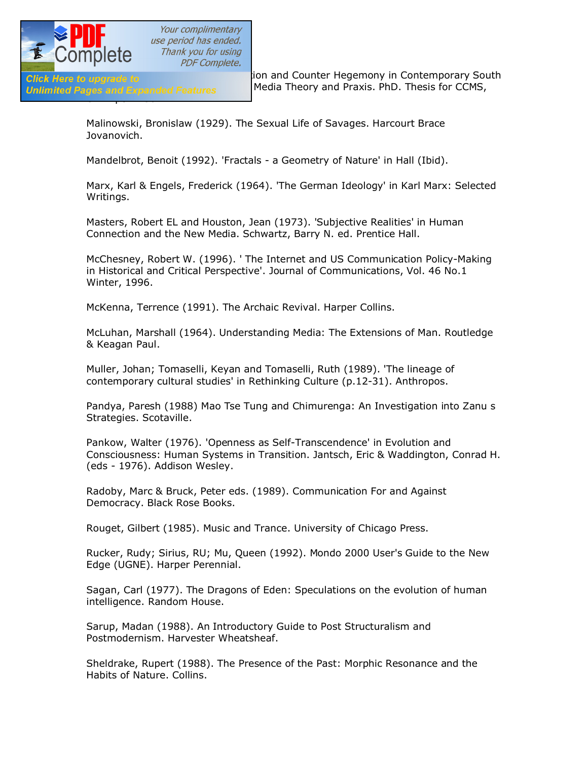

**Unlimited Pages and Expanded Features** 

**PDF Complete.** 

Click Here to upgrade to **Eric (1991).** Click Here to upgrade to **Property South** Media Theory and Praxis. PhD. Thesis for CCMS,

> Malinowski, Bronislaw (1929). The Sexual Life of Savages. Harcourt Brace Jovanovich.

> Mandelbrot, Benoit (1992). 'Fractals - a Geometry of Nature' in Hall (Ibid).

Marx, Karl & Engels, Frederick (1964). 'The German Ideology' in Karl Marx: Selected Writings.

Masters, Robert EL and Houston, Jean (1973). 'Subjective Realities' in Human Connection and the New Media. Schwartz, Barry N. ed. Prentice Hall.

McChesney, Robert W. (1996). ' The Internet and US Communication Policy-Making in Historical and Critical Perspective'. Journal of Communications, Vol. 46 No.1 Winter, 1996.

McKenna, Terrence (1991). The Archaic Revival. Harper Collins.

McLuhan, Marshall (1964). Understanding Media: The Extensions of Man. Routledge & Keagan Paul.

Muller, Johan; Tomaselli, Keyan and Tomaselli, Ruth (1989). 'The lineage of contemporary cultural studies' in Rethinking Culture (p.12-31). Anthropos.

Pandya, Paresh (1988) Mao Tse Tung and Chimurenga: An Investigation into Zanu s Strategies. Scotaville.

Pankow, Walter (1976). 'Openness as Self-Transcendence' in Evolution and Consciousness: Human Systems in Transition. Jantsch, Eric & Waddington, Conrad H. (eds - 1976). Addison Wesley.

Radoby, Marc & Bruck, Peter eds. (1989). Communication For and Against Democracy. Black Rose Books.

Rouget, Gilbert (1985). Music and Trance. University of Chicago Press.

Rucker, Rudy; Sirius, RU; Mu, Queen (1992). Mondo 2000 User's Guide to the New Edge (UGNE). Harper Perennial.

Sagan, Carl (1977). The Dragons of Eden: Speculations on the evolution of human intelligence. Random House.

Sarup, Madan (1988). An Introductory Guide to Post Structuralism and Postmodernism. Harvester Wheatsheaf.

Sheldrake, Rupert (1988). The Presence of the Past: Morphic Resonance and the Habits of Nature. Collins.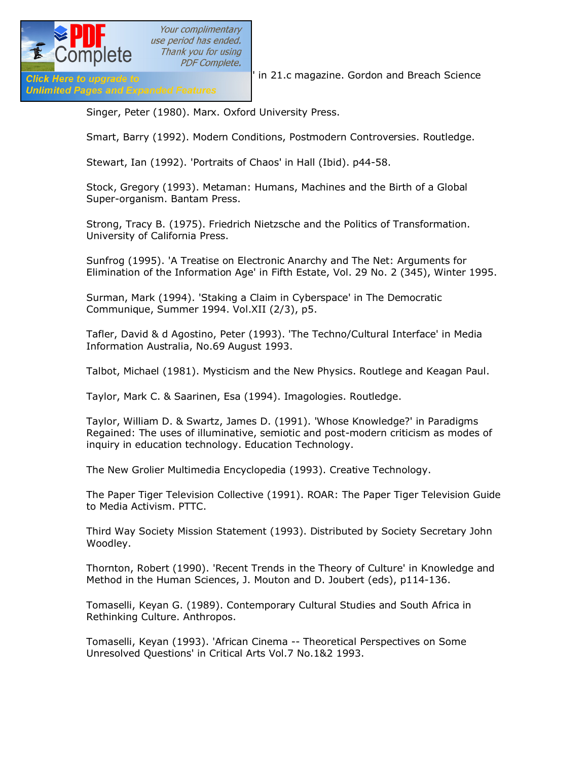

Click Here to upgrade to **Click** Here to upgrade to **Click** in 21.c magazine. Gordon and Breach Science

**Unlimited Pages and Expanded Features** 

Singer, Peter (1980). Marx. Oxford University Press.

Smart, Barry (1992). Modern Conditions, Postmodern Controversies. Routledge.

Stewart, Ian (1992). 'Portraits of Chaos' in Hall (Ibid). p44-58.

Stock, Gregory (1993). Metaman: Humans, Machines and the Birth of a Global Super-organism. Bantam Press.

Strong, Tracy B. (1975). Friedrich Nietzsche and the Politics of Transformation. University of California Press.

Sunfrog (1995). 'A Treatise on Electronic Anarchy and The Net: Arguments for Elimination of the Information Age' in Fifth Estate, Vol. 29 No. 2 (345), Winter 1995.

Surman, Mark (1994). 'Staking a Claim in Cyberspace' in The Democratic Communique, Summer 1994. Vol.XII (2/3), p5.

Tafler, David & d Agostino, Peter (1993). 'The Techno/Cultural Interface' in Media Information Australia, No.69 August 1993.

Talbot, Michael (1981). Mysticism and the New Physics. Routlege and Keagan Paul.

Taylor, Mark C. & Saarinen, Esa (1994). Imagologies. Routledge.

Taylor, William D. & Swartz, James D. (1991). 'Whose Knowledge?' in Paradigms Regained: The uses of illuminative, semiotic and post-modern criticism as modes of inquiry in education technology. Education Technology.

The New Grolier Multimedia Encyclopedia (1993). Creative Technology.

The Paper Tiger Television Collective (1991). ROAR: The Paper Tiger Television Guide to Media Activism. PTTC.

Third Way Society Mission Statement (1993). Distributed by Society Secretary John Woodley.

Thornton, Robert (1990). 'Recent Trends in the Theory of Culture' in Knowledge and Method in the Human Sciences, J. Mouton and D. Joubert (eds), p114-136.

Tomaselli, Keyan G. (1989). Contemporary Cultural Studies and South Africa in Rethinking Culture. Anthropos.

Tomaselli, Keyan (1993). 'African Cinema -- Theoretical Perspectives on Some Unresolved Questions' in Critical Arts Vol.7 No.1&2 1993.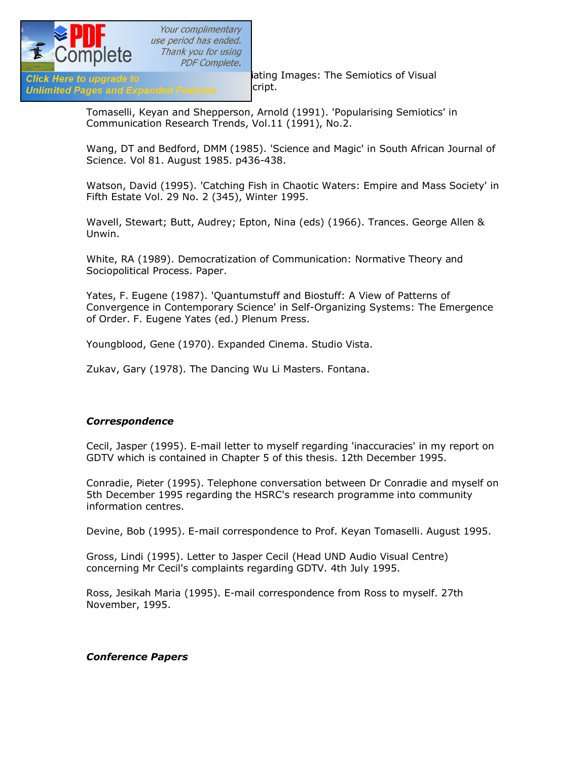

Unlimited Pages and Expanded Features Cript.

Click Here to upgrade to **The Semiotics of Visual** lating Images: The Semiotics of Visual

Tomaselli, Keyan and Shepperson, Arnold (1991). 'Popularising Semiotics' in Communication Research Trends, Vol.11 (1991), No.2.

Wang, DT and Bedford, DMM (1985). 'Science and Magic' in South African Journal of Science. Vol 81. August 1985. p436-438.

Watson, David (1995). 'Catching Fish in Chaotic Waters: Empire and Mass Society' in Fifth Estate Vol. 29 No. 2 (345), Winter 1995.

Wavell, Stewart; Butt, Audrey; Epton, Nina (eds) (1966). Trances. George Allen & Unwin.

White, RA (1989). Democratization of Communication: Normative Theory and Sociopolitical Process. Paper.

Yates, F. Eugene (1987). 'Quantumstuff and Biostuff: A View of Patterns of Convergence in Contemporary Science' in Self-Organizing Systems: The Emergence of Order. F. Eugene Yates (ed.) Plenum Press.

Youngblood, Gene (1970). Expanded Cinema. Studio Vista.

Zukav, Gary (1978). The Dancing Wu Li Masters. Fontana.

#### *Correspondence*

Cecil, Jasper (1995). E-mail letter to myself regarding 'inaccuracies' in my report on GDTV which is contained in Chapter 5 of this thesis. 12th December 1995.

Conradie, Pieter (1995). Telephone conversation between Dr Conradie and myself on 5th December 1995 regarding the HSRC's research programme into community information centres.

Devine, Bob (1995). E-mail correspondence to Prof. Keyan Tomaselli. August 1995.

Gross, Lindi (1995). Letter to Jasper Cecil (Head UND Audio Visual Centre) concerning Mr Cecil's complaints regarding GDTV. 4th July 1995.

Ross, Jesikah Maria (1995). E-mail correspondence from Ross to myself. 27th November, 1995.

#### *Conference Papers*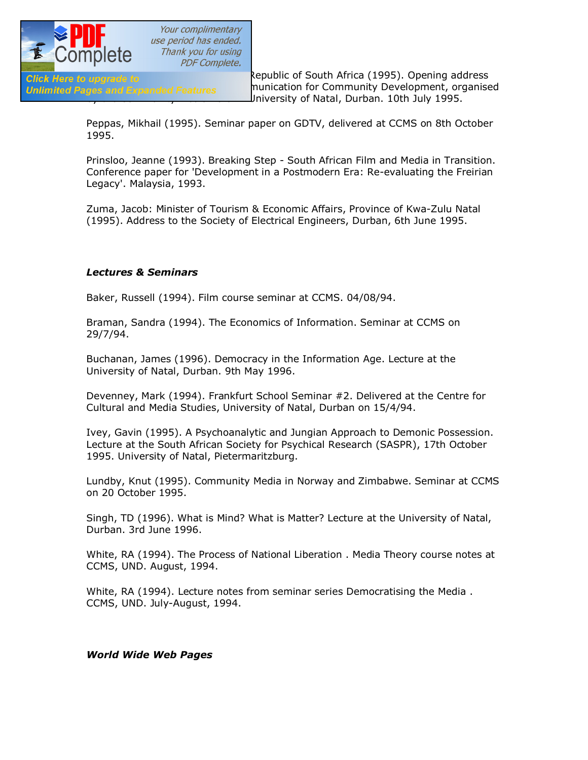

Click Here to upgrade to **Deputy Presidents** Republic of South Africa (1995). Opening address Unlimited Pages and Expanded Features hunication for Community Development, organised Jniversity of Natal, Durban. 10th July 1995.

> Peppas, Mikhail (1995). Seminar paper on GDTV, delivered at CCMS on 8th October 1995.

> Prinsloo, Jeanne (1993). Breaking Step - South African Film and Media in Transition. Conference paper for 'Development in a Postmodern Era: Re-evaluating the Freirian Legacy'. Malaysia, 1993.

Zuma, Jacob: Minister of Tourism & Economic Affairs, Province of Kwa-Zulu Natal (1995). Address to the Society of Electrical Engineers, Durban, 6th June 1995.

### *Lectures & Seminars*

Baker, Russell (1994). Film course seminar at CCMS. 04/08/94.

Braman, Sandra (1994). The Economics of Information. Seminar at CCMS on 29/7/94.

Buchanan, James (1996). Democracy in the Information Age. Lecture at the University of Natal, Durban. 9th May 1996.

Devenney, Mark (1994). Frankfurt School Seminar #2. Delivered at the Centre for Cultural and Media Studies, University of Natal, Durban on 15/4/94.

Ivey, Gavin (1995). A Psychoanalytic and Jungian Approach to Demonic Possession. Lecture at the South African Society for Psychical Research (SASPR), 17th October 1995. University of Natal, Pietermaritzburg.

Lundby, Knut (1995). Community Media in Norway and Zimbabwe. Seminar at CCMS on 20 October 1995.

Singh, TD (1996). What is Mind? What is Matter? Lecture at the University of Natal, Durban. 3rd June 1996.

White, RA (1994). The Process of National Liberation . Media Theory course notes at CCMS, UND. August, 1994.

White, RA (1994). Lecture notes from seminar series Democratising the Media . CCMS, UND. July-August, 1994.

#### *World Wide Web Pages*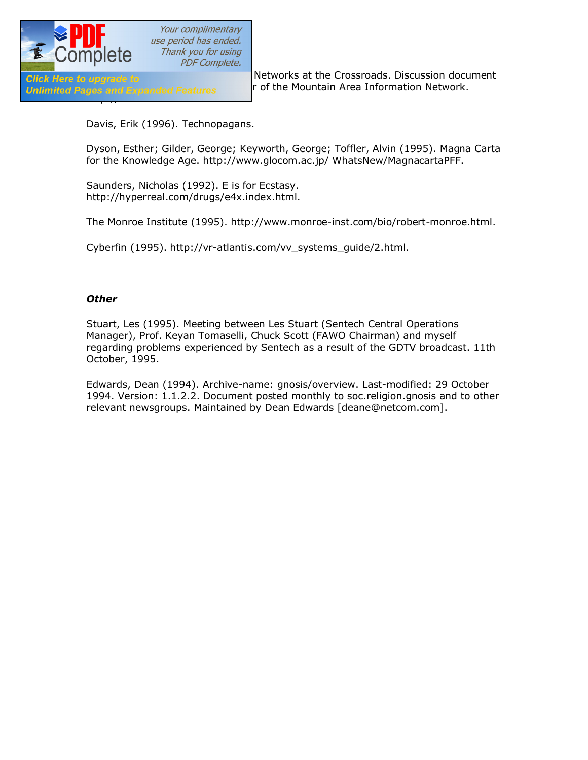

**Click Here to upgrade to exercise was a set of the Crossroads. Discussion document** r of the Mountain Area Information Network.

Davis, Erik (1996). Technopagans.

Dyson, Esther; Gilder, George; Keyworth, George; Toffler, Alvin (1995). Magna Carta for the Knowledge Age. http://www.glocom.ac.jp/ WhatsNew/MagnacartaPFF.

Saunders, Nicholas (1992). E is for Ecstasy. http://hyperreal.com/drugs/e4x.index.html.

The Monroe Institute (1995). http://www.monroe-inst.com/bio/robert-monroe.html.

Cyberfin (1995). http://vr-atlantis.com/vv\_systems\_guide/2.html.

### *Other*

Stuart, Les (1995). Meeting between Les Stuart (Sentech Central Operations Manager), Prof. Keyan Tomaselli, Chuck Scott (FAWO Chairman) and myself regarding problems experienced by Sentech as a result of the GDTV broadcast. 11th October, 1995.

Edwards, Dean (1994). Archive-name: gnosis/overview. Last-modified: 29 October 1994. Version: 1.1.2.2. Document posted monthly to soc.religion.gnosis and to other relevant newsgroups. Maintained by Dean Edwards [deane@netcom.com].